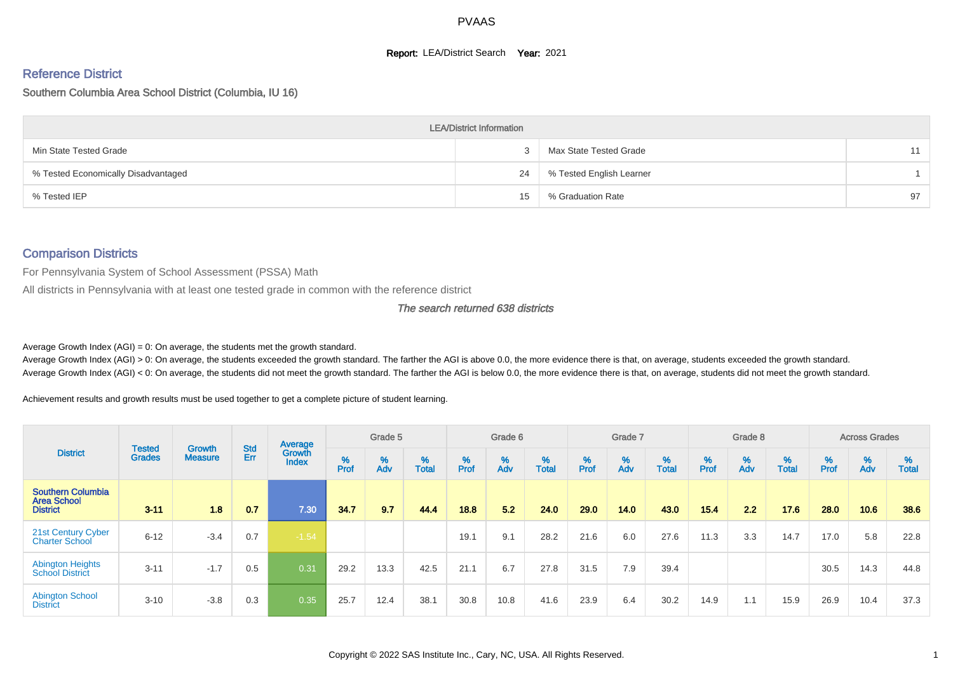#### **Report: LEA/District Search Year: 2021**

# Reference District

#### Southern Columbia Area School District (Columbia, IU 16)

|                                     | <b>LEA/District Information</b> |                          |    |
|-------------------------------------|---------------------------------|--------------------------|----|
| Min State Tested Grade              |                                 | Max State Tested Grade   | 11 |
| % Tested Economically Disadvantaged | 24                              | % Tested English Learner |    |
| % Tested IEP                        | 15                              | % Graduation Rate        | 97 |

## Comparison Districts

For Pennsylvania System of School Assessment (PSSA) Math

All districts in Pennsylvania with at least one tested grade in common with the reference district

#### The search returned 638 districts

Average Growth Index  $(AGI) = 0$ : On average, the students met the growth standard.

Average Growth Index (AGI) > 0: On average, the students exceeded the growth standard. The farther the AGI is above 0.0, the more evidence there is that, on average, students exceeded the growth standard. Average Growth Index (AGI) < 0: On average, the students did not meet the growth standard. The farther the AGI is below 0.0, the more evidence there is that, on average, students did not meet the growth standard.

Achievement results and growth results must be used together to get a complete picture of student learning.

|                                                                   |                                |                                 |                   | Average                |           | Grade 5  |                   |           | Grade 6  |                   |           | Grade 7  |                   |           | Grade 8  |                   |           | <b>Across Grades</b> |                   |
|-------------------------------------------------------------------|--------------------------------|---------------------------------|-------------------|------------------------|-----------|----------|-------------------|-----------|----------|-------------------|-----------|----------|-------------------|-----------|----------|-------------------|-----------|----------------------|-------------------|
| <b>District</b>                                                   | <b>Tested</b><br><b>Grades</b> | <b>Growth</b><br><b>Measure</b> | <b>Std</b><br>Err | Growth<br><b>Index</b> | %<br>Prof | %<br>Adv | %<br><b>Total</b> | %<br>Prof | %<br>Adv | %<br><b>Total</b> | %<br>Prof | %<br>Adv | %<br><b>Total</b> | %<br>Prof | %<br>Adv | %<br><b>Total</b> | %<br>Prof | %<br>Adv             | %<br><b>Total</b> |
| <b>Southern Columbia</b><br><b>Area School</b><br><b>District</b> | $3 - 11$                       | 1.8                             | 0.7               | 7.30                   | 34.7      | 9.7      | 44.4              | 18.8      | 5.2      | 24.0              | 29.0      | 14.0     | 43.0              | 15.4      | 2.2      | 17.6              | 28.0      | 10.6                 | 38.6              |
| 21st Century Cyber<br><b>Charter School</b>                       | $6 - 12$                       | $-3.4$                          | 0.7               | $-1.54$                |           |          |                   | 19.1      | 9.1      | 28.2              | 21.6      | 6.0      | 27.6              | 11.3      | 3.3      | 14.7              | 17.0      | 5.8                  | 22.8              |
| <b>Abington Heights</b><br><b>School District</b>                 | $3 - 11$                       | $-1.7$                          | 0.5               | 0.31                   | 29.2      | 13.3     | 42.5              | 21.1      | 6.7      | 27.8              | 31.5      | 7.9      | 39.4              |           |          |                   | 30.5      | 14.3                 | 44.8              |
| <b>Abington School</b><br><b>District</b>                         | $3 - 10$                       | $-3.8$                          | 0.3               | 0.35                   | 25.7      | 12.4     | 38.1              | 30.8      | 10.8     | 41.6              | 23.9      | 6.4      | 30.2              | 14.9      | 1.1      | 15.9              | 26.9      | 10.4                 | 37.3              |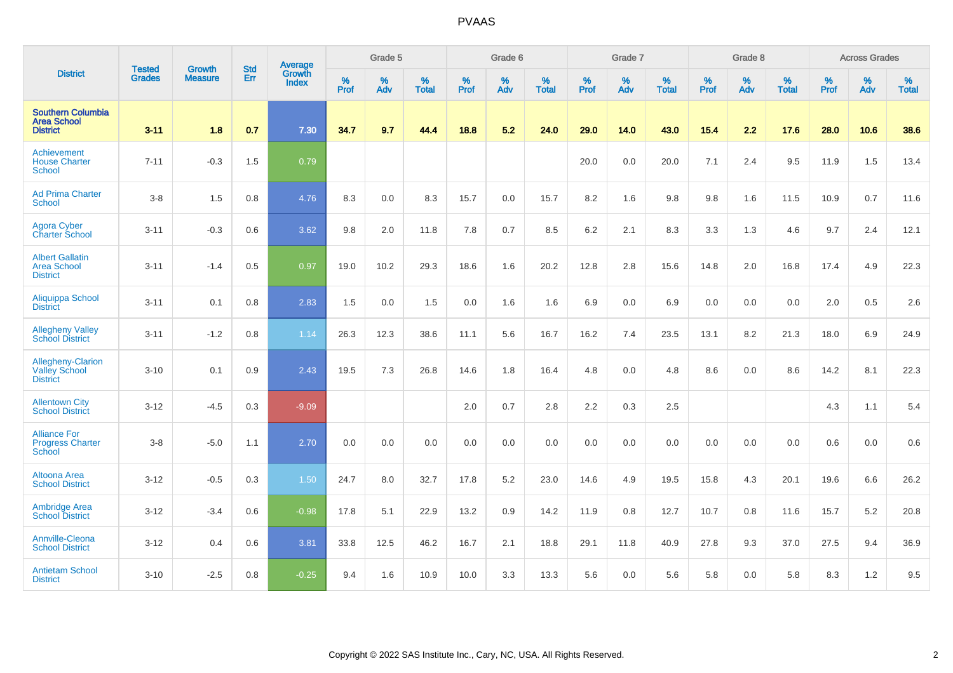|                                                                   | <b>Tested</b> | <b>Growth</b>  | <b>Std</b> | Average                |              | Grade 5  |                   |              | Grade 6  |                   |           | Grade 7  |                   |              | Grade 8  |                   |           | <b>Across Grades</b> |                   |
|-------------------------------------------------------------------|---------------|----------------|------------|------------------------|--------------|----------|-------------------|--------------|----------|-------------------|-----------|----------|-------------------|--------------|----------|-------------------|-----------|----------------------|-------------------|
| <b>District</b>                                                   | <b>Grades</b> | <b>Measure</b> | Err        | Growth<br><b>Index</b> | $\%$<br>Prof | %<br>Adv | %<br><b>Total</b> | $\%$<br>Prof | %<br>Adv | %<br><b>Total</b> | %<br>Prof | %<br>Adv | %<br><b>Total</b> | $\%$<br>Prof | %<br>Adv | %<br><b>Total</b> | %<br>Prof | %<br>Adv             | %<br><b>Total</b> |
| <b>Southern Columbia</b><br><b>Area School</b><br><b>District</b> | $3 - 11$      | 1.8            | 0.7        | 7.30                   | 34.7         | 9.7      | 44.4              | 18.8         | 5.2      | 24.0              | 29.0      | 14.0     | 43.0              | 15.4         | 2.2      | 17.6              | 28.0      | 10.6                 | 38.6              |
| Achievement<br><b>House Charter</b><br><b>School</b>              | $7 - 11$      | $-0.3$         | 1.5        | 0.79                   |              |          |                   |              |          |                   | 20.0      | 0.0      | 20.0              | 7.1          | 2.4      | 9.5               | 11.9      | 1.5                  | 13.4              |
| <b>Ad Prima Charter</b><br><b>School</b>                          | $3-8$         | 1.5            | 0.8        | 4.76                   | 8.3          | 0.0      | 8.3               | 15.7         | 0.0      | 15.7              | 8.2       | 1.6      | 9.8               | 9.8          | 1.6      | 11.5              | 10.9      | 0.7                  | 11.6              |
| <b>Agora Cyber</b><br><b>Charter School</b>                       | $3 - 11$      | $-0.3$         | 0.6        | 3.62                   | 9.8          | 2.0      | 11.8              | 7.8          | 0.7      | 8.5               | 6.2       | 2.1      | 8.3               | 3.3          | 1.3      | 4.6               | 9.7       | 2.4                  | 12.1              |
| <b>Albert Gallatin</b><br><b>Area School</b><br><b>District</b>   | $3 - 11$      | $-1.4$         | 0.5        | 0.97                   | 19.0         | 10.2     | 29.3              | 18.6         | 1.6      | 20.2              | 12.8      | 2.8      | 15.6              | 14.8         | 2.0      | 16.8              | 17.4      | 4.9                  | 22.3              |
| Aliquippa School<br><b>District</b>                               | $3 - 11$      | 0.1            | 0.8        | 2.83                   | 1.5          | 0.0      | 1.5               | 0.0          | 1.6      | 1.6               | 6.9       | 0.0      | 6.9               | 0.0          | 0.0      | 0.0               | 2.0       | 0.5                  | 2.6               |
| <b>Allegheny Valley</b><br><b>School District</b>                 | $3 - 11$      | $-1.2$         | 0.8        | 1.14                   | 26.3         | 12.3     | 38.6              | 11.1         | 5.6      | 16.7              | 16.2      | 7.4      | 23.5              | 13.1         | 8.2      | 21.3              | 18.0      | 6.9                  | 24.9              |
| Allegheny-Clarion<br><b>Valley School</b><br><b>District</b>      | $3 - 10$      | 0.1            | 0.9        | 2.43                   | 19.5         | 7.3      | 26.8              | 14.6         | 1.8      | 16.4              | 4.8       | 0.0      | 4.8               | 8.6          | 0.0      | 8.6               | 14.2      | 8.1                  | 22.3              |
| <b>Allentown City</b><br><b>School District</b>                   | $3 - 12$      | $-4.5$         | 0.3        | $-9.09$                |              |          |                   | 2.0          | 0.7      | 2.8               | 2.2       | 0.3      | 2.5               |              |          |                   | 4.3       | 1.1                  | 5.4               |
| <b>Alliance For</b><br><b>Progress Charter</b><br>School          | $3-8$         | $-5.0$         | 1.1        | 2.70                   | 0.0          | 0.0      | 0.0               | 0.0          | 0.0      | 0.0               | 0.0       | 0.0      | 0.0               | 0.0          | 0.0      | 0.0               | 0.6       | 0.0                  | 0.6               |
| Altoona Area<br><b>School District</b>                            | $3 - 12$      | $-0.5$         | 0.3        | 1.50                   | 24.7         | 8.0      | 32.7              | 17.8         | $5.2\,$  | 23.0              | 14.6      | 4.9      | 19.5              | 15.8         | 4.3      | 20.1              | 19.6      | 6.6                  | 26.2              |
| <b>Ambridge Area</b><br><b>School District</b>                    | $3 - 12$      | $-3.4$         | 0.6        | $-0.98$                | 17.8         | 5.1      | 22.9              | 13.2         | 0.9      | 14.2              | 11.9      | 0.8      | 12.7              | 10.7         | 0.8      | 11.6              | 15.7      | 5.2                  | 20.8              |
| Annville-Cleona<br><b>School District</b>                         | $3 - 12$      | 0.4            | 0.6        | 3.81                   | 33.8         | 12.5     | 46.2              | 16.7         | 2.1      | 18.8              | 29.1      | 11.8     | 40.9              | 27.8         | 9.3      | 37.0              | 27.5      | 9.4                  | 36.9              |
| <b>Antietam School</b><br><b>District</b>                         | $3 - 10$      | $-2.5$         | 0.8        | $-0.25$                | 9.4          | 1.6      | 10.9              | 10.0         | 3.3      | 13.3              | 5.6       | 0.0      | 5.6               | 5.8          | 0.0      | 5.8               | 8.3       | 1.2                  | 9.5               |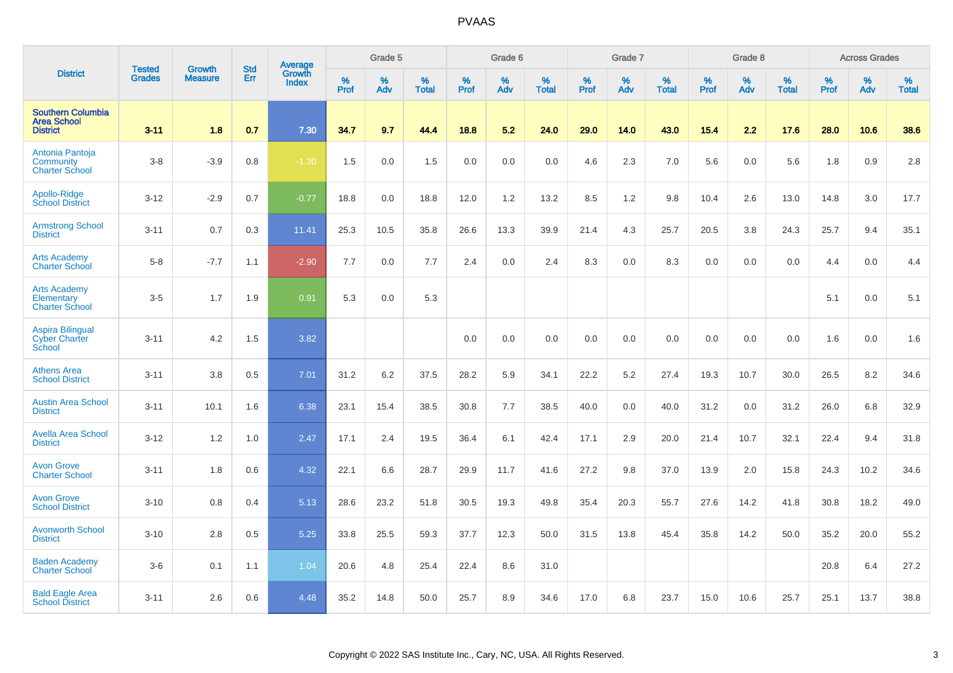|                                                                   | <b>Tested</b> | <b>Growth</b>  | <b>Std</b> | Average                |              | Grade 5  |                   |           | Grade 6  |                   |           | Grade 7  |                   |           | Grade 8  |                   |           | <b>Across Grades</b> |                   |
|-------------------------------------------------------------------|---------------|----------------|------------|------------------------|--------------|----------|-------------------|-----------|----------|-------------------|-----------|----------|-------------------|-----------|----------|-------------------|-----------|----------------------|-------------------|
| <b>District</b>                                                   | <b>Grades</b> | <b>Measure</b> | Err        | Growth<br><b>Index</b> | $\%$<br>Prof | %<br>Adv | %<br><b>Total</b> | %<br>Prof | %<br>Adv | %<br><b>Total</b> | %<br>Prof | %<br>Adv | %<br><b>Total</b> | %<br>Prof | %<br>Adv | %<br><b>Total</b> | %<br>Prof | %<br>Adv             | %<br><b>Total</b> |
| <b>Southern Columbia</b><br><b>Area School</b><br><b>District</b> | $3 - 11$      | 1.8            | 0.7        | 7.30                   | 34.7         | 9.7      | 44.4              | 18.8      | 5.2      | 24.0              | 29.0      | 14.0     | 43.0              | 15.4      | 2.2      | 17.6              | 28.0      | 10.6                 | 38.6              |
| Antonia Pantoja<br>Community<br><b>Charter School</b>             | $3-8$         | $-3.9$         | 0.8        | $-1.30$                | 1.5          | 0.0      | 1.5               | 0.0       | 0.0      | 0.0               | 4.6       | 2.3      | 7.0               | 5.6       | 0.0      | 5.6               | 1.8       | 0.9                  | 2.8               |
| Apollo-Ridge<br><b>School District</b>                            | $3 - 12$      | $-2.9$         | 0.7        | $-0.77$                | 18.8         | 0.0      | 18.8              | 12.0      | 1.2      | 13.2              | 8.5       | 1.2      | 9.8               | 10.4      | 2.6      | 13.0              | 14.8      | 3.0                  | 17.7              |
| <b>Armstrong School</b><br><b>District</b>                        | $3 - 11$      | 0.7            | 0.3        | 11.41                  | 25.3         | 10.5     | 35.8              | 26.6      | 13.3     | 39.9              | 21.4      | 4.3      | 25.7              | 20.5      | 3.8      | 24.3              | 25.7      | 9.4                  | 35.1              |
| <b>Arts Academy</b><br><b>Charter School</b>                      | $5-8$         | $-7.7$         | 1.1        | $-2.90$                | 7.7          | 0.0      | 7.7               | 2.4       | 0.0      | 2.4               | 8.3       | 0.0      | 8.3               | 0.0       | 0.0      | 0.0               | 4.4       | 0.0                  | 4.4               |
| <b>Arts Academy</b><br>Elementary<br><b>Charter School</b>        | $3-5$         | 1.7            | 1.9        | 0.91                   | 5.3          | 0.0      | 5.3               |           |          |                   |           |          |                   |           |          |                   | 5.1       | 0.0                  | 5.1               |
| <b>Aspira Bilingual</b><br><b>Cyber Charter</b><br>School         | $3 - 11$      | 4.2            | 1.5        | 3.82                   |              |          |                   | 0.0       | 0.0      | 0.0               | 0.0       | 0.0      | 0.0               | 0.0       | 0.0      | 0.0               | 1.6       | 0.0                  | 1.6               |
| <b>Athens Area</b><br><b>School District</b>                      | $3 - 11$      | 3.8            | 0.5        | 7.01                   | 31.2         | 6.2      | 37.5              | 28.2      | 5.9      | 34.1              | 22.2      | 5.2      | 27.4              | 19.3      | 10.7     | 30.0              | 26.5      | 8.2                  | 34.6              |
| <b>Austin Area School</b><br><b>District</b>                      | $3 - 11$      | 10.1           | 1.6        | 6.38                   | 23.1         | 15.4     | 38.5              | 30.8      | 7.7      | 38.5              | 40.0      | 0.0      | 40.0              | 31.2      | 0.0      | 31.2              | 26.0      | 6.8                  | 32.9              |
| <b>Avella Area School</b><br><b>District</b>                      | $3 - 12$      | 1.2            | 1.0        | 2.47                   | 17.1         | 2.4      | 19.5              | 36.4      | 6.1      | 42.4              | 17.1      | 2.9      | 20.0              | 21.4      | 10.7     | 32.1              | 22.4      | 9.4                  | 31.8              |
| <b>Avon Grove</b><br><b>Charter School</b>                        | $3 - 11$      | 1.8            | 0.6        | 4.32                   | 22.1         | 6.6      | 28.7              | 29.9      | 11.7     | 41.6              | 27.2      | 9.8      | 37.0              | 13.9      | 2.0      | 15.8              | 24.3      | 10.2                 | 34.6              |
| <b>Avon Grove</b><br><b>School District</b>                       | $3 - 10$      | 0.8            | 0.4        | 5.13                   | 28.6         | 23.2     | 51.8              | 30.5      | 19.3     | 49.8              | 35.4      | 20.3     | 55.7              | 27.6      | 14.2     | 41.8              | 30.8      | 18.2                 | 49.0              |
| <b>Avonworth School</b><br><b>District</b>                        | $3 - 10$      | 2.8            | 0.5        | 5.25                   | 33.8         | 25.5     | 59.3              | 37.7      | 12.3     | 50.0              | 31.5      | 13.8     | 45.4              | 35.8      | 14.2     | 50.0              | 35.2      | 20.0                 | 55.2              |
| <b>Baden Academy</b><br><b>Charter School</b>                     | $3-6$         | 0.1            | 1.1        | 1.04                   | 20.6         | 4.8      | 25.4              | 22.4      | 8.6      | 31.0              |           |          |                   |           |          |                   | 20.8      | 6.4                  | 27.2              |
| <b>Bald Eagle Area</b><br><b>School District</b>                  | $3 - 11$      | 2.6            | 0.6        | 4.48                   | 35.2         | 14.8     | 50.0              | 25.7      | 8.9      | 34.6              | 17.0      | 6.8      | 23.7              | 15.0      | 10.6     | 25.7              | 25.1      | 13.7                 | 38.8              |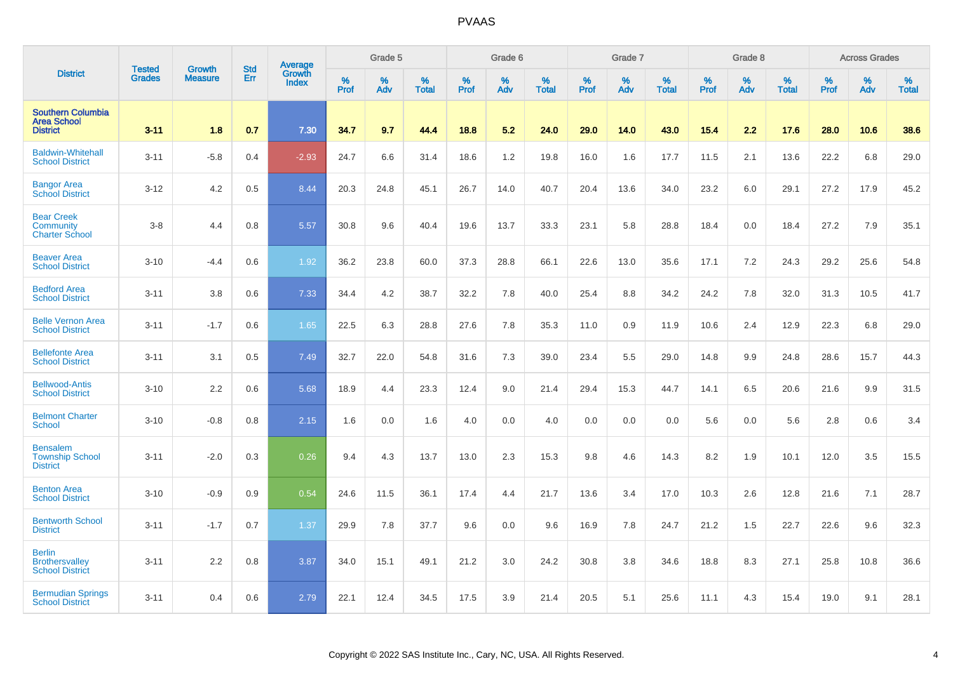|                                                                   |                                |                                 | <b>Std</b> | Average                |              | Grade 5  |                   |           | Grade 6  |                   |           | Grade 7  |                   |           | Grade 8  |                   |           | <b>Across Grades</b> |                   |
|-------------------------------------------------------------------|--------------------------------|---------------------------------|------------|------------------------|--------------|----------|-------------------|-----------|----------|-------------------|-----------|----------|-------------------|-----------|----------|-------------------|-----------|----------------------|-------------------|
| <b>District</b>                                                   | <b>Tested</b><br><b>Grades</b> | <b>Growth</b><br><b>Measure</b> | Err        | Growth<br><b>Index</b> | $\%$<br>Prof | %<br>Adv | %<br><b>Total</b> | %<br>Prof | %<br>Adv | %<br><b>Total</b> | %<br>Prof | %<br>Adv | %<br><b>Total</b> | %<br>Prof | %<br>Adv | %<br><b>Total</b> | %<br>Prof | %<br>Adv             | %<br><b>Total</b> |
| <b>Southern Columbia</b><br><b>Area School</b><br><b>District</b> | $3 - 11$                       | 1.8                             | 0.7        | 7.30                   | 34.7         | 9.7      | 44.4              | 18.8      | 5.2      | 24.0              | 29.0      | 14.0     | 43.0              | 15.4      | 2.2      | 17.6              | 28.0      | 10.6                 | 38.6              |
| <b>Baldwin-Whitehall</b><br><b>School District</b>                | $3 - 11$                       | $-5.8$                          | 0.4        | $-2.93$                | 24.7         | 6.6      | 31.4              | 18.6      | 1.2      | 19.8              | 16.0      | 1.6      | 17.7              | 11.5      | 2.1      | 13.6              | 22.2      | 6.8                  | 29.0              |
| <b>Bangor Area</b><br><b>School District</b>                      | $3 - 12$                       | 4.2                             | 0.5        | 8.44                   | 20.3         | 24.8     | 45.1              | 26.7      | 14.0     | 40.7              | 20.4      | 13.6     | 34.0              | 23.2      | 6.0      | 29.1              | 27.2      | 17.9                 | 45.2              |
| <b>Bear Creek</b><br>Community<br><b>Charter School</b>           | $3-8$                          | 4.4                             | 0.8        | 5.57                   | 30.8         | 9.6      | 40.4              | 19.6      | 13.7     | 33.3              | 23.1      | 5.8      | 28.8              | 18.4      | 0.0      | 18.4              | 27.2      | 7.9                  | 35.1              |
| <b>Beaver Area</b><br><b>School District</b>                      | $3 - 10$                       | $-4.4$                          | 0.6        | 1.92                   | 36.2         | 23.8     | 60.0              | 37.3      | 28.8     | 66.1              | 22.6      | 13.0     | 35.6              | 17.1      | 7.2      | 24.3              | 29.2      | 25.6                 | 54.8              |
| <b>Bedford Area</b><br><b>School District</b>                     | $3 - 11$                       | 3.8                             | 0.6        | 7.33                   | 34.4         | 4.2      | 38.7              | 32.2      | 7.8      | 40.0              | 25.4      | 8.8      | 34.2              | 24.2      | 7.8      | 32.0              | 31.3      | 10.5                 | 41.7              |
| <b>Belle Vernon Area</b><br><b>School District</b>                | $3 - 11$                       | $-1.7$                          | 0.6        | 1.65                   | 22.5         | 6.3      | 28.8              | 27.6      | 7.8      | 35.3              | 11.0      | 0.9      | 11.9              | 10.6      | 2.4      | 12.9              | 22.3      | 6.8                  | 29.0              |
| <b>Bellefonte Area</b><br><b>School District</b>                  | $3 - 11$                       | 3.1                             | 0.5        | 7.49                   | 32.7         | 22.0     | 54.8              | 31.6      | 7.3      | 39.0              | 23.4      | 5.5      | 29.0              | 14.8      | 9.9      | 24.8              | 28.6      | 15.7                 | 44.3              |
| <b>Bellwood-Antis</b><br><b>School District</b>                   | $3 - 10$                       | 2.2                             | 0.6        | 5.68                   | 18.9         | 4.4      | 23.3              | 12.4      | 9.0      | 21.4              | 29.4      | 15.3     | 44.7              | 14.1      | 6.5      | 20.6              | 21.6      | 9.9                  | 31.5              |
| <b>Belmont Charter</b><br><b>School</b>                           | $3 - 10$                       | $-0.8$                          | 0.8        | 2.15                   | 1.6          | 0.0      | 1.6               | 4.0       | 0.0      | 4.0               | 0.0       | 0.0      | 0.0               | 5.6       | 0.0      | 5.6               | 2.8       | 0.6                  | 3.4               |
| <b>Bensalem</b><br><b>Township School</b><br><b>District</b>      | $3 - 11$                       | $-2.0$                          | 0.3        | 0.26                   | 9.4          | 4.3      | 13.7              | 13.0      | 2.3      | 15.3              | 9.8       | 4.6      | 14.3              | 8.2       | 1.9      | 10.1              | 12.0      | 3.5                  | 15.5              |
| <b>Benton Area</b><br><b>School District</b>                      | $3 - 10$                       | $-0.9$                          | 0.9        | 0.54                   | 24.6         | 11.5     | 36.1              | 17.4      | 4.4      | 21.7              | 13.6      | 3.4      | 17.0              | 10.3      | 2.6      | 12.8              | 21.6      | 7.1                  | 28.7              |
| <b>Bentworth School</b><br><b>District</b>                        | $3 - 11$                       | $-1.7$                          | 0.7        | 1.37                   | 29.9         | 7.8      | 37.7              | 9.6       | 0.0      | 9.6               | 16.9      | 7.8      | 24.7              | 21.2      | 1.5      | 22.7              | 22.6      | 9.6                  | 32.3              |
| <b>Berlin</b><br><b>Brothersvalley</b><br><b>School District</b>  | $3 - 11$                       | 2.2                             | 0.8        | 3.87                   | 34.0         | 15.1     | 49.1              | 21.2      | 3.0      | 24.2              | 30.8      | 3.8      | 34.6              | 18.8      | 8.3      | 27.1              | 25.8      | 10.8                 | 36.6              |
| <b>Bermudian Springs</b><br><b>School District</b>                | $3 - 11$                       | 0.4                             | 0.6        | 2.79                   | 22.1         | 12.4     | 34.5              | 17.5      | 3.9      | 21.4              | 20.5      | 5.1      | 25.6              | 11.1      | 4.3      | 15.4              | 19.0      | 9.1                  | 28.1              |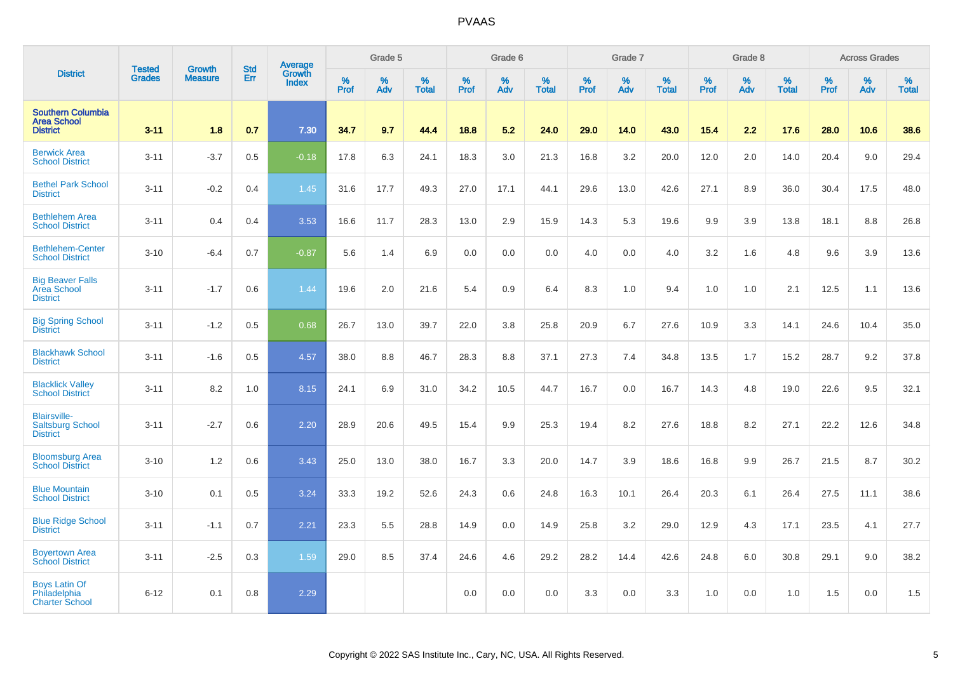|                                                                   |                                |                                 |                   | Average                |           | Grade 5  |                   |           | Grade 6  |                   |           | Grade 7  |                   |           | Grade 8  |                   |           | <b>Across Grades</b> |                   |
|-------------------------------------------------------------------|--------------------------------|---------------------------------|-------------------|------------------------|-----------|----------|-------------------|-----------|----------|-------------------|-----------|----------|-------------------|-----------|----------|-------------------|-----------|----------------------|-------------------|
| <b>District</b>                                                   | <b>Tested</b><br><b>Grades</b> | <b>Growth</b><br><b>Measure</b> | <b>Std</b><br>Err | Growth<br><b>Index</b> | %<br>Prof | %<br>Adv | %<br><b>Total</b> | %<br>Prof | %<br>Adv | %<br><b>Total</b> | %<br>Prof | %<br>Adv | %<br><b>Total</b> | %<br>Prof | %<br>Adv | %<br><b>Total</b> | %<br>Prof | %<br>Adv             | %<br><b>Total</b> |
| <b>Southern Columbia</b><br><b>Area School</b><br><b>District</b> | $3 - 11$                       | 1.8                             | 0.7               | 7.30                   | 34.7      | 9.7      | 44.4              | 18.8      | 5.2      | 24.0              | 29.0      | 14.0     | 43.0              | 15.4      | 2.2      | 17.6              | 28.0      | 10.6                 | 38.6              |
| <b>Berwick Area</b><br><b>School District</b>                     | $3 - 11$                       | $-3.7$                          | 0.5               | $-0.18$                | 17.8      | 6.3      | 24.1              | 18.3      | 3.0      | 21.3              | 16.8      | 3.2      | 20.0              | 12.0      | 2.0      | 14.0              | 20.4      | 9.0                  | 29.4              |
| <b>Bethel Park School</b><br><b>District</b>                      | $3 - 11$                       | $-0.2$                          | 0.4               | 1.45                   | 31.6      | 17.7     | 49.3              | 27.0      | 17.1     | 44.1              | 29.6      | 13.0     | 42.6              | 27.1      | 8.9      | 36.0              | 30.4      | 17.5                 | 48.0              |
| <b>Bethlehem Area</b><br><b>School District</b>                   | $3 - 11$                       | 0.4                             | 0.4               | 3.53                   | 16.6      | 11.7     | 28.3              | 13.0      | 2.9      | 15.9              | 14.3      | 5.3      | 19.6              | 9.9       | 3.9      | 13.8              | 18.1      | 8.8                  | 26.8              |
| <b>Bethlehem-Center</b><br><b>School District</b>                 | $3 - 10$                       | $-6.4$                          | 0.7               | $-0.87$                | 5.6       | 1.4      | 6.9               | 0.0       | 0.0      | 0.0               | 4.0       | 0.0      | 4.0               | 3.2       | 1.6      | 4.8               | 9.6       | 3.9                  | 13.6              |
| <b>Big Beaver Falls</b><br>Area School<br><b>District</b>         | $3 - 11$                       | $-1.7$                          | 0.6               | 1.44                   | 19.6      | 2.0      | 21.6              | 5.4       | 0.9      | 6.4               | 8.3       | 1.0      | 9.4               | 1.0       | 1.0      | 2.1               | 12.5      | 1.1                  | 13.6              |
| <b>Big Spring School</b><br><b>District</b>                       | $3 - 11$                       | $-1.2$                          | 0.5               | 0.68                   | 26.7      | 13.0     | 39.7              | 22.0      | 3.8      | 25.8              | 20.9      | 6.7      | 27.6              | 10.9      | 3.3      | 14.1              | 24.6      | 10.4                 | 35.0              |
| <b>Blackhawk School</b><br><b>District</b>                        | $3 - 11$                       | $-1.6$                          | 0.5               | 4.57                   | 38.0      | 8.8      | 46.7              | 28.3      | 8.8      | 37.1              | 27.3      | 7.4      | 34.8              | 13.5      | 1.7      | 15.2              | 28.7      | 9.2                  | 37.8              |
| <b>Blacklick Valley</b><br><b>School District</b>                 | $3 - 11$                       | 8.2                             | 1.0               | 8.15                   | 24.1      | 6.9      | 31.0              | 34.2      | 10.5     | 44.7              | 16.7      | 0.0      | 16.7              | 14.3      | 4.8      | 19.0              | 22.6      | 9.5                  | 32.1              |
| <b>Blairsville-</b><br><b>Saltsburg School</b><br><b>District</b> | $3 - 11$                       | $-2.7$                          | 0.6               | 2.20                   | 28.9      | 20.6     | 49.5              | 15.4      | 9.9      | 25.3              | 19.4      | 8.2      | 27.6              | 18.8      | 8.2      | 27.1              | 22.2      | 12.6                 | 34.8              |
| <b>Bloomsburg Area</b><br><b>School District</b>                  | $3 - 10$                       | 1.2                             | 0.6               | 3.43                   | 25.0      | 13.0     | 38.0              | 16.7      | 3.3      | 20.0              | 14.7      | 3.9      | 18.6              | 16.8      | 9.9      | 26.7              | 21.5      | 8.7                  | 30.2              |
| <b>Blue Mountain</b><br><b>School District</b>                    | $3 - 10$                       | 0.1                             | 0.5               | 3.24                   | 33.3      | 19.2     | 52.6              | 24.3      | 0.6      | 24.8              | 16.3      | 10.1     | 26.4              | 20.3      | 6.1      | 26.4              | 27.5      | 11.1                 | 38.6              |
| <b>Blue Ridge School</b><br><b>District</b>                       | $3 - 11$                       | $-1.1$                          | 0.7               | 2.21                   | 23.3      | 5.5      | 28.8              | 14.9      | 0.0      | 14.9              | 25.8      | 3.2      | 29.0              | 12.9      | 4.3      | 17.1              | 23.5      | 4.1                  | 27.7              |
| <b>Boyertown Area</b><br><b>School District</b>                   | $3 - 11$                       | $-2.5$                          | 0.3               | 1.59                   | 29.0      | 8.5      | 37.4              | 24.6      | 4.6      | 29.2              | 28.2      | 14.4     | 42.6              | 24.8      | 6.0      | 30.8              | 29.1      | 9.0                  | 38.2              |
| <b>Boys Latin Of</b><br>Philadelphia<br><b>Charter School</b>     | $6 - 12$                       | 0.1                             | 0.8               | 2.29                   |           |          |                   | 0.0       | 0.0      | 0.0               | 3.3       | 0.0      | 3.3               | 1.0       | 0.0      | 1.0               | 1.5       | 0.0                  | 1.5               |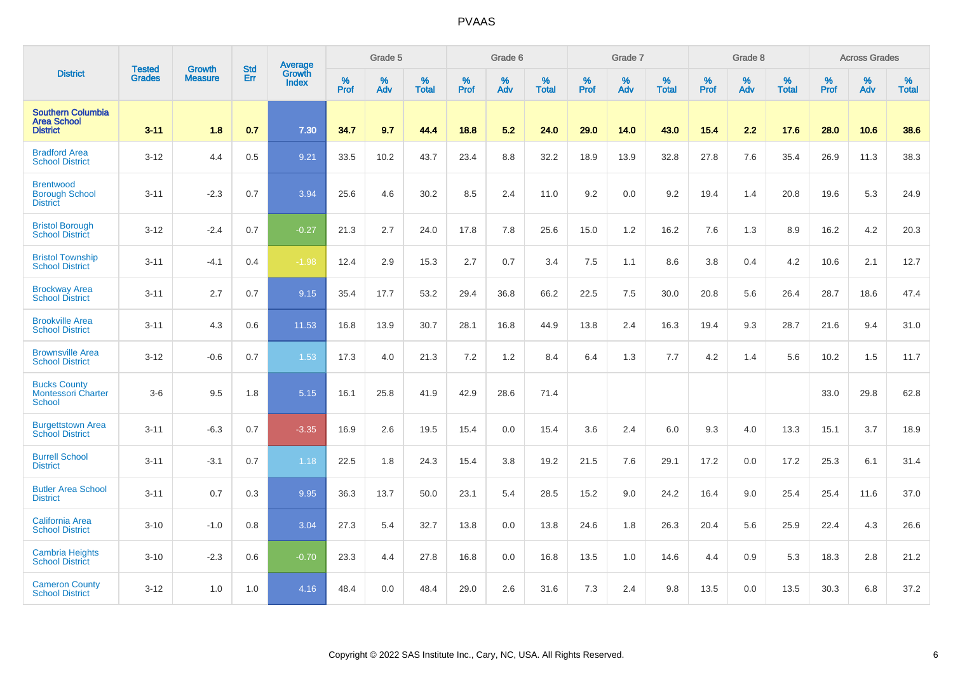|                                                                   | <b>Tested</b> | <b>Growth</b>  | <b>Std</b> | Average                       |           | Grade 5  |                   |           | Grade 6  |                   |           | Grade 7  |                   |           | Grade 8  |                   |           | <b>Across Grades</b> |                   |
|-------------------------------------------------------------------|---------------|----------------|------------|-------------------------------|-----------|----------|-------------------|-----------|----------|-------------------|-----------|----------|-------------------|-----------|----------|-------------------|-----------|----------------------|-------------------|
| <b>District</b>                                                   | <b>Grades</b> | <b>Measure</b> | <b>Err</b> | <b>Growth</b><br><b>Index</b> | %<br>Prof | %<br>Adv | %<br><b>Total</b> | %<br>Prof | %<br>Adv | %<br><b>Total</b> | %<br>Prof | %<br>Adv | %<br><b>Total</b> | %<br>Prof | %<br>Adv | %<br><b>Total</b> | %<br>Prof | %<br>Adv             | %<br><b>Total</b> |
| <b>Southern Columbia</b><br><b>Area School</b><br><b>District</b> | $3 - 11$      | 1.8            | 0.7        | 7.30                          | 34.7      | 9.7      | 44.4              | 18.8      | 5.2      | 24.0              | 29.0      | 14.0     | 43.0              | $15.4$    | 2.2      | 17.6              | 28.0      | 10.6                 | 38.6              |
| <b>Bradford Area</b><br><b>School District</b>                    | $3 - 12$      | 4.4            | 0.5        | 9.21                          | 33.5      | 10.2     | 43.7              | 23.4      | 8.8      | 32.2              | 18.9      | 13.9     | 32.8              | 27.8      | 7.6      | 35.4              | 26.9      | 11.3                 | 38.3              |
| <b>Brentwood</b><br><b>Borough School</b><br><b>District</b>      | $3 - 11$      | $-2.3$         | 0.7        | 3.94                          | 25.6      | 4.6      | 30.2              | 8.5       | 2.4      | 11.0              | 9.2       | 0.0      | 9.2               | 19.4      | 1.4      | 20.8              | 19.6      | 5.3                  | 24.9              |
| <b>Bristol Borough</b><br><b>School District</b>                  | $3 - 12$      | $-2.4$         | 0.7        | $-0.27$                       | 21.3      | 2.7      | 24.0              | 17.8      | 7.8      | 25.6              | 15.0      | 1.2      | 16.2              | 7.6       | 1.3      | 8.9               | 16.2      | 4.2                  | 20.3              |
| <b>Bristol Township</b><br><b>School District</b>                 | $3 - 11$      | $-4.1$         | 0.4        | $-1.98$                       | 12.4      | 2.9      | 15.3              | 2.7       | 0.7      | 3.4               | 7.5       | 1.1      | 8.6               | 3.8       | 0.4      | 4.2               | 10.6      | 2.1                  | 12.7              |
| <b>Brockway Area</b><br><b>School District</b>                    | $3 - 11$      | 2.7            | 0.7        | 9.15                          | 35.4      | 17.7     | 53.2              | 29.4      | 36.8     | 66.2              | 22.5      | 7.5      | 30.0              | 20.8      | 5.6      | 26.4              | 28.7      | 18.6                 | 47.4              |
| <b>Brookville Area</b><br><b>School District</b>                  | $3 - 11$      | 4.3            | 0.6        | 11.53                         | 16.8      | 13.9     | 30.7              | 28.1      | 16.8     | 44.9              | 13.8      | 2.4      | 16.3              | 19.4      | 9.3      | 28.7              | 21.6      | 9.4                  | 31.0              |
| <b>Brownsville Area</b><br><b>School District</b>                 | $3 - 12$      | $-0.6$         | 0.7        | 1.53                          | 17.3      | 4.0      | 21.3              | 7.2       | 1.2      | 8.4               | 6.4       | 1.3      | 7.7               | 4.2       | 1.4      | 5.6               | 10.2      | 1.5                  | 11.7              |
| <b>Bucks County</b><br><b>Montessori Charter</b><br><b>School</b> | $3-6$         | 9.5            | 1.8        | 5.15                          | 16.1      | 25.8     | 41.9              | 42.9      | 28.6     | 71.4              |           |          |                   |           |          |                   | 33.0      | 29.8                 | 62.8              |
| <b>Burgettstown Area</b><br><b>School District</b>                | $3 - 11$      | $-6.3$         | 0.7        | $-3.35$                       | 16.9      | 2.6      | 19.5              | 15.4      | 0.0      | 15.4              | 3.6       | 2.4      | 6.0               | 9.3       | 4.0      | 13.3              | 15.1      | 3.7                  | 18.9              |
| <b>Burrell School</b><br><b>District</b>                          | $3 - 11$      | $-3.1$         | 0.7        | 1.18                          | 22.5      | 1.8      | 24.3              | 15.4      | 3.8      | 19.2              | 21.5      | 7.6      | 29.1              | 17.2      | 0.0      | 17.2              | 25.3      | 6.1                  | 31.4              |
| <b>Butler Area School</b><br><b>District</b>                      | $3 - 11$      | 0.7            | 0.3        | 9.95                          | 36.3      | 13.7     | 50.0              | 23.1      | 5.4      | 28.5              | 15.2      | 9.0      | 24.2              | 16.4      | 9.0      | 25.4              | 25.4      | 11.6                 | 37.0              |
| <b>California Area</b><br><b>School District</b>                  | $3 - 10$      | $-1.0$         | 0.8        | 3.04                          | 27.3      | 5.4      | 32.7              | 13.8      | 0.0      | 13.8              | 24.6      | 1.8      | 26.3              | 20.4      | 5.6      | 25.9              | 22.4      | 4.3                  | 26.6              |
| <b>Cambria Heights</b><br><b>School District</b>                  | $3 - 10$      | $-2.3$         | 0.6        | $-0.70$                       | 23.3      | 4.4      | 27.8              | 16.8      | 0.0      | 16.8              | 13.5      | 1.0      | 14.6              | 4.4       | 0.9      | 5.3               | 18.3      | 2.8                  | 21.2              |
| <b>Cameron County</b><br><b>School District</b>                   | $3 - 12$      | 1.0            | 1.0        | 4.16                          | 48.4      | 0.0      | 48.4              | 29.0      | 2.6      | 31.6              | 7.3       | 2.4      | 9.8               | 13.5      | 0.0      | 13.5              | 30.3      | 6.8                  | 37.2              |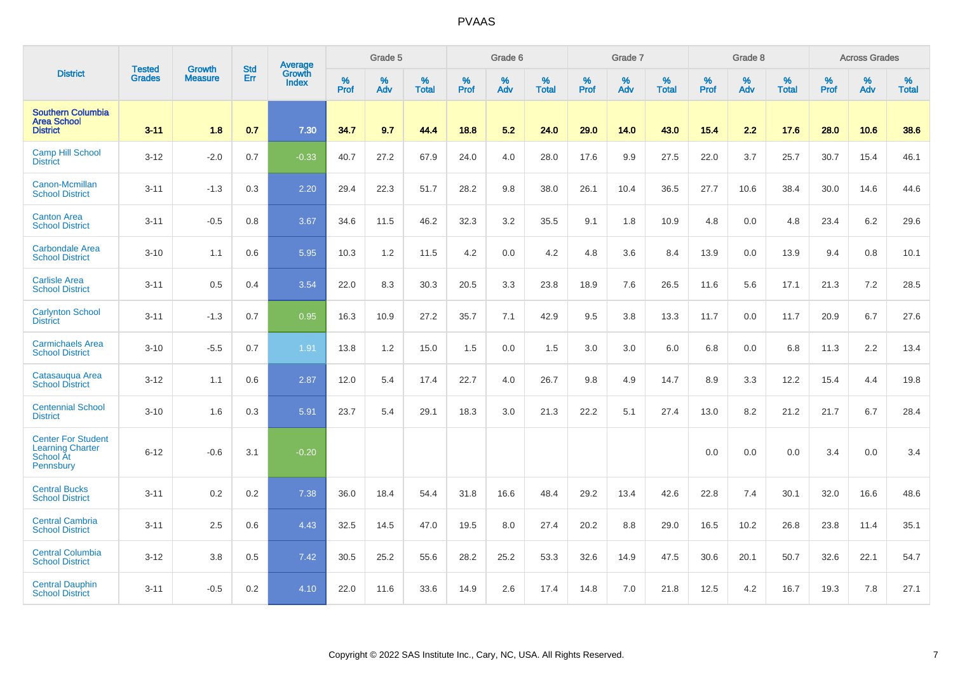|                                                                                | <b>Tested</b> | <b>Growth</b>  | <b>Std</b> | Average                       |              | Grade 5  |                   |           | Grade 6  |                   |           | Grade 7  |                   |           | Grade 8  |                   |           | <b>Across Grades</b> |                   |
|--------------------------------------------------------------------------------|---------------|----------------|------------|-------------------------------|--------------|----------|-------------------|-----------|----------|-------------------|-----------|----------|-------------------|-----------|----------|-------------------|-----------|----------------------|-------------------|
| <b>District</b>                                                                | <b>Grades</b> | <b>Measure</b> | Err        | <b>Growth</b><br><b>Index</b> | $\%$<br>Prof | %<br>Adv | %<br><b>Total</b> | %<br>Prof | %<br>Adv | %<br><b>Total</b> | %<br>Prof | %<br>Adv | %<br><b>Total</b> | %<br>Prof | %<br>Adv | %<br><b>Total</b> | %<br>Prof | %<br>Adv             | %<br><b>Total</b> |
| <b>Southern Columbia</b><br><b>Area School</b><br><b>District</b>              | $3 - 11$      | 1.8            | 0.7        | 7.30                          | 34.7         | 9.7      | 44.4              | 18.8      | 5.2      | 24.0              | 29.0      | 14.0     | 43.0              | $15.4$    | 2.2      | 17.6              | 28.0      | 10.6                 | 38.6              |
| <b>Camp Hill School</b><br><b>District</b>                                     | $3 - 12$      | $-2.0$         | 0.7        | $-0.33$                       | 40.7         | 27.2     | 67.9              | 24.0      | 4.0      | 28.0              | 17.6      | 9.9      | 27.5              | 22.0      | 3.7      | 25.7              | 30.7      | 15.4                 | 46.1              |
| Canon-Mcmillan<br><b>School District</b>                                       | $3 - 11$      | $-1.3$         | 0.3        | 2.20                          | 29.4         | 22.3     | 51.7              | 28.2      | 9.8      | 38.0              | 26.1      | 10.4     | 36.5              | 27.7      | 10.6     | 38.4              | 30.0      | 14.6                 | 44.6              |
| <b>Canton Area</b><br><b>School District</b>                                   | $3 - 11$      | $-0.5$         | 0.8        | 3.67                          | 34.6         | 11.5     | 46.2              | 32.3      | 3.2      | 35.5              | 9.1       | 1.8      | 10.9              | 4.8       | 0.0      | 4.8               | 23.4      | $6.2\,$              | 29.6              |
| <b>Carbondale Area</b><br><b>School District</b>                               | $3 - 10$      | 1.1            | 0.6        | 5.95                          | 10.3         | 1.2      | 11.5              | 4.2       | 0.0      | 4.2               | 4.8       | 3.6      | 8.4               | 13.9      | 0.0      | 13.9              | 9.4       | 0.8                  | 10.1              |
| <b>Carlisle Area</b><br><b>School District</b>                                 | $3 - 11$      | 0.5            | 0.4        | 3.54                          | 22.0         | 8.3      | 30.3              | 20.5      | 3.3      | 23.8              | 18.9      | 7.6      | 26.5              | 11.6      | 5.6      | 17.1              | 21.3      | 7.2                  | 28.5              |
| <b>Carlynton School</b><br><b>District</b>                                     | $3 - 11$      | $-1.3$         | 0.7        | 0.95                          | 16.3         | 10.9     | 27.2              | 35.7      | 7.1      | 42.9              | 9.5       | 3.8      | 13.3              | 11.7      | 0.0      | 11.7              | 20.9      | 6.7                  | 27.6              |
| <b>Carmichaels Area</b><br><b>School District</b>                              | $3 - 10$      | $-5.5$         | 0.7        | 1.91                          | 13.8         | 1.2      | 15.0              | 1.5       | 0.0      | 1.5               | 3.0       | 3.0      | 6.0               | 6.8       | 0.0      | 6.8               | 11.3      | 2.2                  | 13.4              |
| Catasaugua Area<br><b>School District</b>                                      | $3 - 12$      | 1.1            | 0.6        | 2.87                          | 12.0         | 5.4      | 17.4              | 22.7      | 4.0      | 26.7              | 9.8       | 4.9      | 14.7              | 8.9       | 3.3      | 12.2              | 15.4      | 4.4                  | 19.8              |
| <b>Centennial School</b><br><b>District</b>                                    | $3 - 10$      | 1.6            | 0.3        | 5.91                          | 23.7         | 5.4      | 29.1              | 18.3      | 3.0      | 21.3              | 22.2      | 5.1      | 27.4              | 13.0      | 8.2      | 21.2              | 21.7      | 6.7                  | 28.4              |
| <b>Center For Student</b><br><b>Learning Charter</b><br>School At<br>Pennsbury | $6 - 12$      | $-0.6$         | 3.1        | $-0.20$                       |              |          |                   |           |          |                   |           |          |                   | 0.0       | 0.0      | 0.0               | 3.4       | 0.0                  | 3.4               |
| <b>Central Bucks</b><br><b>School District</b>                                 | $3 - 11$      | 0.2            | 0.2        | 7.38                          | 36.0         | 18.4     | 54.4              | 31.8      | 16.6     | 48.4              | 29.2      | 13.4     | 42.6              | 22.8      | 7.4      | 30.1              | 32.0      | 16.6                 | 48.6              |
| <b>Central Cambria</b><br><b>School District</b>                               | $3 - 11$      | 2.5            | 0.6        | 4.43                          | 32.5         | 14.5     | 47.0              | 19.5      | 8.0      | 27.4              | 20.2      | 8.8      | 29.0              | 16.5      | 10.2     | 26.8              | 23.8      | 11.4                 | 35.1              |
| <b>Central Columbia</b><br><b>School District</b>                              | $3 - 12$      | 3.8            | 0.5        | 7.42                          | 30.5         | 25.2     | 55.6              | 28.2      | 25.2     | 53.3              | 32.6      | 14.9     | 47.5              | 30.6      | 20.1     | 50.7              | 32.6      | 22.1                 | 54.7              |
| <b>Central Dauphin</b><br><b>School District</b>                               | $3 - 11$      | $-0.5$         | 0.2        | 4.10                          | 22.0         | 11.6     | 33.6              | 14.9      | 2.6      | 17.4              | 14.8      | 7.0      | 21.8              | 12.5      | 4.2      | 16.7              | 19.3      | 7.8                  | 27.1              |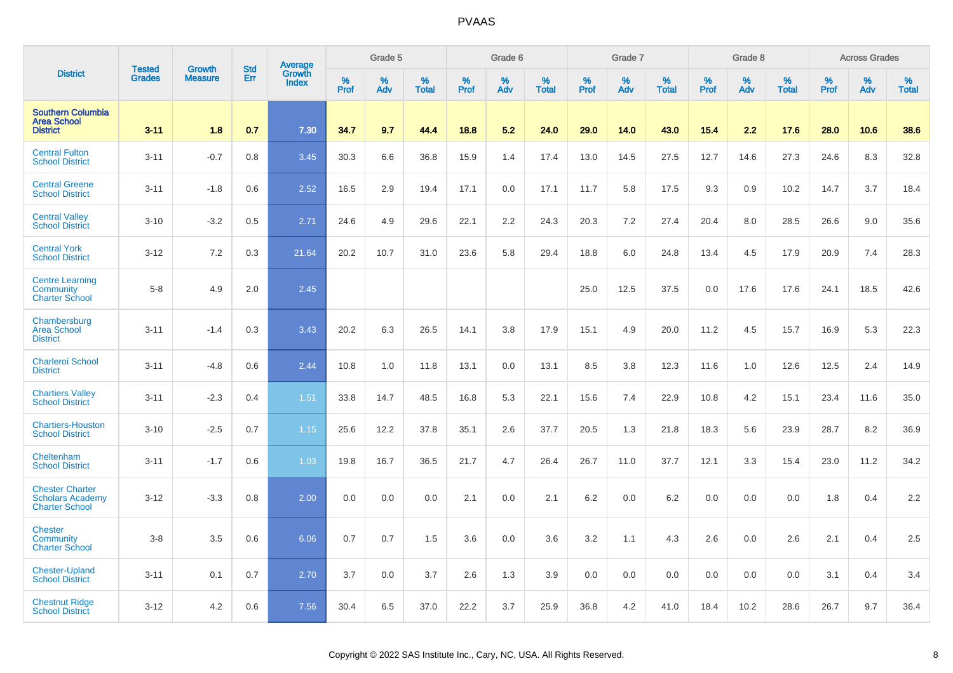|                                                                            |                                |                                 | <b>Std</b> | Average                |              | Grade 5  |                   |              | Grade 6  |                   |              | Grade 7  |                   |              | Grade 8  |                   |           | <b>Across Grades</b> |                   |
|----------------------------------------------------------------------------|--------------------------------|---------------------------------|------------|------------------------|--------------|----------|-------------------|--------------|----------|-------------------|--------------|----------|-------------------|--------------|----------|-------------------|-----------|----------------------|-------------------|
| <b>District</b>                                                            | <b>Tested</b><br><b>Grades</b> | <b>Growth</b><br><b>Measure</b> | Err        | Growth<br><b>Index</b> | $\%$<br>Prof | %<br>Adv | %<br><b>Total</b> | $\%$<br>Prof | %<br>Adv | %<br><b>Total</b> | $\%$<br>Prof | %<br>Adv | %<br><b>Total</b> | $\%$<br>Prof | %<br>Adv | %<br><b>Total</b> | %<br>Prof | %<br>Adv             | %<br><b>Total</b> |
| <b>Southern Columbia</b><br><b>Area School</b><br><b>District</b>          | $3 - 11$                       | 1.8                             | 0.7        | 7.30                   | 34.7         | 9.7      | 44.4              | 18.8         | 5.2      | 24.0              | 29.0         | 14.0     | 43.0              | 15.4         | 2.2      | 17.6              | 28.0      | 10.6                 | 38.6              |
| <b>Central Fulton</b><br><b>School District</b>                            | $3 - 11$                       | $-0.7$                          | 0.8        | 3.45                   | 30.3         | 6.6      | 36.8              | 15.9         | 1.4      | 17.4              | 13.0         | 14.5     | 27.5              | 12.7         | 14.6     | 27.3              | 24.6      | 8.3                  | 32.8              |
| <b>Central Greene</b><br><b>School District</b>                            | $3 - 11$                       | $-1.8$                          | 0.6        | 2.52                   | 16.5         | 2.9      | 19.4              | 17.1         | 0.0      | 17.1              | 11.7         | 5.8      | 17.5              | 9.3          | 0.9      | 10.2              | 14.7      | 3.7                  | 18.4              |
| <b>Central Valley</b><br><b>School District</b>                            | $3 - 10$                       | $-3.2$                          | 0.5        | 2.71                   | 24.6         | 4.9      | 29.6              | 22.1         | 2.2      | 24.3              | 20.3         | 7.2      | 27.4              | 20.4         | 8.0      | 28.5              | 26.6      | 9.0                  | 35.6              |
| <b>Central York</b><br><b>School District</b>                              | $3 - 12$                       | 7.2                             | 0.3        | 21.64                  | 20.2         | 10.7     | 31.0              | 23.6         | 5.8      | 29.4              | 18.8         | 6.0      | 24.8              | 13.4         | 4.5      | 17.9              | 20.9      | 7.4                  | 28.3              |
| <b>Centre Learning</b><br>Community<br><b>Charter School</b>               | $5-8$                          | 4.9                             | 2.0        | 2.45                   |              |          |                   |              |          |                   | 25.0         | 12.5     | 37.5              | 0.0          | 17.6     | 17.6              | 24.1      | 18.5                 | 42.6              |
| Chambersburg<br><b>Area School</b><br><b>District</b>                      | $3 - 11$                       | $-1.4$                          | 0.3        | 3.43                   | 20.2         | 6.3      | 26.5              | 14.1         | 3.8      | 17.9              | 15.1         | 4.9      | 20.0              | 11.2         | 4.5      | 15.7              | 16.9      | 5.3                  | 22.3              |
| <b>Charleroi School</b><br><b>District</b>                                 | $3 - 11$                       | $-4.8$                          | 0.6        | 2.44                   | 10.8         | 1.0      | 11.8              | 13.1         | 0.0      | 13.1              | 8.5          | 3.8      | 12.3              | 11.6         | 1.0      | 12.6              | 12.5      | 2.4                  | 14.9              |
| <b>Chartiers Valley</b><br><b>School District</b>                          | $3 - 11$                       | $-2.3$                          | 0.4        | 1.51                   | 33.8         | 14.7     | 48.5              | 16.8         | 5.3      | 22.1              | 15.6         | 7.4      | 22.9              | 10.8         | 4.2      | 15.1              | 23.4      | 11.6                 | 35.0              |
| <b>Chartiers-Houston</b><br><b>School District</b>                         | $3 - 10$                       | $-2.5$                          | 0.7        | 1.15                   | 25.6         | 12.2     | 37.8              | 35.1         | 2.6      | 37.7              | 20.5         | 1.3      | 21.8              | 18.3         | 5.6      | 23.9              | 28.7      | 8.2                  | 36.9              |
| Cheltenham<br><b>School District</b>                                       | $3 - 11$                       | $-1.7$                          | 0.6        | 1.03                   | 19.8         | 16.7     | 36.5              | 21.7         | 4.7      | 26.4              | 26.7         | 11.0     | 37.7              | 12.1         | 3.3      | 15.4              | 23.0      | 11.2                 | 34.2              |
| <b>Chester Charter</b><br><b>Scholars Academy</b><br><b>Charter School</b> | $3 - 12$                       | $-3.3$                          | 0.8        | 2.00                   | 0.0          | 0.0      | 0.0               | 2.1          | 0.0      | 2.1               | 6.2          | 0.0      | 6.2               | 0.0          | 0.0      | 0.0               | 1.8       | 0.4                  | 2.2               |
| <b>Chester</b><br>Community<br><b>Charter School</b>                       | $3 - 8$                        | 3.5                             | 0.6        | 6.06                   | 0.7          | 0.7      | 1.5               | 3.6          | 0.0      | 3.6               | 3.2          | 1.1      | 4.3               | 2.6          | 0.0      | 2.6               | 2.1       | 0.4                  | 2.5               |
| <b>Chester-Upland</b><br><b>School District</b>                            | $3 - 11$                       | 0.1                             | 0.7        | 2.70                   | 3.7          | 0.0      | 3.7               | 2.6          | 1.3      | 3.9               | 0.0          | 0.0      | 0.0               | 0.0          | 0.0      | 0.0               | 3.1       | 0.4                  | 3.4               |
| <b>Chestnut Ridge</b><br><b>School District</b>                            | $3 - 12$                       | 4.2                             | 0.6        | 7.56                   | 30.4         | 6.5      | 37.0              | 22.2         | 3.7      | 25.9              | 36.8         | 4.2      | 41.0              | 18.4         | 10.2     | 28.6              | 26.7      | 9.7                  | 36.4              |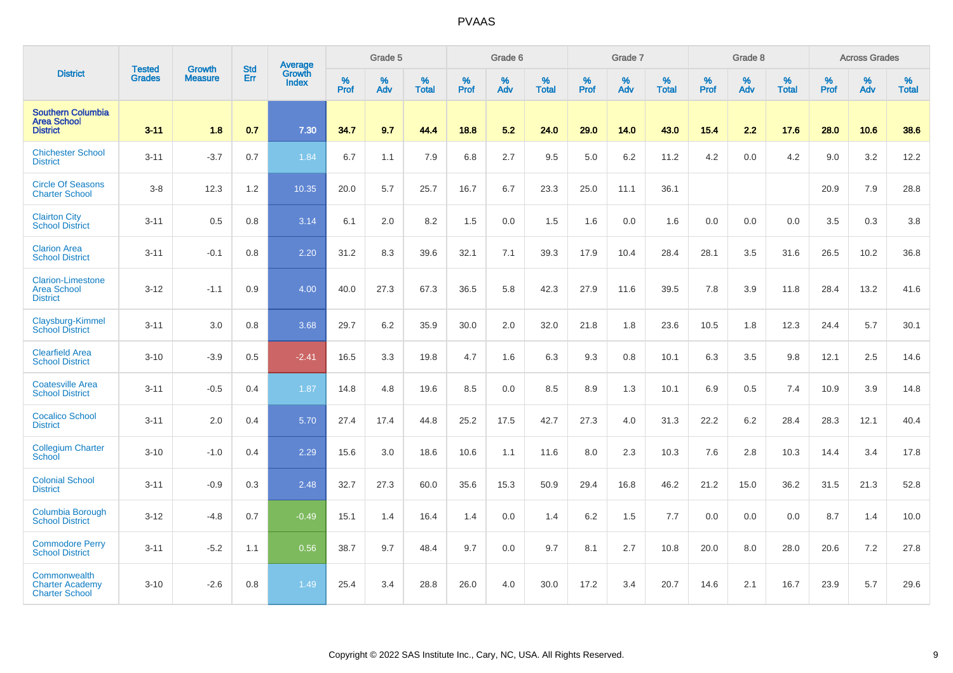|                                                                   |                                | <b>Growth</b>  | <b>Std</b> | Average                |           | Grade 5  |                   |           | Grade 6  |                   |           | Grade 7  |                   |           | Grade 8  |                   |           | <b>Across Grades</b> |                   |
|-------------------------------------------------------------------|--------------------------------|----------------|------------|------------------------|-----------|----------|-------------------|-----------|----------|-------------------|-----------|----------|-------------------|-----------|----------|-------------------|-----------|----------------------|-------------------|
| <b>District</b>                                                   | <b>Tested</b><br><b>Grades</b> | <b>Measure</b> | Err        | Growth<br><b>Index</b> | %<br>Prof | %<br>Adv | %<br><b>Total</b> | %<br>Prof | %<br>Adv | %<br><b>Total</b> | %<br>Prof | %<br>Adv | %<br><b>Total</b> | %<br>Prof | %<br>Adv | %<br><b>Total</b> | %<br>Prof | %<br>Adv             | %<br><b>Total</b> |
| <b>Southern Columbia</b><br><b>Area School</b><br><b>District</b> | $3 - 11$                       | 1.8            | 0.7        | 7.30                   | 34.7      | 9.7      | 44.4              | 18.8      | 5.2      | 24.0              | 29.0      | 14.0     | 43.0              | $15.4$    | 2.2      | 17.6              | 28.0      | 10.6                 | 38.6              |
| <b>Chichester School</b><br><b>District</b>                       | $3 - 11$                       | $-3.7$         | 0.7        | 1.84                   | 6.7       | 1.1      | 7.9               | 6.8       | 2.7      | 9.5               | 5.0       | 6.2      | 11.2              | 4.2       | 0.0      | 4.2               | 9.0       | 3.2                  | 12.2              |
| <b>Circle Of Seasons</b><br><b>Charter School</b>                 | $3-8$                          | 12.3           | 1.2        | 10.35                  | 20.0      | 5.7      | 25.7              | 16.7      | 6.7      | 23.3              | 25.0      | 11.1     | 36.1              |           |          |                   | 20.9      | 7.9                  | 28.8              |
| <b>Clairton City</b><br><b>School District</b>                    | $3 - 11$                       | 0.5            | 0.8        | 3.14                   | 6.1       | 2.0      | 8.2               | 1.5       | 0.0      | 1.5               | 1.6       | 0.0      | 1.6               | 0.0       | 0.0      | 0.0               | 3.5       | 0.3                  | 3.8               |
| <b>Clarion Area</b><br><b>School District</b>                     | $3 - 11$                       | $-0.1$         | 0.8        | 2.20                   | 31.2      | 8.3      | 39.6              | 32.1      | 7.1      | 39.3              | 17.9      | 10.4     | 28.4              | 28.1      | 3.5      | 31.6              | 26.5      | 10.2                 | 36.8              |
| <b>Clarion-Limestone</b><br><b>Area School</b><br><b>District</b> | $3 - 12$                       | $-1.1$         | 0.9        | 4.00                   | 40.0      | 27.3     | 67.3              | 36.5      | 5.8      | 42.3              | 27.9      | 11.6     | 39.5              | 7.8       | 3.9      | 11.8              | 28.4      | 13.2                 | 41.6              |
| Claysburg-Kimmel<br><b>School District</b>                        | $3 - 11$                       | 3.0            | 0.8        | 3.68                   | 29.7      | 6.2      | 35.9              | 30.0      | 2.0      | 32.0              | 21.8      | 1.8      | 23.6              | 10.5      | 1.8      | 12.3              | 24.4      | 5.7                  | 30.1              |
| <b>Clearfield Area</b><br><b>School District</b>                  | $3 - 10$                       | $-3.9$         | 0.5        | $-2.41$                | 16.5      | 3.3      | 19.8              | 4.7       | 1.6      | 6.3               | 9.3       | 0.8      | 10.1              | 6.3       | 3.5      | 9.8               | 12.1      | 2.5                  | 14.6              |
| <b>Coatesville Area</b><br><b>School District</b>                 | $3 - 11$                       | $-0.5$         | 0.4        | 1.87                   | 14.8      | 4.8      | 19.6              | 8.5       | 0.0      | 8.5               | 8.9       | 1.3      | 10.1              | 6.9       | $0.5\,$  | 7.4               | 10.9      | 3.9                  | 14.8              |
| <b>Cocalico School</b><br><b>District</b>                         | $3 - 11$                       | 2.0            | 0.4        | 5.70                   | 27.4      | 17.4     | 44.8              | 25.2      | 17.5     | 42.7              | 27.3      | 4.0      | 31.3              | 22.2      | 6.2      | 28.4              | 28.3      | 12.1                 | 40.4              |
| <b>Collegium Charter</b><br>School                                | $3 - 10$                       | $-1.0$         | 0.4        | 2.29                   | 15.6      | 3.0      | 18.6              | 10.6      | 1.1      | 11.6              | 8.0       | 2.3      | 10.3              | 7.6       | 2.8      | 10.3              | 14.4      | 3.4                  | 17.8              |
| <b>Colonial School</b><br><b>District</b>                         | $3 - 11$                       | $-0.9$         | 0.3        | 2.48                   | 32.7      | 27.3     | 60.0              | 35.6      | 15.3     | 50.9              | 29.4      | 16.8     | 46.2              | 21.2      | 15.0     | 36.2              | 31.5      | 21.3                 | 52.8              |
| Columbia Borough<br><b>School District</b>                        | $3 - 12$                       | $-4.8$         | 0.7        | $-0.49$                | 15.1      | 1.4      | 16.4              | 1.4       | 0.0      | 1.4               | 6.2       | 1.5      | 7.7               | 0.0       | 0.0      | 0.0               | 8.7       | 1.4                  | 10.0              |
| <b>Commodore Perry</b><br><b>School District</b>                  | $3 - 11$                       | $-5.2$         | 1.1        | 0.56                   | 38.7      | 9.7      | 48.4              | 9.7       | 0.0      | 9.7               | 8.1       | 2.7      | 10.8              | 20.0      | 8.0      | 28.0              | 20.6      | 7.2                  | 27.8              |
| Commonwealth<br><b>Charter Academy</b><br><b>Charter School</b>   | $3 - 10$                       | $-2.6$         | 0.8        | 1.49                   | 25.4      | 3.4      | 28.8              | 26.0      | 4.0      | 30.0              | 17.2      | 3.4      | 20.7              | 14.6      | 2.1      | 16.7              | 23.9      | 5.7                  | 29.6              |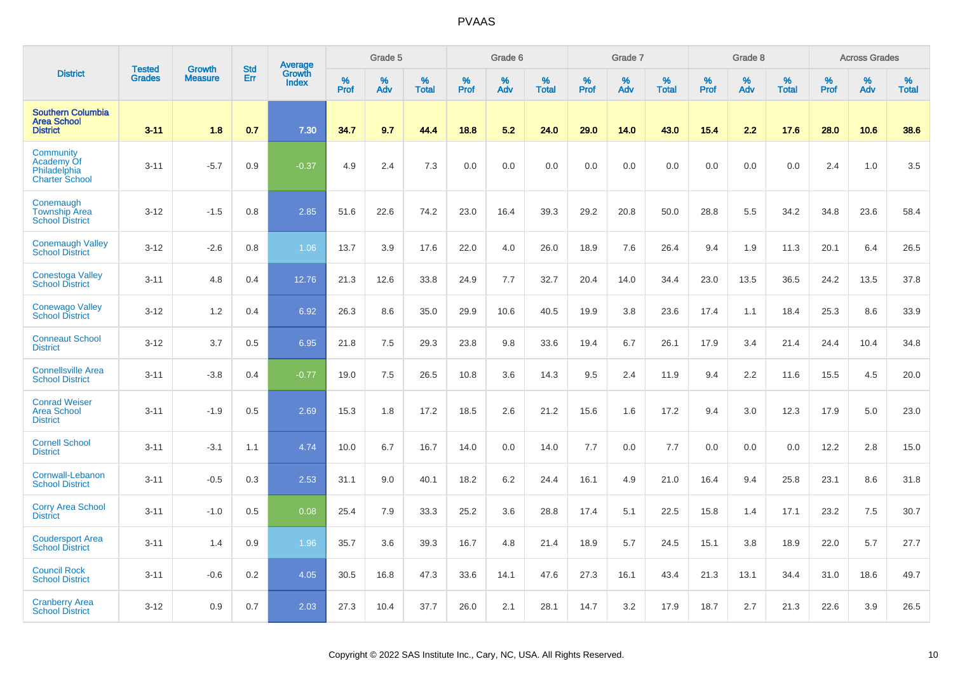|                                                                   | <b>Tested</b> | <b>Growth</b>  | <b>Std</b> | Average                |           | Grade 5  |                   |           | Grade 6  |                   |           | Grade 7  |                   |           | Grade 8  |                   |           | <b>Across Grades</b> |                   |
|-------------------------------------------------------------------|---------------|----------------|------------|------------------------|-----------|----------|-------------------|-----------|----------|-------------------|-----------|----------|-------------------|-----------|----------|-------------------|-----------|----------------------|-------------------|
| <b>District</b>                                                   | <b>Grades</b> | <b>Measure</b> | Err        | Growth<br><b>Index</b> | %<br>Prof | %<br>Adv | %<br><b>Total</b> | %<br>Prof | %<br>Adv | %<br><b>Total</b> | %<br>Prof | %<br>Adv | %<br><b>Total</b> | %<br>Prof | %<br>Adv | %<br><b>Total</b> | %<br>Prof | %<br>Adv             | %<br><b>Total</b> |
| <b>Southern Columbia</b><br><b>Area School</b><br><b>District</b> | $3 - 11$      | 1.8            | 0.7        | 7.30                   | 34.7      | 9.7      | 44.4              | 18.8      | 5.2      | 24.0              | 29.0      | 14.0     | 43.0              | 15.4      | 2.2      | 17.6              | 28.0      | 10.6                 | 38.6              |
| Community<br>Academy Of<br>Philadelphia<br><b>Charter School</b>  | $3 - 11$      | $-5.7$         | 0.9        | $-0.37$                | 4.9       | 2.4      | 7.3               | 0.0       | 0.0      | 0.0               | 0.0       | 0.0      | 0.0               | 0.0       | 0.0      | 0.0               | 2.4       | 1.0                  | 3.5               |
| Conemaugh<br><b>Township Area</b><br><b>School District</b>       | $3 - 12$      | $-1.5$         | 0.8        | 2.85                   | 51.6      | 22.6     | 74.2              | 23.0      | 16.4     | 39.3              | 29.2      | 20.8     | 50.0              | 28.8      | 5.5      | 34.2              | 34.8      | 23.6                 | 58.4              |
| <b>Conemaugh Valley</b><br><b>School District</b>                 | $3 - 12$      | $-2.6$         | 0.8        | 1.06                   | 13.7      | 3.9      | 17.6              | 22.0      | 4.0      | 26.0              | 18.9      | 7.6      | 26.4              | 9.4       | 1.9      | 11.3              | 20.1      | 6.4                  | 26.5              |
| <b>Conestoga Valley</b><br><b>School District</b>                 | $3 - 11$      | 4.8            | 0.4        | 12.76                  | 21.3      | 12.6     | 33.8              | 24.9      | 7.7      | 32.7              | 20.4      | 14.0     | 34.4              | 23.0      | 13.5     | 36.5              | 24.2      | 13.5                 | 37.8              |
| <b>Conewago Valley</b><br><b>School District</b>                  | $3 - 12$      | 1.2            | 0.4        | 6.92                   | 26.3      | 8.6      | 35.0              | 29.9      | 10.6     | 40.5              | 19.9      | 3.8      | 23.6              | 17.4      | 1.1      | 18.4              | 25.3      | 8.6                  | 33.9              |
| <b>Conneaut School</b><br><b>District</b>                         | $3 - 12$      | 3.7            | 0.5        | 6.95                   | 21.8      | 7.5      | 29.3              | 23.8      | 9.8      | 33.6              | 19.4      | 6.7      | 26.1              | 17.9      | 3.4      | 21.4              | 24.4      | 10.4                 | 34.8              |
| <b>Connellsville Area</b><br><b>School District</b>               | $3 - 11$      | $-3.8$         | 0.4        | $-0.77$                | 19.0      | 7.5      | 26.5              | 10.8      | 3.6      | 14.3              | 9.5       | 2.4      | 11.9              | 9.4       | 2.2      | 11.6              | 15.5      | 4.5                  | 20.0              |
| <b>Conrad Weiser</b><br><b>Area School</b><br><b>District</b>     | $3 - 11$      | $-1.9$         | 0.5        | 2.69                   | 15.3      | 1.8      | 17.2              | 18.5      | 2.6      | 21.2              | 15.6      | 1.6      | 17.2              | 9.4       | 3.0      | 12.3              | 17.9      | 5.0                  | 23.0              |
| <b>Cornell School</b><br><b>District</b>                          | $3 - 11$      | $-3.1$         | 1.1        | 4.74                   | 10.0      | 6.7      | 16.7              | 14.0      | 0.0      | 14.0              | 7.7       | 0.0      | 7.7               | 0.0       | 0.0      | 0.0               | 12.2      | 2.8                  | 15.0              |
| Cornwall-Lebanon<br><b>School District</b>                        | $3 - 11$      | $-0.5$         | 0.3        | 2.53                   | 31.1      | 9.0      | 40.1              | 18.2      | 6.2      | 24.4              | 16.1      | 4.9      | 21.0              | 16.4      | 9.4      | 25.8              | 23.1      | 8.6                  | 31.8              |
| <b>Corry Area School</b><br><b>District</b>                       | $3 - 11$      | $-1.0$         | 0.5        | 0.08                   | 25.4      | 7.9      | 33.3              | 25.2      | 3.6      | 28.8              | 17.4      | 5.1      | 22.5              | 15.8      | 1.4      | 17.1              | 23.2      | 7.5                  | 30.7              |
| <b>Coudersport Area</b><br><b>School District</b>                 | $3 - 11$      | 1.4            | 0.9        | 1.96                   | 35.7      | 3.6      | 39.3              | 16.7      | 4.8      | 21.4              | 18.9      | 5.7      | 24.5              | 15.1      | 3.8      | 18.9              | 22.0      | 5.7                  | 27.7              |
| <b>Council Rock</b><br><b>School District</b>                     | $3 - 11$      | $-0.6$         | 0.2        | 4.05                   | 30.5      | 16.8     | 47.3              | 33.6      | 14.1     | 47.6              | 27.3      | 16.1     | 43.4              | 21.3      | 13.1     | 34.4              | 31.0      | 18.6                 | 49.7              |
| <b>Cranberry Area</b><br><b>School District</b>                   | $3 - 12$      | 0.9            | 0.7        | 2.03                   | 27.3      | 10.4     | 37.7              | 26.0      | 2.1      | 28.1              | 14.7      | 3.2      | 17.9              | 18.7      | 2.7      | 21.3              | 22.6      | 3.9                  | 26.5              |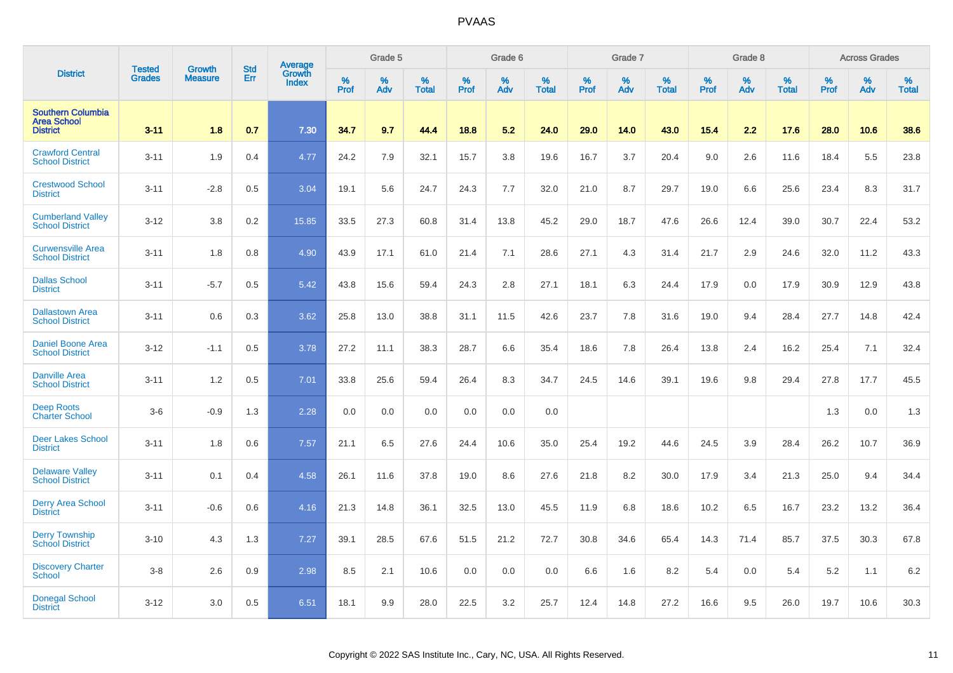|                                                                   |                         | <b>Growth</b>  | <b>Std</b> | Average                |                     | Grade 5  |                      |                     | Grade 6  |                      |                     | Grade 7     |                      |                     | Grade 8     |                      |                     | <b>Across Grades</b> |                   |
|-------------------------------------------------------------------|-------------------------|----------------|------------|------------------------|---------------------|----------|----------------------|---------------------|----------|----------------------|---------------------|-------------|----------------------|---------------------|-------------|----------------------|---------------------|----------------------|-------------------|
| <b>District</b>                                                   | <b>Tested</b><br>Grades | <b>Measure</b> | Err        | Growth<br><b>Index</b> | $\%$<br><b>Prof</b> | %<br>Adv | $\%$<br><b>Total</b> | $\%$<br><b>Prof</b> | %<br>Adv | $\%$<br><b>Total</b> | $\%$<br><b>Prof</b> | $\%$<br>Adv | $\%$<br><b>Total</b> | $\%$<br><b>Prof</b> | $\%$<br>Adv | $\%$<br><b>Total</b> | $\%$<br><b>Prof</b> | %<br>Adv             | %<br><b>Total</b> |
| <b>Southern Columbia</b><br><b>Area School</b><br><b>District</b> | $3 - 11$                | 1.8            | 0.7        | 7.30                   | 34.7                | 9.7      | 44.4                 | 18.8                | 5.2      | 24.0                 | 29.0                | 14.0        | 43.0                 | 15.4                | 2.2         | 17.6                 | 28.0                | 10.6                 | 38.6              |
| <b>Crawford Central</b><br><b>School District</b>                 | $3 - 11$                | 1.9            | 0.4        | 4.77                   | 24.2                | 7.9      | 32.1                 | 15.7                | 3.8      | 19.6                 | 16.7                | 3.7         | 20.4                 | 9.0                 | 2.6         | 11.6                 | 18.4                | 5.5                  | 23.8              |
| <b>Crestwood School</b><br><b>District</b>                        | $3 - 11$                | $-2.8$         | 0.5        | 3.04                   | 19.1                | 5.6      | 24.7                 | 24.3                | 7.7      | 32.0                 | 21.0                | 8.7         | 29.7                 | 19.0                | 6.6         | 25.6                 | 23.4                | 8.3                  | 31.7              |
| <b>Cumberland Valley</b><br><b>School District</b>                | $3 - 12$                | 3.8            | 0.2        | 15.85                  | 33.5                | 27.3     | 60.8                 | 31.4                | 13.8     | 45.2                 | 29.0                | 18.7        | 47.6                 | 26.6                | 12.4        | 39.0                 | 30.7                | 22.4                 | 53.2              |
| <b>Curwensville Area</b><br><b>School District</b>                | $3 - 11$                | 1.8            | 0.8        | 4.90                   | 43.9                | 17.1     | 61.0                 | 21.4                | 7.1      | 28.6                 | 27.1                | 4.3         | 31.4                 | 21.7                | 2.9         | 24.6                 | 32.0                | 11.2                 | 43.3              |
| <b>Dallas School</b><br><b>District</b>                           | $3 - 11$                | $-5.7$         | 0.5        | 5.42                   | 43.8                | 15.6     | 59.4                 | 24.3                | 2.8      | 27.1                 | 18.1                | 6.3         | 24.4                 | 17.9                | 0.0         | 17.9                 | 30.9                | 12.9                 | 43.8              |
| <b>Dallastown Area</b><br><b>School District</b>                  | $3 - 11$                | 0.6            | 0.3        | 3.62                   | 25.8                | 13.0     | 38.8                 | 31.1                | 11.5     | 42.6                 | 23.7                | 7.8         | 31.6                 | 19.0                | 9.4         | 28.4                 | 27.7                | 14.8                 | 42.4              |
| <b>Daniel Boone Area</b><br><b>School District</b>                | $3 - 12$                | $-1.1$         | 0.5        | 3.78                   | 27.2                | 11.1     | 38.3                 | 28.7                | 6.6      | 35.4                 | 18.6                | 7.8         | 26.4                 | 13.8                | 2.4         | 16.2                 | 25.4                | 7.1                  | 32.4              |
| <b>Danville Area</b><br><b>School District</b>                    | $3 - 11$                | 1.2            | 0.5        | 7.01                   | 33.8                | 25.6     | 59.4                 | 26.4                | 8.3      | 34.7                 | 24.5                | 14.6        | 39.1                 | 19.6                | 9.8         | 29.4                 | 27.8                | 17.7                 | 45.5              |
| <b>Deep Roots</b><br><b>Charter School</b>                        | $3-6$                   | $-0.9$         | 1.3        | 2.28                   | 0.0                 | 0.0      | 0.0                  | 0.0                 | 0.0      | 0.0                  |                     |             |                      |                     |             |                      | 1.3                 | 0.0                  | 1.3               |
| Deer Lakes School<br><b>District</b>                              | $3 - 11$                | 1.8            | 0.6        | 7.57                   | 21.1                | 6.5      | 27.6                 | 24.4                | 10.6     | 35.0                 | 25.4                | 19.2        | 44.6                 | 24.5                | 3.9         | 28.4                 | 26.2                | 10.7                 | 36.9              |
| <b>Delaware Valley</b><br><b>School District</b>                  | $3 - 11$                | 0.1            | 0.4        | 4.58                   | 26.1                | 11.6     | 37.8                 | 19.0                | 8.6      | 27.6                 | 21.8                | 8.2         | 30.0                 | 17.9                | 3.4         | 21.3                 | 25.0                | 9.4                  | 34.4              |
| <b>Derry Area School</b><br><b>District</b>                       | $3 - 11$                | $-0.6$         | 0.6        | 4.16                   | 21.3                | 14.8     | 36.1                 | 32.5                | 13.0     | 45.5                 | 11.9                | 6.8         | 18.6                 | 10.2                | 6.5         | 16.7                 | 23.2                | 13.2                 | 36.4              |
| <b>Derry Township</b><br><b>School District</b>                   | $3 - 10$                | 4.3            | 1.3        | 7.27                   | 39.1                | 28.5     | 67.6                 | 51.5                | 21.2     | 72.7                 | 30.8                | 34.6        | 65.4                 | 14.3                | 71.4        | 85.7                 | 37.5                | 30.3                 | 67.8              |
| <b>Discovery Charter</b><br><b>School</b>                         | $3-8$                   | 2.6            | 0.9        | 2.98                   | 8.5                 | 2.1      | 10.6                 | 0.0                 | 0.0      | 0.0                  | 6.6                 | 1.6         | 8.2                  | 5.4                 | 0.0         | 5.4                  | 5.2                 | 1.1                  | 6.2               |
| <b>Donegal School</b><br><b>District</b>                          | $3 - 12$                | 3.0            | 0.5        | 6.51                   | 18.1                | 9.9      | 28.0                 | 22.5                | 3.2      | 25.7                 | 12.4                | 14.8        | 27.2                 | 16.6                | 9.5         | 26.0                 | 19.7                | 10.6                 | 30.3              |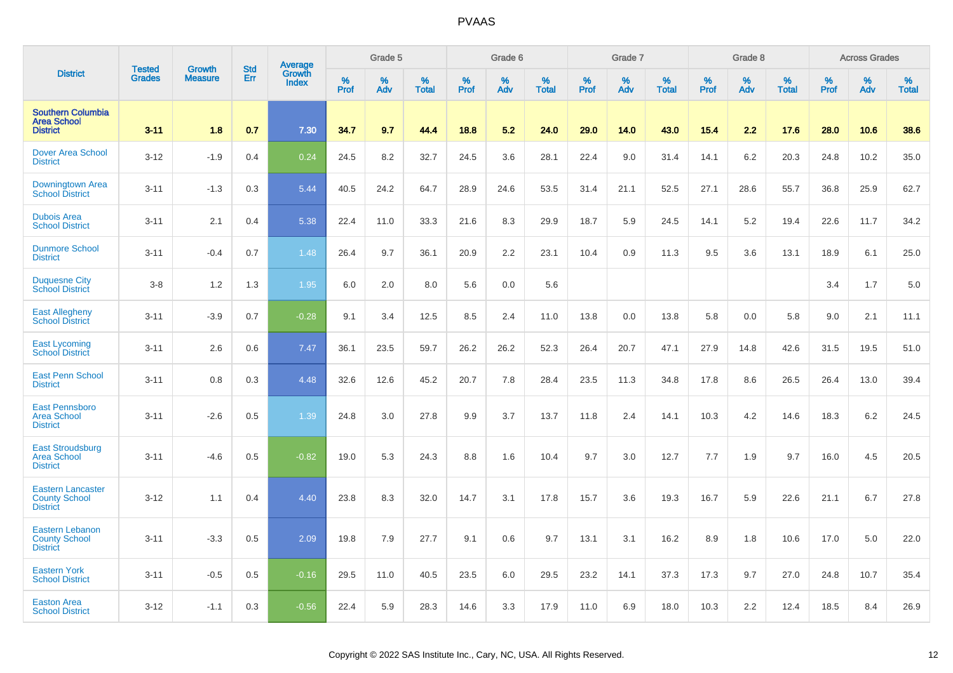|                                                                     | <b>Tested</b> | <b>Growth</b>  | <b>Std</b> |                                          |              | Grade 5  |                   |           | Grade 6  |                   |           | Grade 7  |                   |           | Grade 8  |                   |           | <b>Across Grades</b> |                   |
|---------------------------------------------------------------------|---------------|----------------|------------|------------------------------------------|--------------|----------|-------------------|-----------|----------|-------------------|-----------|----------|-------------------|-----------|----------|-------------------|-----------|----------------------|-------------------|
| <b>District</b>                                                     | <b>Grades</b> | <b>Measure</b> | Err        | <b>Average</b><br>Growth<br><b>Index</b> | $\%$<br>Prof | %<br>Adv | %<br><b>Total</b> | %<br>Prof | %<br>Adv | %<br><b>Total</b> | %<br>Prof | %<br>Adv | %<br><b>Total</b> | %<br>Prof | %<br>Adv | %<br><b>Total</b> | %<br>Prof | %<br>Adv             | %<br><b>Total</b> |
| <b>Southern Columbia</b><br><b>Area School</b><br><b>District</b>   | $3 - 11$      | 1.8            | 0.7        | 7.30                                     | 34.7         | 9.7      | 44.4              | 18.8      | 5.2      | 24.0              | 29.0      | 14.0     | 43.0              | 15.4      | 2.2      | 17.6              | 28.0      | 10.6                 | 38.6              |
| <b>Dover Area School</b><br><b>District</b>                         | $3 - 12$      | $-1.9$         | 0.4        | 0.24                                     | 24.5         | 8.2      | 32.7              | 24.5      | 3.6      | 28.1              | 22.4      | 9.0      | 31.4              | 14.1      | 6.2      | 20.3              | 24.8      | 10.2                 | 35.0              |
| Downingtown Area<br><b>School District</b>                          | $3 - 11$      | $-1.3$         | 0.3        | 5.44                                     | 40.5         | 24.2     | 64.7              | 28.9      | 24.6     | 53.5              | 31.4      | 21.1     | 52.5              | 27.1      | 28.6     | 55.7              | 36.8      | 25.9                 | 62.7              |
| <b>Dubois Area</b><br><b>School District</b>                        | $3 - 11$      | 2.1            | 0.4        | 5.38                                     | 22.4         | 11.0     | 33.3              | 21.6      | 8.3      | 29.9              | 18.7      | 5.9      | 24.5              | 14.1      | 5.2      | 19.4              | 22.6      | 11.7                 | 34.2              |
| <b>Dunmore School</b><br><b>District</b>                            | $3 - 11$      | $-0.4$         | 0.7        | 1.48                                     | 26.4         | 9.7      | 36.1              | 20.9      | 2.2      | 23.1              | 10.4      | 0.9      | 11.3              | 9.5       | 3.6      | 13.1              | 18.9      | 6.1                  | 25.0              |
| <b>Duquesne City</b><br><b>School District</b>                      | $3 - 8$       | 1.2            | 1.3        | 1.95                                     | 6.0          | 2.0      | 8.0               | 5.6       | 0.0      | 5.6               |           |          |                   |           |          |                   | 3.4       | 1.7                  | 5.0               |
| <b>East Allegheny</b><br><b>School District</b>                     | $3 - 11$      | $-3.9$         | 0.7        | $-0.28$                                  | 9.1          | 3.4      | 12.5              | 8.5       | 2.4      | 11.0              | 13.8      | 0.0      | 13.8              | 5.8       | 0.0      | 5.8               | 9.0       | 2.1                  | 11.1              |
| <b>East Lycoming</b><br><b>School District</b>                      | $3 - 11$      | 2.6            | 0.6        | 7.47                                     | 36.1         | 23.5     | 59.7              | 26.2      | 26.2     | 52.3              | 26.4      | 20.7     | 47.1              | 27.9      | 14.8     | 42.6              | 31.5      | 19.5                 | 51.0              |
| <b>East Penn School</b><br><b>District</b>                          | $3 - 11$      | 0.8            | 0.3        | 4.48                                     | 32.6         | 12.6     | 45.2              | 20.7      | 7.8      | 28.4              | 23.5      | 11.3     | 34.8              | 17.8      | 8.6      | 26.5              | 26.4      | 13.0                 | 39.4              |
| <b>East Pennsboro</b><br><b>Area School</b><br><b>District</b>      | $3 - 11$      | $-2.6$         | 0.5        | 1.39                                     | 24.8         | 3.0      | 27.8              | 9.9       | 3.7      | 13.7              | 11.8      | 2.4      | 14.1              | 10.3      | 4.2      | 14.6              | 18.3      | 6.2                  | 24.5              |
| <b>East Stroudsburg</b><br><b>Area School</b><br><b>District</b>    | $3 - 11$      | $-4.6$         | 0.5        | $-0.82$                                  | 19.0         | 5.3      | 24.3              | 8.8       | 1.6      | 10.4              | 9.7       | 3.0      | 12.7              | 7.7       | 1.9      | 9.7               | 16.0      | 4.5                  | 20.5              |
| <b>Eastern Lancaster</b><br><b>County School</b><br><b>District</b> | $3 - 12$      | 1.1            | 0.4        | 4.40                                     | 23.8         | 8.3      | 32.0              | 14.7      | 3.1      | 17.8              | 15.7      | 3.6      | 19.3              | 16.7      | 5.9      | 22.6              | 21.1      | 6.7                  | 27.8              |
| <b>Eastern Lebanon</b><br><b>County School</b><br><b>District</b>   | $3 - 11$      | $-3.3$         | 0.5        | 2.09                                     | 19.8         | 7.9      | 27.7              | 9.1       | 0.6      | 9.7               | 13.1      | 3.1      | 16.2              | 8.9       | 1.8      | 10.6              | 17.0      | 5.0                  | 22.0              |
| <b>Eastern York</b><br><b>School District</b>                       | $3 - 11$      | $-0.5$         | 0.5        | $-0.16$                                  | 29.5         | 11.0     | 40.5              | 23.5      | 6.0      | 29.5              | 23.2      | 14.1     | 37.3              | 17.3      | 9.7      | 27.0              | 24.8      | 10.7                 | 35.4              |
| <b>Easton Area</b><br><b>School District</b>                        | $3 - 12$      | $-1.1$         | 0.3        | $-0.56$                                  | 22.4         | 5.9      | 28.3              | 14.6      | 3.3      | 17.9              | 11.0      | 6.9      | 18.0              | 10.3      | 2.2      | 12.4              | 18.5      | 8.4                  | 26.9              |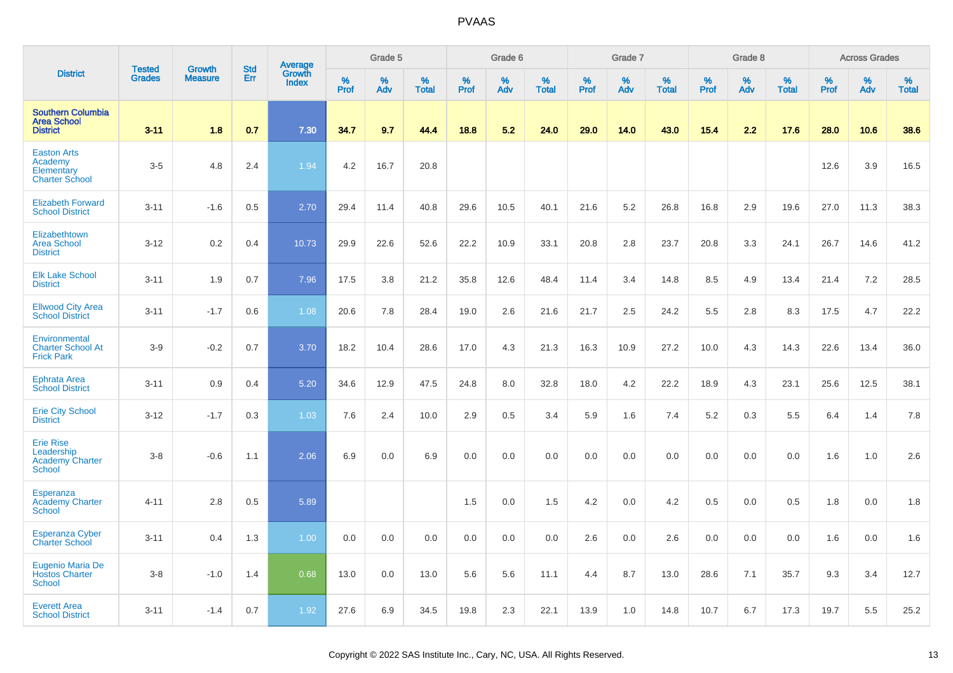|                                                                           | <b>Tested</b> | <b>Growth</b>  | <b>Std</b> | Average<br>Growth |                     | Grade 5  |                   |              | Grade 6  |                   |                     | Grade 7  |                   |              | Grade 8  |                   |              | <b>Across Grades</b> |                   |
|---------------------------------------------------------------------------|---------------|----------------|------------|-------------------|---------------------|----------|-------------------|--------------|----------|-------------------|---------------------|----------|-------------------|--------------|----------|-------------------|--------------|----------------------|-------------------|
| <b>District</b>                                                           | <b>Grades</b> | <b>Measure</b> | Err        | <b>Index</b>      | $\%$<br><b>Prof</b> | %<br>Adv | %<br><b>Total</b> | $\%$<br>Prof | %<br>Adv | %<br><b>Total</b> | $\%$<br><b>Prof</b> | %<br>Adv | %<br><b>Total</b> | $\%$<br>Prof | %<br>Adv | %<br><b>Total</b> | $\%$<br>Prof | %<br>Adv             | %<br><b>Total</b> |
| <b>Southern Columbia</b><br><b>Area School</b><br><b>District</b>         | $3 - 11$      | 1.8            | 0.7        | 7.30              | 34.7                | 9.7      | 44.4              | 18.8         | 5.2      | 24.0              | 29.0                | 14.0     | 43.0              | 15.4         | 2.2      | 17.6              | 28.0         | 10.6                 | 38.6              |
| <b>Easton Arts</b><br>Academy<br>Elementary<br><b>Charter School</b>      | $3-5$         | 4.8            | 2.4        | 1.94              | 4.2                 | 16.7     | 20.8              |              |          |                   |                     |          |                   |              |          |                   | 12.6         | 3.9                  | 16.5              |
| <b>Elizabeth Forward</b><br><b>School District</b>                        | $3 - 11$      | $-1.6$         | 0.5        | 2.70              | 29.4                | 11.4     | 40.8              | 29.6         | 10.5     | 40.1              | 21.6                | 5.2      | 26.8              | 16.8         | 2.9      | 19.6              | 27.0         | 11.3                 | 38.3              |
| Elizabethtown<br><b>Area School</b><br><b>District</b>                    | $3 - 12$      | 0.2            | 0.4        | 10.73             | 29.9                | 22.6     | 52.6              | 22.2         | 10.9     | 33.1              | 20.8                | 2.8      | 23.7              | 20.8         | 3.3      | 24.1              | 26.7         | 14.6                 | 41.2              |
| <b>Elk Lake School</b><br><b>District</b>                                 | $3 - 11$      | 1.9            | 0.7        | 7.96              | 17.5                | 3.8      | 21.2              | 35.8         | 12.6     | 48.4              | 11.4                | 3.4      | 14.8              | 8.5          | 4.9      | 13.4              | 21.4         | 7.2                  | 28.5              |
| <b>Ellwood City Area</b><br><b>School District</b>                        | $3 - 11$      | $-1.7$         | 0.6        | 1.08              | 20.6                | 7.8      | 28.4              | 19.0         | 2.6      | 21.6              | 21.7                | 2.5      | 24.2              | 5.5          | 2.8      | 8.3               | 17.5         | 4.7                  | 22.2              |
| Environmental<br><b>Charter School At</b><br><b>Frick Park</b>            | $3-9$         | $-0.2$         | 0.7        | 3.70              | 18.2                | 10.4     | 28.6              | 17.0         | 4.3      | 21.3              | 16.3                | 10.9     | 27.2              | 10.0         | 4.3      | 14.3              | 22.6         | 13.4                 | 36.0              |
| <b>Ephrata Area</b><br><b>School District</b>                             | $3 - 11$      | 0.9            | 0.4        | 5.20              | 34.6                | 12.9     | 47.5              | 24.8         | 8.0      | 32.8              | 18.0                | 4.2      | 22.2              | 18.9         | 4.3      | 23.1              | 25.6         | 12.5                 | 38.1              |
| <b>Erie City School</b><br><b>District</b>                                | $3 - 12$      | $-1.7$         | 0.3        | 1.03              | 7.6                 | 2.4      | 10.0              | 2.9          | 0.5      | 3.4               | 5.9                 | 1.6      | 7.4               | 5.2          | 0.3      | 5.5               | 6.4          | 1.4                  | 7.8               |
| <b>Erie Rise</b><br>Leadership<br><b>Academy Charter</b><br><b>School</b> | $3 - 8$       | $-0.6$         | 1.1        | 2.06              | 6.9                 | 0.0      | 6.9               | 0.0          | 0.0      | 0.0               | 0.0                 | 0.0      | 0.0               | 0.0          | 0.0      | 0.0               | 1.6          | 1.0                  | 2.6               |
| Esperanza<br><b>Academy Charter</b><br><b>School</b>                      | $4 - 11$      | 2.8            | 0.5        | 5.89              |                     |          |                   | 1.5          | 0.0      | 1.5               | 4.2                 | 0.0      | 4.2               | 0.5          | 0.0      | 0.5               | 1.8          | 0.0                  | 1.8               |
| <b>Esperanza Cyber</b><br>Charter School                                  | $3 - 11$      | 0.4            | 1.3        | 1.00              | 0.0                 | 0.0      | 0.0               | 0.0          | 0.0      | 0.0               | 2.6                 | 0.0      | 2.6               | 0.0          | 0.0      | 0.0               | 1.6          | 0.0                  | 1.6               |
| <b>Eugenio Maria De</b><br><b>Hostos Charter</b><br><b>School</b>         | $3 - 8$       | $-1.0$         | 1.4        | 0.68              | 13.0                | 0.0      | 13.0              | 5.6          | 5.6      | 11.1              | 4.4                 | 8.7      | 13.0              | 28.6         | 7.1      | 35.7              | 9.3          | 3.4                  | 12.7              |
| <b>Everett Area</b><br><b>School District</b>                             | $3 - 11$      | $-1.4$         | 0.7        | 1.92              | 27.6                | 6.9      | 34.5              | 19.8         | 2.3      | 22.1              | 13.9                | 1.0      | 14.8              | 10.7         | 6.7      | 17.3              | 19.7         | 5.5                  | 25.2              |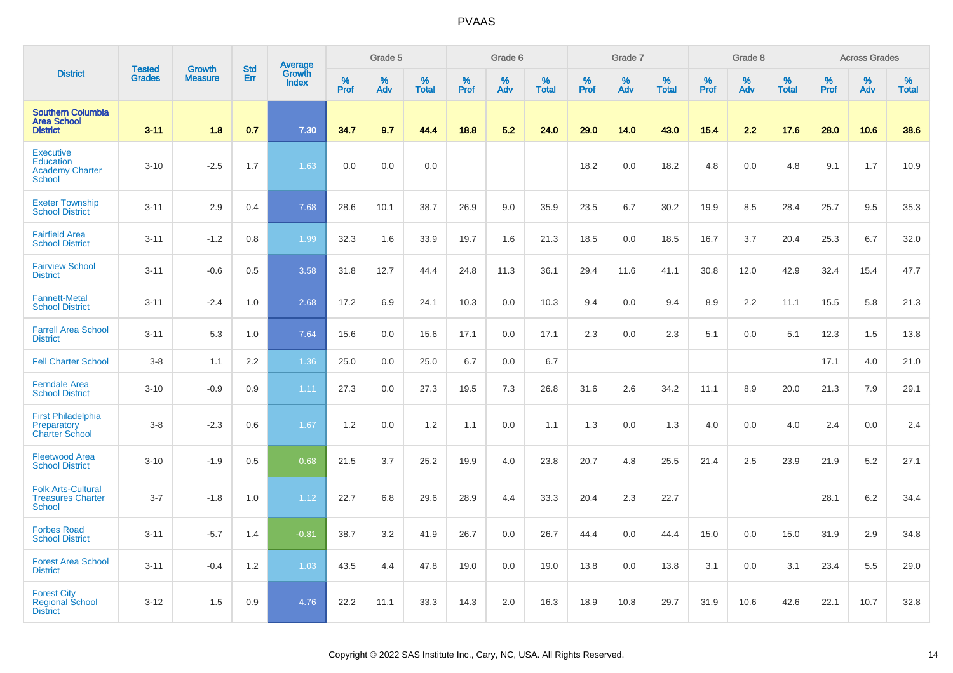|                                                                          |                                |                                 | <b>Std</b> | Average                |                     | Grade 5  |                   |           | Grade 6  |                   |           | Grade 7  |                   |           | Grade 8  |                   |              | <b>Across Grades</b> |                   |
|--------------------------------------------------------------------------|--------------------------------|---------------------------------|------------|------------------------|---------------------|----------|-------------------|-----------|----------|-------------------|-----------|----------|-------------------|-----------|----------|-------------------|--------------|----------------------|-------------------|
| <b>District</b>                                                          | <b>Tested</b><br><b>Grades</b> | <b>Growth</b><br><b>Measure</b> | Err        | Growth<br><b>Index</b> | $\%$<br><b>Prof</b> | %<br>Adv | %<br><b>Total</b> | %<br>Prof | %<br>Adv | %<br><b>Total</b> | %<br>Prof | %<br>Adv | %<br><b>Total</b> | %<br>Prof | %<br>Adv | %<br><b>Total</b> | $\%$<br>Prof | %<br>Adv             | %<br><b>Total</b> |
| <b>Southern Columbia</b><br><b>Area School</b><br><b>District</b>        | $3 - 11$                       | 1.8                             | 0.7        | 7.30                   | 34.7                | 9.7      | 44.4              | 18.8      | 5.2      | 24.0              | 29.0      | 14.0     | 43.0              | 15.4      | 2.2      | 17.6              | 28.0         | 10.6                 | 38.6              |
| <b>Executive</b><br>Education<br><b>Academy Charter</b><br><b>School</b> | $3 - 10$                       | $-2.5$                          | 1.7        | 1.63                   | 0.0                 | 0.0      | 0.0               |           |          |                   | 18.2      | 0.0      | 18.2              | 4.8       | 0.0      | 4.8               | 9.1          | 1.7                  | 10.9              |
| <b>Exeter Township</b><br><b>School District</b>                         | $3 - 11$                       | 2.9                             | 0.4        | 7.68                   | 28.6                | 10.1     | 38.7              | 26.9      | 9.0      | 35.9              | 23.5      | 6.7      | 30.2              | 19.9      | 8.5      | 28.4              | 25.7         | 9.5                  | 35.3              |
| <b>Fairfield Area</b><br><b>School District</b>                          | $3 - 11$                       | $-1.2$                          | 0.8        | 1.99                   | 32.3                | 1.6      | 33.9              | 19.7      | 1.6      | 21.3              | 18.5      | 0.0      | 18.5              | 16.7      | 3.7      | 20.4              | 25.3         | 6.7                  | 32.0              |
| <b>Fairview School</b><br><b>District</b>                                | $3 - 11$                       | $-0.6$                          | 0.5        | 3.58                   | 31.8                | 12.7     | 44.4              | 24.8      | 11.3     | 36.1              | 29.4      | 11.6     | 41.1              | 30.8      | 12.0     | 42.9              | 32.4         | 15.4                 | 47.7              |
| <b>Fannett-Metal</b><br><b>School District</b>                           | $3 - 11$                       | $-2.4$                          | 1.0        | 2.68                   | 17.2                | 6.9      | 24.1              | 10.3      | 0.0      | 10.3              | 9.4       | 0.0      | 9.4               | 8.9       | 2.2      | 11.1              | 15.5         | 5.8                  | 21.3              |
| <b>Farrell Area School</b><br><b>District</b>                            | $3 - 11$                       | 5.3                             | 1.0        | 7.64                   | 15.6                | 0.0      | 15.6              | 17.1      | 0.0      | 17.1              | 2.3       | 0.0      | 2.3               | 5.1       | 0.0      | 5.1               | 12.3         | 1.5                  | 13.8              |
| <b>Fell Charter School</b>                                               | $3 - 8$                        | 1.1                             | 2.2        | 1.36                   | 25.0                | 0.0      | 25.0              | 6.7       | 0.0      | 6.7               |           |          |                   |           |          |                   | 17.1         | 4.0                  | 21.0              |
| <b>Ferndale Area</b><br><b>School District</b>                           | $3 - 10$                       | $-0.9$                          | 0.9        | 1.11                   | 27.3                | 0.0      | 27.3              | 19.5      | 7.3      | 26.8              | 31.6      | 2.6      | 34.2              | 11.1      | 8.9      | 20.0              | 21.3         | 7.9                  | 29.1              |
| First Philadelphia<br>Preparatory<br><b>Charter School</b>               | $3-8$                          | $-2.3$                          | 0.6        | 1.67                   | 1.2                 | 0.0      | 1.2               | 1.1       | 0.0      | 1.1               | 1.3       | 0.0      | 1.3               | 4.0       | 0.0      | 4.0               | 2.4          | 0.0                  | 2.4               |
| <b>Fleetwood Area</b><br><b>School District</b>                          | $3 - 10$                       | $-1.9$                          | 0.5        | 0.68                   | 21.5                | 3.7      | 25.2              | 19.9      | 4.0      | 23.8              | 20.7      | 4.8      | 25.5              | 21.4      | 2.5      | 23.9              | 21.9         | 5.2                  | 27.1              |
| <b>Folk Arts-Cultural</b><br><b>Treasures Charter</b><br><b>School</b>   | $3 - 7$                        | $-1.8$                          | 1.0        | 1.12                   | 22.7                | 6.8      | 29.6              | 28.9      | 4.4      | 33.3              | 20.4      | 2.3      | 22.7              |           |          |                   | 28.1         | 6.2                  | 34.4              |
| <b>Forbes Road</b><br><b>School District</b>                             | $3 - 11$                       | $-5.7$                          | 1.4        | $-0.81$                | 38.7                | 3.2      | 41.9              | 26.7      | 0.0      | 26.7              | 44.4      | 0.0      | 44.4              | 15.0      | 0.0      | 15.0              | 31.9         | 2.9                  | 34.8              |
| <b>Forest Area School</b><br><b>District</b>                             | $3 - 11$                       | $-0.4$                          | 1.2        | 1.03                   | 43.5                | 4.4      | 47.8              | 19.0      | 0.0      | 19.0              | 13.8      | 0.0      | 13.8              | 3.1       | 0.0      | 3.1               | 23.4         | 5.5                  | 29.0              |
| <b>Forest City</b><br><b>Regional School</b><br><b>District</b>          | $3 - 12$                       | 1.5                             | 0.9        | 4.76                   | 22.2                | 11.1     | 33.3              | 14.3      | 2.0      | 16.3              | 18.9      | 10.8     | 29.7              | 31.9      | 10.6     | 42.6              | 22.1         | 10.7                 | 32.8              |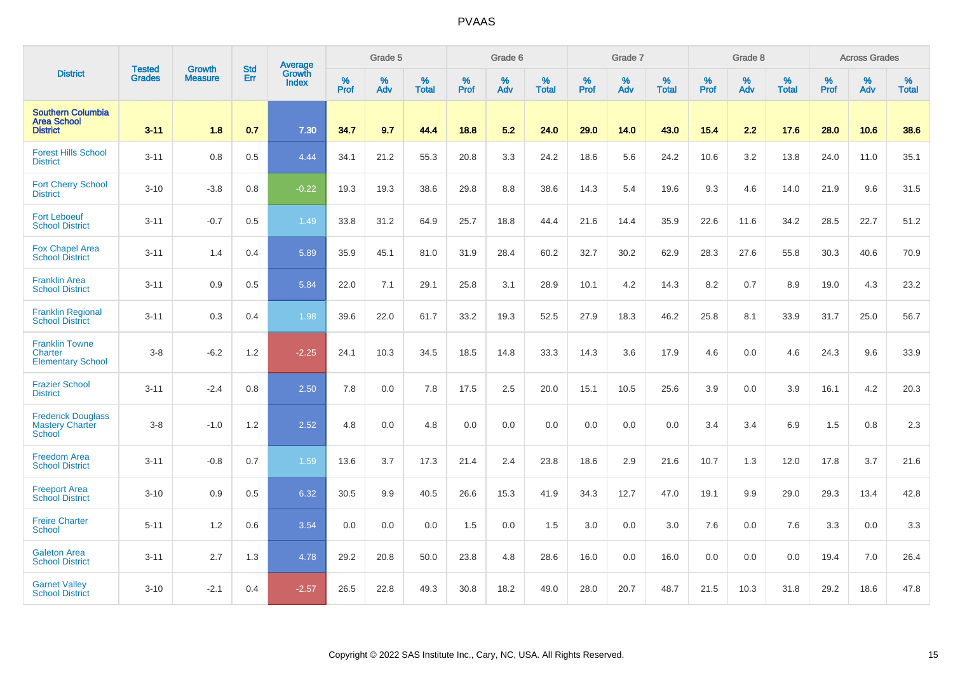|                                                                   | <b>Tested</b> | <b>Growth</b>  | <b>Std</b> | Average                       |              | Grade 5  |                   |           | Grade 6  |                   |           | Grade 7  |                   |           | Grade 8  |                   |           | <b>Across Grades</b> |                   |
|-------------------------------------------------------------------|---------------|----------------|------------|-------------------------------|--------------|----------|-------------------|-----------|----------|-------------------|-----------|----------|-------------------|-----------|----------|-------------------|-----------|----------------------|-------------------|
| <b>District</b>                                                   | <b>Grades</b> | <b>Measure</b> | Err        | <b>Growth</b><br><b>Index</b> | $\%$<br>Prof | %<br>Adv | %<br><b>Total</b> | %<br>Prof | %<br>Adv | %<br><b>Total</b> | %<br>Prof | %<br>Adv | %<br><b>Total</b> | %<br>Prof | %<br>Adv | %<br><b>Total</b> | %<br>Prof | %<br>Adv             | %<br><b>Total</b> |
| <b>Southern Columbia</b><br><b>Area School</b><br><b>District</b> | $3 - 11$      | 1.8            | 0.7        | 7.30                          | 34.7         | 9.7      | 44.4              | 18.8      | 5.2      | 24.0              | 29.0      | 14.0     | 43.0              | 15.4      | 2.2      | 17.6              | 28.0      | 10.6                 | 38.6              |
| <b>Forest Hills School</b><br><b>District</b>                     | $3 - 11$      | 0.8            | 0.5        | 4.44                          | 34.1         | 21.2     | 55.3              | 20.8      | 3.3      | 24.2              | 18.6      | 5.6      | 24.2              | 10.6      | 3.2      | 13.8              | 24.0      | 11.0                 | 35.1              |
| <b>Fort Cherry School</b><br><b>District</b>                      | $3 - 10$      | $-3.8$         | 0.8        | $-0.22$                       | 19.3         | 19.3     | 38.6              | 29.8      | 8.8      | 38.6              | 14.3      | 5.4      | 19.6              | 9.3       | 4.6      | 14.0              | 21.9      | 9.6                  | 31.5              |
| <b>Fort Leboeuf</b><br><b>School District</b>                     | $3 - 11$      | $-0.7$         | 0.5        | 1.49                          | 33.8         | 31.2     | 64.9              | 25.7      | 18.8     | 44.4              | 21.6      | 14.4     | 35.9              | 22.6      | 11.6     | 34.2              | 28.5      | 22.7                 | 51.2              |
| <b>Fox Chapel Area</b><br><b>School District</b>                  | $3 - 11$      | 1.4            | 0.4        | 5.89                          | 35.9         | 45.1     | 81.0              | 31.9      | 28.4     | 60.2              | 32.7      | 30.2     | 62.9              | 28.3      | 27.6     | 55.8              | 30.3      | 40.6                 | 70.9              |
| <b>Franklin Area</b><br><b>School District</b>                    | $3 - 11$      | 0.9            | 0.5        | 5.84                          | 22.0         | 7.1      | 29.1              | 25.8      | 3.1      | 28.9              | 10.1      | 4.2      | 14.3              | 8.2       | 0.7      | 8.9               | 19.0      | 4.3                  | 23.2              |
| <b>Franklin Regional</b><br><b>School District</b>                | $3 - 11$      | 0.3            | 0.4        | 1.98                          | 39.6         | 22.0     | 61.7              | 33.2      | 19.3     | 52.5              | 27.9      | 18.3     | 46.2              | 25.8      | 8.1      | 33.9              | 31.7      | 25.0                 | 56.7              |
| <b>Franklin Towne</b><br>Charter<br><b>Elementary School</b>      | $3-8$         | $-6.2$         | 1.2        | $-2.25$                       | 24.1         | 10.3     | 34.5              | 18.5      | 14.8     | 33.3              | 14.3      | 3.6      | 17.9              | 4.6       | 0.0      | 4.6               | 24.3      | 9.6                  | 33.9              |
| <b>Frazier School</b><br><b>District</b>                          | $3 - 11$      | $-2.4$         | 0.8        | 2.50                          | 7.8          | 0.0      | 7.8               | 17.5      | 2.5      | 20.0              | 15.1      | 10.5     | 25.6              | 3.9       | 0.0      | 3.9               | 16.1      | 4.2                  | 20.3              |
| <b>Frederick Douglass</b><br><b>Mastery Charter</b><br>School     | $3-8$         | $-1.0$         | 1.2        | 2.52                          | 4.8          | 0.0      | 4.8               | 0.0       | 0.0      | 0.0               | 0.0       | 0.0      | 0.0               | 3.4       | 3.4      | 6.9               | 1.5       | 0.8                  | 2.3               |
| <b>Freedom Area</b><br><b>School District</b>                     | $3 - 11$      | $-0.8$         | 0.7        | 1.59                          | 13.6         | 3.7      | 17.3              | 21.4      | 2.4      | 23.8              | 18.6      | 2.9      | 21.6              | 10.7      | 1.3      | 12.0              | 17.8      | 3.7                  | 21.6              |
| <b>Freeport Area</b><br><b>School District</b>                    | $3 - 10$      | 0.9            | 0.5        | 6.32                          | 30.5         | 9.9      | 40.5              | 26.6      | 15.3     | 41.9              | 34.3      | 12.7     | 47.0              | 19.1      | 9.9      | 29.0              | 29.3      | 13.4                 | 42.8              |
| <b>Freire Charter</b><br>School                                   | $5 - 11$      | 1.2            | 0.6        | 3.54                          | 0.0          | 0.0      | 0.0               | 1.5       | 0.0      | 1.5               | 3.0       | 0.0      | 3.0               | 7.6       | 0.0      | 7.6               | 3.3       | 0.0                  | 3.3               |
| <b>Galeton Area</b><br><b>School District</b>                     | $3 - 11$      | 2.7            | 1.3        | 4.78                          | 29.2         | 20.8     | 50.0              | 23.8      | 4.8      | 28.6              | 16.0      | 0.0      | 16.0              | 0.0       | 0.0      | 0.0               | 19.4      | 7.0                  | 26.4              |
| <b>Garnet Valley</b><br><b>School District</b>                    | $3 - 10$      | $-2.1$         | 0.4        | $-2.57$                       | 26.5         | 22.8     | 49.3              | 30.8      | 18.2     | 49.0              | 28.0      | 20.7     | 48.7              | 21.5      | 10.3     | 31.8              | 29.2      | 18.6                 | 47.8              |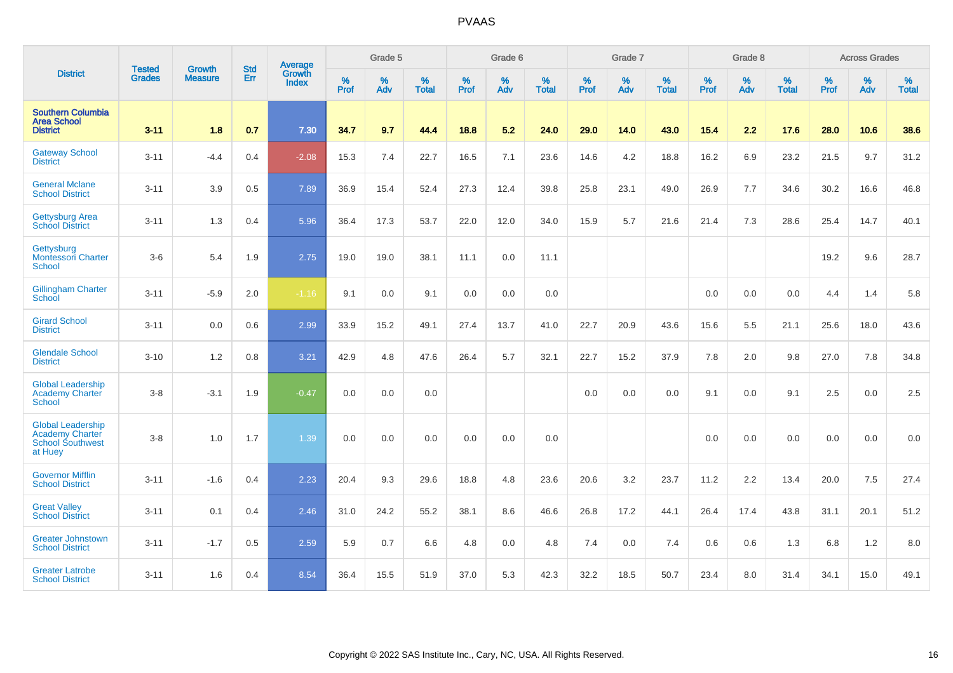|                                                                                          | <b>Tested</b> | <b>Growth</b>  | <b>Std</b> | Average                |                     | Grade 5  |                   |                     | Grade 6  |                   |              | Grade 7  |                   |              | Grade 8  |                   |                  | <b>Across Grades</b> |                   |
|------------------------------------------------------------------------------------------|---------------|----------------|------------|------------------------|---------------------|----------|-------------------|---------------------|----------|-------------------|--------------|----------|-------------------|--------------|----------|-------------------|------------------|----------------------|-------------------|
| <b>District</b>                                                                          | <b>Grades</b> | <b>Measure</b> | Err        | Growth<br><b>Index</b> | $\%$<br><b>Prof</b> | %<br>Adv | %<br><b>Total</b> | $\%$<br><b>Prof</b> | %<br>Adv | %<br><b>Total</b> | $\%$<br>Prof | %<br>Adv | %<br><b>Total</b> | $\%$<br>Prof | %<br>Adv | %<br><b>Total</b> | %<br><b>Prof</b> | %<br>Adv             | %<br><b>Total</b> |
| <b>Southern Columbia</b><br><b>Area School</b><br><b>District</b>                        | $3 - 11$      | 1.8            | 0.7        | 7.30                   | 34.7                | 9.7      | 44.4              | 18.8                | 5.2      | 24.0              | 29.0         | 14.0     | 43.0              | 15.4         | 2.2      | 17.6              | 28.0             | 10.6                 | 38.6              |
| <b>Gateway School</b><br><b>District</b>                                                 | $3 - 11$      | $-4.4$         | 0.4        | $-2.08$                | 15.3                | 7.4      | 22.7              | 16.5                | 7.1      | 23.6              | 14.6         | 4.2      | 18.8              | 16.2         | 6.9      | 23.2              | 21.5             | 9.7                  | 31.2              |
| <b>General Mclane</b><br><b>School District</b>                                          | $3 - 11$      | 3.9            | 0.5        | 7.89                   | 36.9                | 15.4     | 52.4              | 27.3                | 12.4     | 39.8              | 25.8         | 23.1     | 49.0              | 26.9         | 7.7      | 34.6              | 30.2             | 16.6                 | 46.8              |
| <b>Gettysburg Area</b><br><b>School District</b>                                         | $3 - 11$      | 1.3            | 0.4        | 5.96                   | 36.4                | 17.3     | 53.7              | 22.0                | 12.0     | 34.0              | 15.9         | 5.7      | 21.6              | 21.4         | 7.3      | 28.6              | 25.4             | 14.7                 | 40.1              |
| Gettysburg<br>Montessori Charter<br>School                                               | $3-6$         | 5.4            | 1.9        | 2.75                   | 19.0                | 19.0     | 38.1              | 11.1                | 0.0      | 11.1              |              |          |                   |              |          |                   | 19.2             | 9.6                  | 28.7              |
| <b>Gillingham Charter</b><br><b>School</b>                                               | $3 - 11$      | $-5.9$         | 2.0        | $-1.16$                | 9.1                 | 0.0      | 9.1               | 0.0                 | 0.0      | 0.0               |              |          |                   | 0.0          | 0.0      | 0.0               | 4.4              | 1.4                  | 5.8               |
| <b>Girard School</b><br><b>District</b>                                                  | $3 - 11$      | 0.0            | 0.6        | 2.99                   | 33.9                | 15.2     | 49.1              | 27.4                | 13.7     | 41.0              | 22.7         | 20.9     | 43.6              | 15.6         | 5.5      | 21.1              | 25.6             | 18.0                 | 43.6              |
| <b>Glendale School</b><br><b>District</b>                                                | $3 - 10$      | 1.2            | 0.8        | 3.21                   | 42.9                | 4.8      | 47.6              | 26.4                | 5.7      | 32.1              | 22.7         | 15.2     | 37.9              | 7.8          | 2.0      | 9.8               | 27.0             | 7.8                  | 34.8              |
| <b>Global Leadership</b><br><b>Academy Charter</b><br>School                             | $3 - 8$       | $-3.1$         | 1.9        | $-0.47$                | 0.0                 | 0.0      | 0.0               |                     |          |                   | 0.0          | 0.0      | 0.0               | 9.1          | 0.0      | 9.1               | 2.5              | 0.0                  | 2.5               |
| <b>Global Leadership</b><br><b>Academy Charter</b><br><b>School Southwest</b><br>at Huey | $3 - 8$       | 1.0            | 1.7        | 1.39                   | 0.0                 | 0.0      | 0.0               | 0.0                 | 0.0      | 0.0               |              |          |                   | 0.0          | 0.0      | 0.0               | 0.0              | 0.0                  | $0.0\,$           |
| <b>Governor Mifflin</b><br><b>School District</b>                                        | $3 - 11$      | $-1.6$         | 0.4        | 2.23                   | 20.4                | 9.3      | 29.6              | 18.8                | 4.8      | 23.6              | 20.6         | 3.2      | 23.7              | 11.2         | 2.2      | 13.4              | 20.0             | 7.5                  | 27.4              |
| <b>Great Valley</b><br><b>School District</b>                                            | $3 - 11$      | 0.1            | 0.4        | 2.46                   | 31.0                | 24.2     | 55.2              | 38.1                | 8.6      | 46.6              | 26.8         | 17.2     | 44.1              | 26.4         | 17.4     | 43.8              | 31.1             | 20.1                 | 51.2              |
| <b>Greater Johnstown</b><br><b>School District</b>                                       | $3 - 11$      | $-1.7$         | 0.5        | 2.59                   | 5.9                 | 0.7      | 6.6               | 4.8                 | 0.0      | 4.8               | 7.4          | 0.0      | 7.4               | 0.6          | 0.6      | 1.3               | 6.8              | 1.2                  | 8.0               |
| <b>Greater Latrobe</b><br><b>School District</b>                                         | $3 - 11$      | 1.6            | 0.4        | 8.54                   | 36.4                | 15.5     | 51.9              | 37.0                | 5.3      | 42.3              | 32.2         | 18.5     | 50.7              | 23.4         | 8.0      | 31.4              | 34.1             | 15.0                 | 49.1              |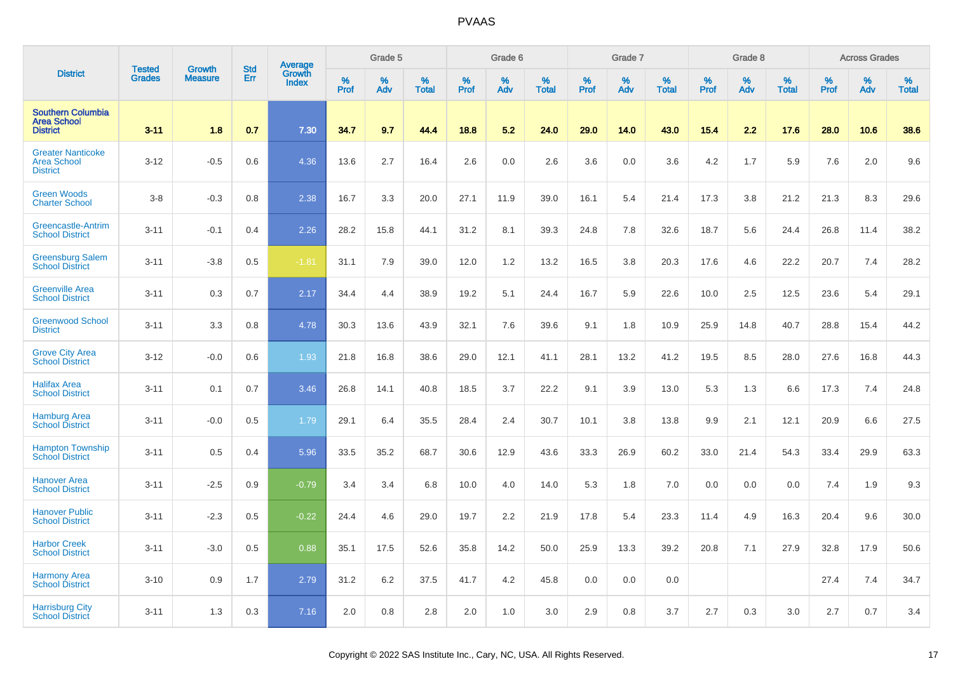|                                                                   | <b>Tested</b> | <b>Growth</b>  | <b>Std</b> | Average                |           | Grade 5  |                   |           | Grade 6  |                   |           | Grade 7  |                   |           | Grade 8  |                   |           | <b>Across Grades</b> |                   |
|-------------------------------------------------------------------|---------------|----------------|------------|------------------------|-----------|----------|-------------------|-----------|----------|-------------------|-----------|----------|-------------------|-----------|----------|-------------------|-----------|----------------------|-------------------|
| <b>District</b>                                                   | <b>Grades</b> | <b>Measure</b> | Err        | Growth<br><b>Index</b> | %<br>Prof | %<br>Adv | %<br><b>Total</b> | %<br>Prof | %<br>Adv | %<br><b>Total</b> | %<br>Prof | %<br>Adv | %<br><b>Total</b> | %<br>Prof | %<br>Adv | %<br><b>Total</b> | %<br>Prof | %<br>Adv             | %<br><b>Total</b> |
| <b>Southern Columbia</b><br><b>Area School</b><br><b>District</b> | $3 - 11$      | 1.8            | 0.7        | 7.30                   | 34.7      | 9.7      | 44.4              | 18.8      | 5.2      | 24.0              | 29.0      | 14.0     | 43.0              | 15.4      | 2.2      | 17.6              | 28.0      | 10.6                 | 38.6              |
| <b>Greater Nanticoke</b><br><b>Area School</b><br><b>District</b> | $3 - 12$      | $-0.5$         | 0.6        | 4.36                   | 13.6      | 2.7      | 16.4              | 2.6       | 0.0      | 2.6               | 3.6       | 0.0      | 3.6               | 4.2       | 1.7      | 5.9               | 7.6       | 2.0                  | 9.6               |
| <b>Green Woods</b><br><b>Charter School</b>                       | $3-8$         | $-0.3$         | 0.8        | 2.38                   | 16.7      | 3.3      | 20.0              | 27.1      | 11.9     | 39.0              | 16.1      | 5.4      | 21.4              | 17.3      | 3.8      | 21.2              | 21.3      | 8.3                  | 29.6              |
| Greencastle-Antrim<br><b>School District</b>                      | $3 - 11$      | $-0.1$         | 0.4        | 2.26                   | 28.2      | 15.8     | 44.1              | 31.2      | 8.1      | 39.3              | 24.8      | 7.8      | 32.6              | 18.7      | 5.6      | 24.4              | 26.8      | 11.4                 | 38.2              |
| <b>Greensburg Salem</b><br><b>School District</b>                 | $3 - 11$      | $-3.8$         | 0.5        | $-1.81$                | 31.1      | 7.9      | 39.0              | 12.0      | 1.2      | 13.2              | 16.5      | 3.8      | 20.3              | 17.6      | 4.6      | 22.2              | 20.7      | 7.4                  | 28.2              |
| <b>Greenville Area</b><br><b>School District</b>                  | $3 - 11$      | 0.3            | 0.7        | 2.17                   | 34.4      | 4.4      | 38.9              | 19.2      | 5.1      | 24.4              | 16.7      | 5.9      | 22.6              | 10.0      | 2.5      | 12.5              | 23.6      | 5.4                  | 29.1              |
| <b>Greenwood School</b><br><b>District</b>                        | $3 - 11$      | 3.3            | 0.8        | 4.78                   | 30.3      | 13.6     | 43.9              | 32.1      | 7.6      | 39.6              | 9.1       | 1.8      | 10.9              | 25.9      | 14.8     | 40.7              | 28.8      | 15.4                 | 44.2              |
| <b>Grove City Area</b><br><b>School District</b>                  | $3 - 12$      | $-0.0$         | 0.6        | 1.93                   | 21.8      | 16.8     | 38.6              | 29.0      | 12.1     | 41.1              | 28.1      | 13.2     | 41.2              | 19.5      | 8.5      | 28.0              | 27.6      | 16.8                 | 44.3              |
| <b>Halifax Area</b><br><b>School District</b>                     | $3 - 11$      | 0.1            | 0.7        | 3.46                   | 26.8      | 14.1     | 40.8              | 18.5      | 3.7      | 22.2              | 9.1       | 3.9      | 13.0              | 5.3       | 1.3      | 6.6               | 17.3      | 7.4                  | 24.8              |
| <b>Hamburg Area</b><br><b>School District</b>                     | $3 - 11$      | $-0.0$         | 0.5        | 1.79                   | 29.1      | 6.4      | 35.5              | 28.4      | 2.4      | 30.7              | 10.1      | 3.8      | 13.8              | 9.9       | 2.1      | 12.1              | 20.9      | 6.6                  | 27.5              |
| <b>Hampton Township</b><br><b>School District</b>                 | $3 - 11$      | 0.5            | 0.4        | 5.96                   | 33.5      | 35.2     | 68.7              | 30.6      | 12.9     | 43.6              | 33.3      | 26.9     | 60.2              | 33.0      | 21.4     | 54.3              | 33.4      | 29.9                 | 63.3              |
| <b>Hanover Area</b><br><b>School District</b>                     | $3 - 11$      | $-2.5$         | 0.9        | $-0.79$                | 3.4       | 3.4      | 6.8               | 10.0      | 4.0      | 14.0              | 5.3       | 1.8      | 7.0               | 0.0       | 0.0      | 0.0               | 7.4       | 1.9                  | 9.3               |
| <b>Hanover Public</b><br><b>School District</b>                   | $3 - 11$      | $-2.3$         | 0.5        | $-0.22$                | 24.4      | 4.6      | 29.0              | 19.7      | 2.2      | 21.9              | 17.8      | 5.4      | 23.3              | 11.4      | 4.9      | 16.3              | 20.4      | 9.6                  | 30.0              |
| <b>Harbor Creek</b><br><b>School District</b>                     | $3 - 11$      | $-3.0$         | 0.5        | 0.88                   | 35.1      | 17.5     | 52.6              | 35.8      | 14.2     | 50.0              | 25.9      | 13.3     | 39.2              | 20.8      | 7.1      | 27.9              | 32.8      | 17.9                 | 50.6              |
| <b>Harmony Area</b><br><b>School District</b>                     | $3 - 10$      | 0.9            | 1.7        | 2.79                   | 31.2      | 6.2      | 37.5              | 41.7      | 4.2      | 45.8              | 0.0       | 0.0      | 0.0               |           |          |                   | 27.4      | 7.4                  | 34.7              |
| <b>Harrisburg City</b><br><b>School District</b>                  | $3 - 11$      | 1.3            | 0.3        | 7.16                   | 2.0       | 0.8      | 2.8               | 2.0       | 1.0      | 3.0               | 2.9       | 0.8      | 3.7               | 2.7       | 0.3      | 3.0               | 2.7       | 0.7                  | 3.4               |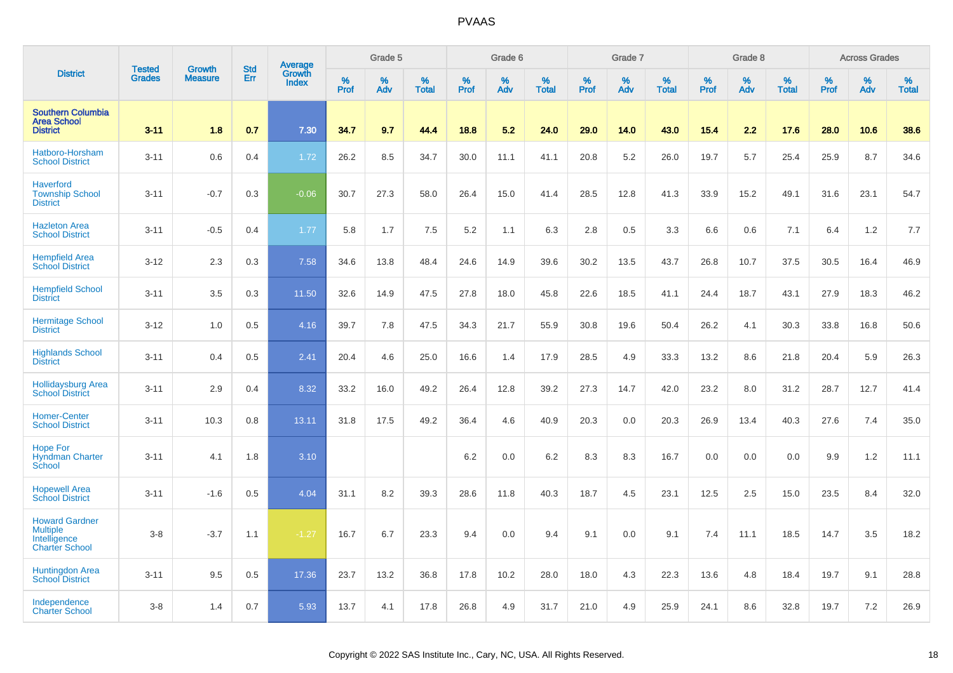|                                                                                   | <b>Tested</b> | <b>Growth</b>  | <b>Std</b> | <b>Average</b><br>Growth |              | Grade 5  |                   |           | Grade 6  |                   |           | Grade 7  |                   |           | Grade 8  |                   |                  | <b>Across Grades</b> |                   |
|-----------------------------------------------------------------------------------|---------------|----------------|------------|--------------------------|--------------|----------|-------------------|-----------|----------|-------------------|-----------|----------|-------------------|-----------|----------|-------------------|------------------|----------------------|-------------------|
| <b>District</b>                                                                   | <b>Grades</b> | <b>Measure</b> | Err        | <b>Index</b>             | $\%$<br>Prof | %<br>Adv | %<br><b>Total</b> | %<br>Prof | %<br>Adv | %<br><b>Total</b> | %<br>Prof | %<br>Adv | %<br><b>Total</b> | %<br>Prof | %<br>Adv | %<br><b>Total</b> | %<br><b>Prof</b> | %<br>Adv             | %<br><b>Total</b> |
| <b>Southern Columbia</b><br><b>Area School</b><br><b>District</b>                 | $3 - 11$      | 1.8            | 0.7        | 7.30                     | 34.7         | 9.7      | 44.4              | 18.8      | 5.2      | 24.0              | 29.0      | 14.0     | 43.0              | 15.4      | 2.2      | 17.6              | 28.0             | 10.6                 | 38.6              |
| Hatboro-Horsham<br><b>School District</b>                                         | $3 - 11$      | 0.6            | 0.4        | 1.72                     | 26.2         | 8.5      | 34.7              | 30.0      | 11.1     | 41.1              | 20.8      | 5.2      | 26.0              | 19.7      | 5.7      | 25.4              | 25.9             | 8.7                  | 34.6              |
| <b>Haverford</b><br><b>Township School</b><br><b>District</b>                     | $3 - 11$      | $-0.7$         | 0.3        | $-0.06$                  | 30.7         | 27.3     | 58.0              | 26.4      | 15.0     | 41.4              | 28.5      | 12.8     | 41.3              | 33.9      | 15.2     | 49.1              | 31.6             | 23.1                 | 54.7              |
| <b>Hazleton Area</b><br><b>School District</b>                                    | $3 - 11$      | $-0.5$         | 0.4        | 1.77                     | 5.8          | 1.7      | 7.5               | 5.2       | 1.1      | 6.3               | 2.8       | 0.5      | 3.3               | 6.6       | 0.6      | 7.1               | 6.4              | 1.2                  | 7.7               |
| <b>Hempfield Area</b><br><b>School District</b>                                   | $3 - 12$      | 2.3            | 0.3        | 7.58                     | 34.6         | 13.8     | 48.4              | 24.6      | 14.9     | 39.6              | 30.2      | 13.5     | 43.7              | 26.8      | 10.7     | 37.5              | 30.5             | 16.4                 | 46.9              |
| <b>Hempfield School</b><br><b>District</b>                                        | $3 - 11$      | 3.5            | 0.3        | 11.50                    | 32.6         | 14.9     | 47.5              | 27.8      | 18.0     | 45.8              | 22.6      | 18.5     | 41.1              | 24.4      | 18.7     | 43.1              | 27.9             | 18.3                 | 46.2              |
| <b>Hermitage School</b><br><b>District</b>                                        | $3-12$        | 1.0            | 0.5        | 4.16                     | 39.7         | 7.8      | 47.5              | 34.3      | 21.7     | 55.9              | 30.8      | 19.6     | 50.4              | 26.2      | 4.1      | 30.3              | 33.8             | 16.8                 | 50.6              |
| <b>Highlands School</b><br><b>District</b>                                        | $3 - 11$      | 0.4            | 0.5        | 2.41                     | 20.4         | 4.6      | 25.0              | 16.6      | 1.4      | 17.9              | 28.5      | 4.9      | 33.3              | 13.2      | 8.6      | 21.8              | 20.4             | 5.9                  | 26.3              |
| <b>Hollidaysburg Area</b><br>School District                                      | $3 - 11$      | 2.9            | 0.4        | 8.32                     | 33.2         | 16.0     | 49.2              | 26.4      | 12.8     | 39.2              | 27.3      | 14.7     | 42.0              | 23.2      | 8.0      | 31.2              | 28.7             | 12.7                 | 41.4              |
| <b>Homer-Center</b><br><b>School District</b>                                     | $3 - 11$      | 10.3           | 0.8        | 13.11                    | 31.8         | 17.5     | 49.2              | 36.4      | 4.6      | 40.9              | 20.3      | 0.0      | 20.3              | 26.9      | 13.4     | 40.3              | 27.6             | 7.4                  | 35.0              |
| <b>Hope For</b><br><b>Hyndman Charter</b><br>School                               | $3 - 11$      | 4.1            | 1.8        | 3.10                     |              |          |                   | 6.2       | 0.0      | 6.2               | 8.3       | 8.3      | 16.7              | 0.0       | 0.0      | 0.0               | 9.9              | 1.2                  | 11.1              |
| <b>Hopewell Area</b><br><b>School District</b>                                    | $3 - 11$      | $-1.6$         | 0.5        | 4.04                     | 31.1         | 8.2      | 39.3              | 28.6      | 11.8     | 40.3              | 18.7      | 4.5      | 23.1              | 12.5      | 2.5      | 15.0              | 23.5             | 8.4                  | 32.0              |
| <b>Howard Gardner</b><br><b>Multiple</b><br>Intelligence<br><b>Charter School</b> | $3 - 8$       | $-3.7$         | 1.1        | $-1.27$                  | 16.7         | 6.7      | 23.3              | 9.4       | 0.0      | 9.4               | 9.1       | 0.0      | 9.1               | 7.4       | 11.1     | 18.5              | 14.7             | 3.5                  | 18.2              |
| Huntingdon Area<br><b>School District</b>                                         | $3 - 11$      | 9.5            | 0.5        | 17.36                    | 23.7         | 13.2     | 36.8              | 17.8      | 10.2     | 28.0              | 18.0      | 4.3      | 22.3              | 13.6      | 4.8      | 18.4              | 19.7             | 9.1                  | 28.8              |
| Independence<br><b>Charter School</b>                                             | $3 - 8$       | 1.4            | 0.7        | 5.93                     | 13.7         | 4.1      | 17.8              | 26.8      | 4.9      | 31.7              | 21.0      | 4.9      | 25.9              | 24.1      | 8.6      | 32.8              | 19.7             | 7.2                  | 26.9              |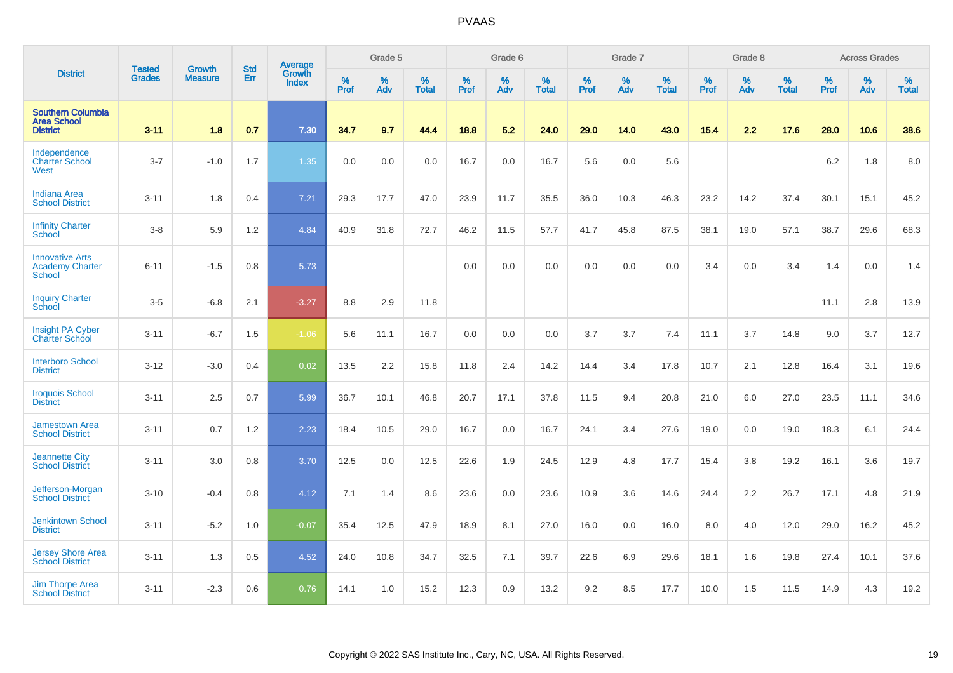|                                                                   | <b>Tested</b> | <b>Growth</b>  | <b>Std</b> | Average                       |              | Grade 5  |                   |           | Grade 6  |                   |           | Grade 7  |                   |           | Grade 8  |                   |           | <b>Across Grades</b> |                   |
|-------------------------------------------------------------------|---------------|----------------|------------|-------------------------------|--------------|----------|-------------------|-----------|----------|-------------------|-----------|----------|-------------------|-----------|----------|-------------------|-----------|----------------------|-------------------|
| <b>District</b>                                                   | <b>Grades</b> | <b>Measure</b> | Err        | <b>Growth</b><br><b>Index</b> | $\%$<br>Prof | %<br>Adv | %<br><b>Total</b> | %<br>Prof | %<br>Adv | %<br><b>Total</b> | %<br>Prof | %<br>Adv | %<br><b>Total</b> | %<br>Prof | %<br>Adv | %<br><b>Total</b> | %<br>Prof | %<br>Adv             | %<br><b>Total</b> |
| <b>Southern Columbia</b><br><b>Area School</b><br><b>District</b> | $3 - 11$      | 1.8            | 0.7        | 7.30                          | 34.7         | 9.7      | 44.4              | 18.8      | 5.2      | 24.0              | 29.0      | 14.0     | 43.0              | 15.4      | 2.2      | 17.6              | 28.0      | 10.6                 | 38.6              |
| Independence<br><b>Charter School</b><br>West                     | $3 - 7$       | $-1.0$         | 1.7        | 1.35                          | 0.0          | 0.0      | 0.0               | 16.7      | 0.0      | 16.7              | 5.6       | 0.0      | 5.6               |           |          |                   | 6.2       | 1.8                  | 8.0               |
| <b>Indiana Area</b><br><b>School District</b>                     | $3 - 11$      | 1.8            | 0.4        | 7.21                          | 29.3         | 17.7     | 47.0              | 23.9      | 11.7     | 35.5              | 36.0      | 10.3     | 46.3              | 23.2      | 14.2     | 37.4              | 30.1      | 15.1                 | 45.2              |
| <b>Infinity Charter</b><br>School                                 | $3-8$         | 5.9            | 1.2        | 4.84                          | 40.9         | 31.8     | 72.7              | 46.2      | 11.5     | 57.7              | 41.7      | 45.8     | 87.5              | 38.1      | 19.0     | 57.1              | 38.7      | 29.6                 | 68.3              |
| <b>Innovative Arts</b><br><b>Academy Charter</b><br><b>School</b> | $6 - 11$      | $-1.5$         | 0.8        | 5.73                          |              |          |                   | 0.0       | 0.0      | 0.0               | 0.0       | 0.0      | 0.0               | 3.4       | 0.0      | 3.4               | 1.4       | 0.0                  | 1.4               |
| <b>Inquiry Charter</b><br>School                                  | $3-5$         | $-6.8$         | 2.1        | $-3.27$                       | 8.8          | 2.9      | 11.8              |           |          |                   |           |          |                   |           |          |                   | 11.1      | 2.8                  | 13.9              |
| Insight PA Cyber<br><b>Charter School</b>                         | $3 - 11$      | $-6.7$         | 1.5        | $-1.06$                       | 5.6          | 11.1     | 16.7              | 0.0       | 0.0      | 0.0               | 3.7       | 3.7      | 7.4               | 11.1      | 3.7      | 14.8              | 9.0       | 3.7                  | 12.7              |
| <b>Interboro School</b><br><b>District</b>                        | $3 - 12$      | $-3.0$         | 0.4        | 0.02                          | 13.5         | 2.2      | 15.8              | 11.8      | 2.4      | 14.2              | 14.4      | 3.4      | 17.8              | 10.7      | 2.1      | 12.8              | 16.4      | 3.1                  | 19.6              |
| <b>Iroquois School</b><br><b>District</b>                         | $3 - 11$      | 2.5            | 0.7        | 5.99                          | 36.7         | 10.1     | 46.8              | 20.7      | 17.1     | 37.8              | 11.5      | 9.4      | 20.8              | 21.0      | 6.0      | 27.0              | 23.5      | 11.1                 | 34.6              |
| <b>Jamestown Area</b><br><b>School District</b>                   | $3 - 11$      | 0.7            | 1.2        | 2.23                          | 18.4         | 10.5     | 29.0              | 16.7      | 0.0      | 16.7              | 24.1      | 3.4      | 27.6              | 19.0      | 0.0      | 19.0              | 18.3      | 6.1                  | 24.4              |
| <b>Jeannette City</b><br><b>School District</b>                   | $3 - 11$      | 3.0            | 0.8        | 3.70                          | 12.5         | 0.0      | 12.5              | 22.6      | 1.9      | 24.5              | 12.9      | 4.8      | 17.7              | 15.4      | 3.8      | 19.2              | 16.1      | 3.6                  | 19.7              |
| Jefferson-Morgan<br><b>School District</b>                        | $3 - 10$      | $-0.4$         | 0.8        | 4.12                          | 7.1          | 1.4      | 8.6               | 23.6      | 0.0      | 23.6              | 10.9      | 3.6      | 14.6              | 24.4      | 2.2      | 26.7              | 17.1      | 4.8                  | 21.9              |
| <b>Jenkintown School</b><br><b>District</b>                       | $3 - 11$      | $-5.2$         | 1.0        | $-0.07$                       | 35.4         | 12.5     | 47.9              | 18.9      | 8.1      | 27.0              | 16.0      | 0.0      | 16.0              | 8.0       | 4.0      | 12.0              | 29.0      | 16.2                 | 45.2              |
| <b>Jersey Shore Area</b><br><b>School District</b>                | $3 - 11$      | 1.3            | 0.5        | 4.52                          | 24.0         | 10.8     | 34.7              | 32.5      | 7.1      | 39.7              | 22.6      | 6.9      | 29.6              | 18.1      | 1.6      | 19.8              | 27.4      | 10.1                 | 37.6              |
| <b>Jim Thorpe Area</b><br><b>School District</b>                  | $3 - 11$      | $-2.3$         | 0.6        | 0.76                          | 14.1         | 1.0      | 15.2              | 12.3      | 0.9      | 13.2              | 9.2       | 8.5      | 17.7              | 10.0      | 1.5      | 11.5              | 14.9      | 4.3                  | 19.2              |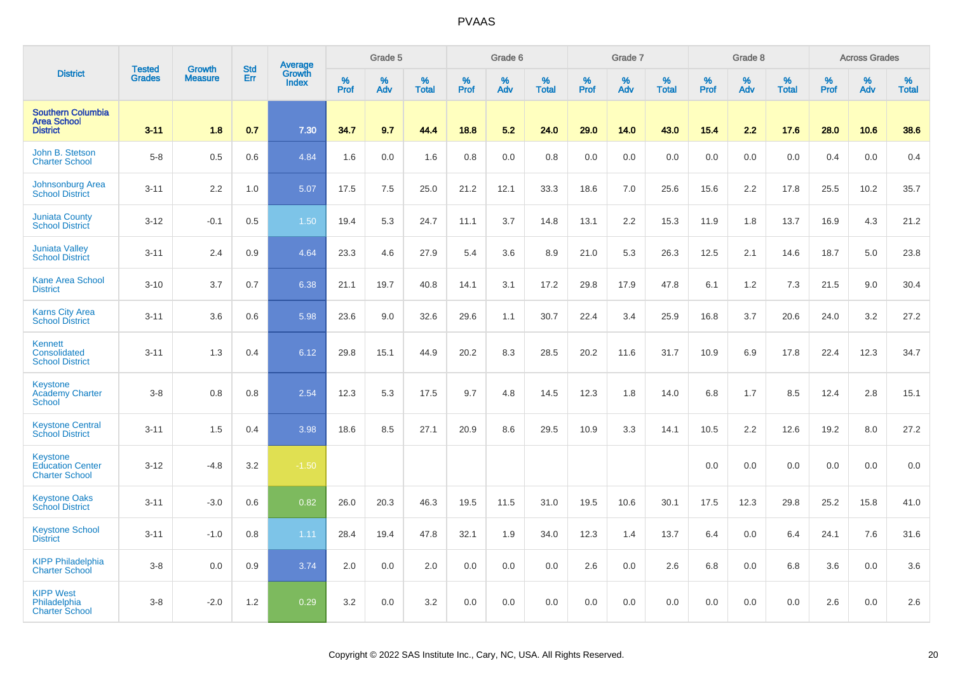|                                                                   |                                |                                 | <b>Std</b> | Average                |                  | Grade 5  |                   |           | Grade 6  |                   |           | Grade 7  |                   |                  | Grade 8  |                   |                  | <b>Across Grades</b> |                   |
|-------------------------------------------------------------------|--------------------------------|---------------------------------|------------|------------------------|------------------|----------|-------------------|-----------|----------|-------------------|-----------|----------|-------------------|------------------|----------|-------------------|------------------|----------------------|-------------------|
| <b>District</b>                                                   | <b>Tested</b><br><b>Grades</b> | <b>Growth</b><br><b>Measure</b> | Err        | Growth<br><b>Index</b> | %<br><b>Prof</b> | %<br>Adv | %<br><b>Total</b> | %<br>Prof | %<br>Adv | %<br><b>Total</b> | %<br>Prof | %<br>Adv | %<br><b>Total</b> | %<br><b>Prof</b> | %<br>Adv | %<br><b>Total</b> | %<br><b>Prof</b> | %<br>Adv             | %<br><b>Total</b> |
| <b>Southern Columbia</b><br><b>Area School</b><br><b>District</b> | $3 - 11$                       | 1.8                             | 0.7        | 7.30                   | 34.7             | 9.7      | 44.4              | 18.8      | 5.2      | 24.0              | 29.0      | 14.0     | 43.0              | 15.4             | 2.2      | 17.6              | 28.0             | 10.6                 | 38.6              |
| John B. Stetson<br><b>Charter School</b>                          | $5-8$                          | 0.5                             | 0.6        | 4.84                   | 1.6              | 0.0      | 1.6               | 0.8       | 0.0      | 0.8               | 0.0       | 0.0      | 0.0               | 0.0              | 0.0      | 0.0               | 0.4              | 0.0                  | 0.4               |
| <b>Johnsonburg Area</b><br><b>School District</b>                 | $3 - 11$                       | 2.2                             | 1.0        | 5.07                   | 17.5             | 7.5      | 25.0              | 21.2      | 12.1     | 33.3              | 18.6      | 7.0      | 25.6              | 15.6             | 2.2      | 17.8              | 25.5             | 10.2                 | 35.7              |
| <b>Juniata County</b><br><b>School District</b>                   | $3 - 12$                       | $-0.1$                          | 0.5        | 1.50                   | 19.4             | 5.3      | 24.7              | 11.1      | 3.7      | 14.8              | 13.1      | 2.2      | 15.3              | 11.9             | 1.8      | 13.7              | 16.9             | 4.3                  | 21.2              |
| <b>Juniata Valley</b><br><b>School District</b>                   | $3 - 11$                       | 2.4                             | 0.9        | 4.64                   | 23.3             | 4.6      | 27.9              | 5.4       | 3.6      | 8.9               | 21.0      | 5.3      | 26.3              | 12.5             | 2.1      | 14.6              | 18.7             | 5.0                  | 23.8              |
| <b>Kane Area School</b><br><b>District</b>                        | $3 - 10$                       | 3.7                             | 0.7        | 6.38                   | 21.1             | 19.7     | 40.8              | 14.1      | 3.1      | 17.2              | 29.8      | 17.9     | 47.8              | 6.1              | 1.2      | 7.3               | 21.5             | 9.0                  | 30.4              |
| <b>Karns City Area</b><br><b>School District</b>                  | $3 - 11$                       | 3.6                             | 0.6        | 5.98                   | 23.6             | 9.0      | 32.6              | 29.6      | 1.1      | 30.7              | 22.4      | 3.4      | 25.9              | 16.8             | 3.7      | 20.6              | 24.0             | 3.2                  | 27.2              |
| Kennett<br>Consolidated<br><b>School District</b>                 | $3 - 11$                       | 1.3                             | 0.4        | 6.12                   | 29.8             | 15.1     | 44.9              | 20.2      | 8.3      | 28.5              | 20.2      | 11.6     | 31.7              | 10.9             | 6.9      | 17.8              | 22.4             | 12.3                 | 34.7              |
| Keystone<br><b>Academy Charter</b><br>School                      | $3 - 8$                        | 0.8                             | 0.8        | 2.54                   | 12.3             | 5.3      | 17.5              | 9.7       | 4.8      | 14.5              | 12.3      | 1.8      | 14.0              | 6.8              | 1.7      | 8.5               | 12.4             | 2.8                  | 15.1              |
| <b>Keystone Central</b><br><b>School District</b>                 | $3 - 11$                       | 1.5                             | 0.4        | 3.98                   | 18.6             | 8.5      | 27.1              | 20.9      | 8.6      | 29.5              | 10.9      | 3.3      | 14.1              | 10.5             | 2.2      | 12.6              | 19.2             | 8.0                  | 27.2              |
| Keystone<br><b>Education Center</b><br><b>Charter School</b>      | $3 - 12$                       | $-4.8$                          | 3.2        | $-1.50$                |                  |          |                   |           |          |                   |           |          |                   | 0.0              | 0.0      | 0.0               | 0.0              | 0.0                  | 0.0               |
| <b>Keystone Oaks</b><br><b>School District</b>                    | $3 - 11$                       | $-3.0$                          | 0.6        | 0.82                   | 26.0             | 20.3     | 46.3              | 19.5      | 11.5     | 31.0              | 19.5      | 10.6     | 30.1              | 17.5             | 12.3     | 29.8              | 25.2             | 15.8                 | 41.0              |
| <b>Keystone School</b><br><b>District</b>                         | $3 - 11$                       | $-1.0$                          | 0.8        | 1.11                   | 28.4             | 19.4     | 47.8              | 32.1      | 1.9      | 34.0              | 12.3      | 1.4      | 13.7              | 6.4              | 0.0      | 6.4               | 24.1             | 7.6                  | 31.6              |
| <b>KIPP Philadelphia</b><br><b>Charter School</b>                 | $3-8$                          | 0.0                             | 0.9        | 3.74                   | 2.0              | 0.0      | 2.0               | 0.0       | 0.0      | 0.0               | 2.6       | 0.0      | 2.6               | 6.8              | 0.0      | 6.8               | 3.6              | 0.0                  | 3.6               |
| <b>KIPP West</b><br>Philadelphia<br><b>Charter School</b>         | $3-8$                          | $-2.0$                          | 1.2        | 0.29                   | 3.2              | 0.0      | 3.2               | 0.0       | 0.0      | 0.0               | 0.0       | 0.0      | 0.0               | 0.0              | 0.0      | 0.0               | 2.6              | 0.0                  | 2.6               |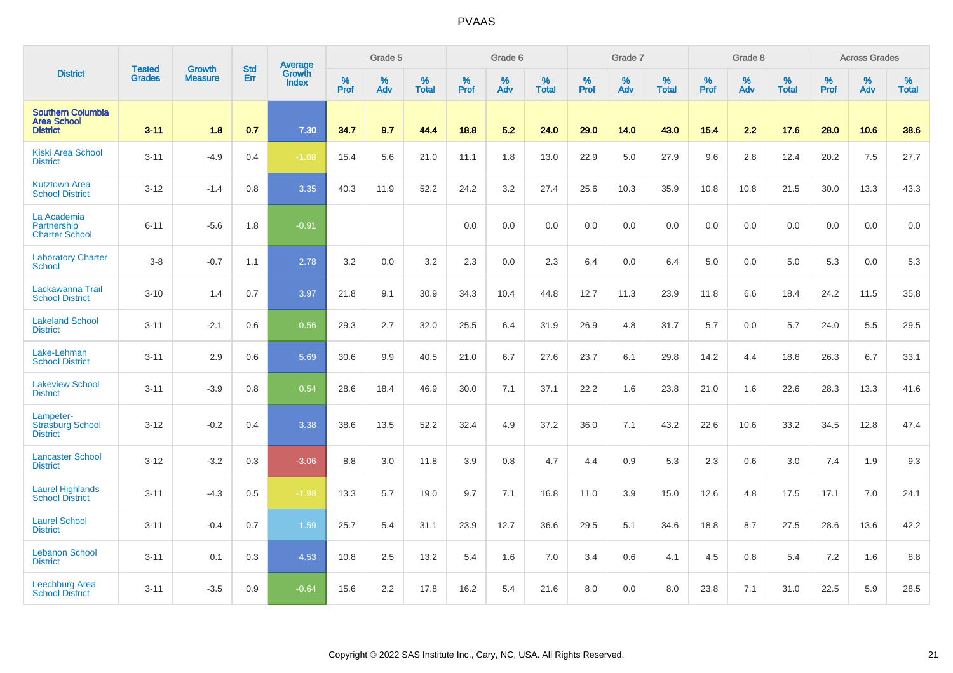|                                                                   | <b>Tested</b> | <b>Growth</b>  | <b>Std</b> | Average                |           | Grade 5  |                   |           | Grade 6  |                   |           | Grade 7  |                   |           | Grade 8  |                   |           | <b>Across Grades</b> |                   |
|-------------------------------------------------------------------|---------------|----------------|------------|------------------------|-----------|----------|-------------------|-----------|----------|-------------------|-----------|----------|-------------------|-----------|----------|-------------------|-----------|----------------------|-------------------|
| <b>District</b>                                                   | <b>Grades</b> | <b>Measure</b> | Err        | <b>Growth</b><br>Index | %<br>Prof | %<br>Adv | %<br><b>Total</b> | %<br>Prof | %<br>Adv | %<br><b>Total</b> | %<br>Prof | %<br>Adv | %<br><b>Total</b> | %<br>Prof | %<br>Adv | %<br><b>Total</b> | %<br>Prof | %<br>Adv             | %<br><b>Total</b> |
| <b>Southern Columbia</b><br><b>Area School</b><br><b>District</b> | $3 - 11$      | 1.8            | 0.7        | 7.30                   | 34.7      | 9.7      | 44.4              | 18.8      | 5.2      | 24.0              | 29.0      | 14.0     | 43.0              | 15.4      | 2.2      | 17.6              | 28.0      | 10.6                 | 38.6              |
| <b>Kiski Area School</b><br><b>District</b>                       | $3 - 11$      | $-4.9$         | 0.4        | $-1.08$                | 15.4      | 5.6      | 21.0              | 11.1      | 1.8      | 13.0              | 22.9      | 5.0      | 27.9              | 9.6       | 2.8      | 12.4              | 20.2      | 7.5                  | 27.7              |
| <b>Kutztown Area</b><br><b>School District</b>                    | $3 - 12$      | $-1.4$         | 0.8        | 3.35                   | 40.3      | 11.9     | 52.2              | 24.2      | 3.2      | 27.4              | 25.6      | 10.3     | 35.9              | 10.8      | 10.8     | 21.5              | 30.0      | 13.3                 | 43.3              |
| La Academia<br>Partnership<br><b>Charter School</b>               | $6 - 11$      | $-5.6$         | 1.8        | $-0.91$                |           |          |                   | 0.0       | 0.0      | 0.0               | 0.0       | 0.0      | 0.0               | 0.0       | 0.0      | 0.0               | 0.0       | 0.0                  | $0.0\,$           |
| <b>Laboratory Charter</b><br><b>School</b>                        | $3-8$         | $-0.7$         | 1.1        | 2.78                   | 3.2       | 0.0      | 3.2               | 2.3       | 0.0      | 2.3               | 6.4       | 0.0      | 6.4               | 5.0       | 0.0      | 5.0               | 5.3       | 0.0                  | 5.3               |
| Lackawanna Trail<br><b>School District</b>                        | $3 - 10$      | 1.4            | 0.7        | 3.97                   | 21.8      | 9.1      | 30.9              | 34.3      | 10.4     | 44.8              | 12.7      | 11.3     | 23.9              | 11.8      | 6.6      | 18.4              | 24.2      | 11.5                 | 35.8              |
| <b>Lakeland School</b><br><b>District</b>                         | $3 - 11$      | $-2.1$         | 0.6        | 0.56                   | 29.3      | 2.7      | 32.0              | 25.5      | 6.4      | 31.9              | 26.9      | 4.8      | 31.7              | 5.7       | 0.0      | 5.7               | 24.0      | 5.5                  | 29.5              |
| Lake-Lehman<br><b>School District</b>                             | $3 - 11$      | 2.9            | 0.6        | 5.69                   | 30.6      | 9.9      | 40.5              | 21.0      | 6.7      | 27.6              | 23.7      | 6.1      | 29.8              | 14.2      | 4.4      | 18.6              | 26.3      | 6.7                  | 33.1              |
| <b>Lakeview School</b><br><b>District</b>                         | $3 - 11$      | $-3.9$         | 0.8        | 0.54                   | 28.6      | 18.4     | 46.9              | 30.0      | 7.1      | 37.1              | 22.2      | 1.6      | 23.8              | 21.0      | 1.6      | 22.6              | 28.3      | 13.3                 | 41.6              |
| Lampeter-<br><b>Strasburg School</b><br><b>District</b>           | $3 - 12$      | $-0.2$         | 0.4        | 3.38                   | 38.6      | 13.5     | 52.2              | 32.4      | 4.9      | 37.2              | 36.0      | 7.1      | 43.2              | 22.6      | 10.6     | 33.2              | 34.5      | 12.8                 | 47.4              |
| <b>Lancaster School</b><br><b>District</b>                        | $3 - 12$      | $-3.2$         | 0.3        | $-3.06$                | 8.8       | 3.0      | 11.8              | 3.9       | 0.8      | 4.7               | 4.4       | 0.9      | 5.3               | 2.3       | 0.6      | 3.0               | 7.4       | 1.9                  | 9.3               |
| <b>Laurel Highlands</b><br><b>School District</b>                 | $3 - 11$      | $-4.3$         | 0.5        | $-1.98$                | 13.3      | 5.7      | 19.0              | 9.7       | 7.1      | 16.8              | 11.0      | 3.9      | 15.0              | 12.6      | 4.8      | 17.5              | 17.1      | 7.0                  | 24.1              |
| <b>Laurel School</b><br><b>District</b>                           | $3 - 11$      | $-0.4$         | 0.7        | 1.59                   | 25.7      | 5.4      | 31.1              | 23.9      | 12.7     | 36.6              | 29.5      | 5.1      | 34.6              | 18.8      | 8.7      | 27.5              | 28.6      | 13.6                 | 42.2              |
| <b>Lebanon School</b><br><b>District</b>                          | $3 - 11$      | 0.1            | 0.3        | 4.53                   | 10.8      | 2.5      | 13.2              | 5.4       | 1.6      | 7.0               | 3.4       | 0.6      | 4.1               | 4.5       | 0.8      | 5.4               | 7.2       | 1.6                  | 8.8               |
| <b>Leechburg Area</b><br><b>School District</b>                   | $3 - 11$      | $-3.5$         | 0.9        | $-0.64$                | 15.6      | 2.2      | 17.8              | 16.2      | 5.4      | 21.6              | 8.0       | 0.0      | 8.0               | 23.8      | 7.1      | 31.0              | 22.5      | 5.9                  | 28.5              |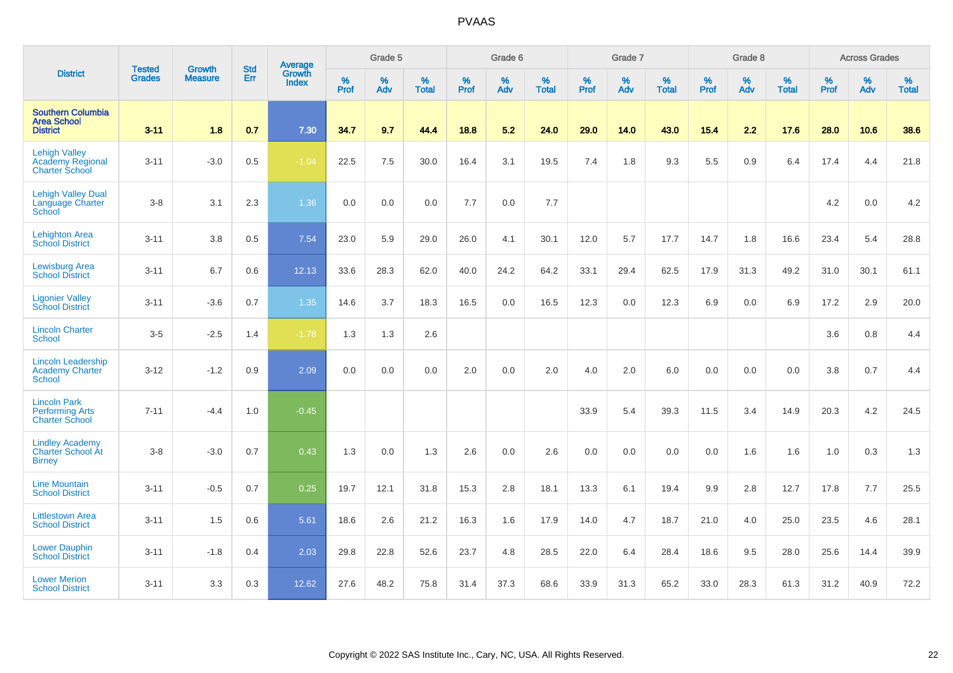|                                                                          | <b>Tested</b> | <b>Growth</b>  | <b>Std</b> | Average                |                     | Grade 5  |                   |              | Grade 6  |                   |              | Grade 7  |                   |              | Grade 8  |                   |           | <b>Across Grades</b> |                   |
|--------------------------------------------------------------------------|---------------|----------------|------------|------------------------|---------------------|----------|-------------------|--------------|----------|-------------------|--------------|----------|-------------------|--------------|----------|-------------------|-----------|----------------------|-------------------|
| <b>District</b>                                                          | <b>Grades</b> | <b>Measure</b> | Err        | Growth<br><b>Index</b> | $\%$<br><b>Prof</b> | %<br>Adv | %<br><b>Total</b> | $\%$<br>Prof | %<br>Adv | %<br><b>Total</b> | $\%$<br>Prof | %<br>Adv | %<br><b>Total</b> | $\%$<br>Prof | %<br>Adv | %<br><b>Total</b> | %<br>Prof | %<br>Adv             | %<br><b>Total</b> |
| <b>Southern Columbia</b><br><b>Area School</b><br><b>District</b>        | $3 - 11$      | 1.8            | 0.7        | 7.30                   | 34.7                | 9.7      | 44.4              | 18.8         | 5.2      | 24.0              | 29.0         | 14.0     | 43.0              | 15.4         | 2.2      | 17.6              | 28.0      | 10.6                 | 38.6              |
| <b>Lehigh Valley</b><br><b>Academy Regional</b><br><b>Charter School</b> | $3 - 11$      | $-3.0$         | 0.5        | $-1.04$                | 22.5                | 7.5      | 30.0              | 16.4         | 3.1      | 19.5              | 7.4          | 1.8      | 9.3               | 5.5          | 0.9      | 6.4               | 17.4      | 4.4                  | 21.8              |
| <b>Lehigh Valley Dual</b><br><b>Language Charter</b><br>School           | $3-8$         | 3.1            | 2.3        | 1.36                   | 0.0                 | 0.0      | 0.0               | 7.7          | 0.0      | 7.7               |              |          |                   |              |          |                   | 4.2       | 0.0                  | 4.2               |
| <b>Lehighton Area</b><br><b>School District</b>                          | $3 - 11$      | 3.8            | 0.5        | 7.54                   | 23.0                | 5.9      | 29.0              | 26.0         | 4.1      | 30.1              | 12.0         | 5.7      | 17.7              | 14.7         | 1.8      | 16.6              | 23.4      | 5.4                  | 28.8              |
| <b>Lewisburg Area</b><br><b>School District</b>                          | $3 - 11$      | 6.7            | 0.6        | 12.13                  | 33.6                | 28.3     | 62.0              | 40.0         | 24.2     | 64.2              | 33.1         | 29.4     | 62.5              | 17.9         | 31.3     | 49.2              | 31.0      | 30.1                 | 61.1              |
| <b>Ligonier Valley</b><br><b>School District</b>                         | $3 - 11$      | $-3.6$         | 0.7        | 1.35                   | 14.6                | 3.7      | 18.3              | 16.5         | 0.0      | 16.5              | 12.3         | 0.0      | 12.3              | 6.9          | 0.0      | 6.9               | 17.2      | 2.9                  | 20.0              |
| <b>Lincoln Charter</b><br><b>School</b>                                  | $3-5$         | $-2.5$         | 1.4        | $-1.78$                | 1.3                 | 1.3      | 2.6               |              |          |                   |              |          |                   |              |          |                   | 3.6       | 0.8                  | 4.4               |
| <b>Lincoln Leadership</b><br><b>Academy Charter</b><br><b>School</b>     | $3 - 12$      | $-1.2$         | 0.9        | 2.09                   | 0.0                 | 0.0      | 0.0               | 2.0          | 0.0      | 2.0               | 4.0          | 2.0      | 6.0               | 0.0          | 0.0      | 0.0               | 3.8       | 0.7                  | 4.4               |
| <b>Lincoln Park</b><br><b>Performing Arts</b><br><b>Charter School</b>   | $7 - 11$      | $-4.4$         | 1.0        | $-0.45$                |                     |          |                   |              |          |                   | 33.9         | 5.4      | 39.3              | 11.5         | 3.4      | 14.9              | 20.3      | 4.2                  | 24.5              |
| <b>Lindley Academy</b><br>Charter School At<br><b>Birney</b>             | $3-8$         | $-3.0$         | 0.7        | 0.43                   | 1.3                 | 0.0      | 1.3               | 2.6          | 0.0      | 2.6               | 0.0          | 0.0      | 0.0               | 0.0          | 1.6      | 1.6               | 1.0       | 0.3                  | 1.3               |
| <b>Line Mountain</b><br><b>School District</b>                           | $3 - 11$      | $-0.5$         | 0.7        | 0.25                   | 19.7                | 12.1     | 31.8              | 15.3         | 2.8      | 18.1              | 13.3         | 6.1      | 19.4              | 9.9          | 2.8      | 12.7              | 17.8      | 7.7                  | 25.5              |
| <b>Littlestown Area</b><br><b>School District</b>                        | $3 - 11$      | 1.5            | 0.6        | 5.61                   | 18.6                | 2.6      | 21.2              | 16.3         | 1.6      | 17.9              | 14.0         | 4.7      | 18.7              | 21.0         | 4.0      | 25.0              | 23.5      | 4.6                  | 28.1              |
| <b>Lower Dauphin</b><br><b>School District</b>                           | $3 - 11$      | $-1.8$         | 0.4        | 2.03                   | 29.8                | 22.8     | 52.6              | 23.7         | 4.8      | 28.5              | 22.0         | 6.4      | 28.4              | 18.6         | 9.5      | 28.0              | 25.6      | 14.4                 | 39.9              |
| <b>Lower Merion</b><br><b>School District</b>                            | $3 - 11$      | 3.3            | 0.3        | 12.62                  | 27.6                | 48.2     | 75.8              | 31.4         | 37.3     | 68.6              | 33.9         | 31.3     | 65.2              | 33.0         | 28.3     | 61.3              | 31.2      | 40.9                 | 72.2              |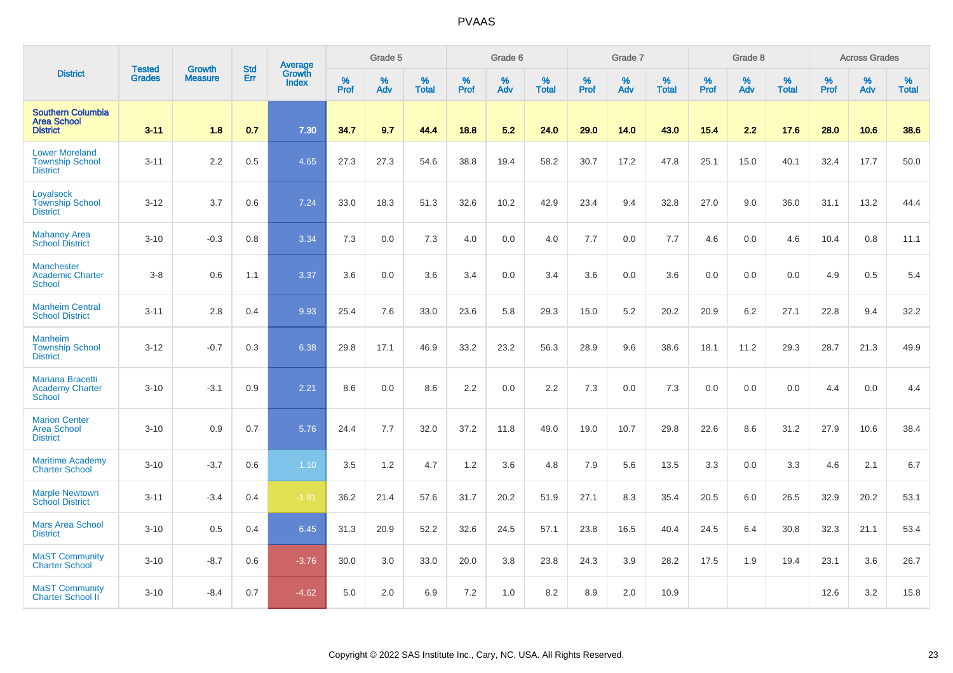|                                                                    | <b>Tested</b> | <b>Growth</b>  | <b>Std</b> | Average         |           | Grade 5  |                      |              | Grade 6  |                   |              | Grade 7  |                   |           | Grade 8  |                   |                  | <b>Across Grades</b> |                   |
|--------------------------------------------------------------------|---------------|----------------|------------|-----------------|-----------|----------|----------------------|--------------|----------|-------------------|--------------|----------|-------------------|-----------|----------|-------------------|------------------|----------------------|-------------------|
| <b>District</b>                                                    | <b>Grades</b> | <b>Measure</b> | Err        | Growth<br>Index | %<br>Prof | %<br>Adv | $\%$<br><b>Total</b> | $\%$<br>Prof | %<br>Adv | %<br><b>Total</b> | $\%$<br>Prof | %<br>Adv | %<br><b>Total</b> | %<br>Prof | %<br>Adv | %<br><b>Total</b> | %<br><b>Prof</b> | %<br>Adv             | %<br><b>Total</b> |
| <b>Southern Columbia</b><br><b>Area School</b><br><b>District</b>  | $3 - 11$      | 1.8            | 0.7        | 7.30            | 34.7      | 9.7      | 44.4                 | 18.8         | 5.2      | 24.0              | 29.0         | 14.0     | 43.0              | 15.4      | 2.2      | 17.6              | 28.0             | 10.6                 | 38.6              |
| <b>Lower Moreland</b><br><b>Township School</b><br><b>District</b> | $3 - 11$      | 2.2            | 0.5        | 4.65            | 27.3      | 27.3     | 54.6                 | 38.8         | 19.4     | 58.2              | 30.7         | 17.2     | 47.8              | 25.1      | 15.0     | 40.1              | 32.4             | 17.7                 | 50.0              |
| Loyalsock<br><b>Township School</b><br><b>District</b>             | $3 - 12$      | 3.7            | 0.6        | 7.24            | 33.0      | 18.3     | 51.3                 | 32.6         | 10.2     | 42.9              | 23.4         | 9.4      | 32.8              | 27.0      | 9.0      | 36.0              | 31.1             | 13.2                 | 44.4              |
| <b>Mahanoy Area</b><br><b>School District</b>                      | $3 - 10$      | $-0.3$         | 0.8        | 3.34            | 7.3       | 0.0      | 7.3                  | 4.0          | 0.0      | 4.0               | 7.7          | 0.0      | 7.7               | 4.6       | 0.0      | 4.6               | 10.4             | 0.8                  | 11.1              |
| <b>Manchester</b><br><b>Academic Charter</b><br><b>School</b>      | $3-8$         | 0.6            | 1.1        | 3.37            | 3.6       | 0.0      | 3.6                  | 3.4          | 0.0      | 3.4               | 3.6          | 0.0      | 3.6               | 0.0       | 0.0      | 0.0               | 4.9              | 0.5                  | 5.4               |
| <b>Manheim Central</b><br><b>School District</b>                   | $3 - 11$      | 2.8            | 0.4        | 9.93            | 25.4      | 7.6      | 33.0                 | 23.6         | 5.8      | 29.3              | 15.0         | 5.2      | 20.2              | 20.9      | 6.2      | 27.1              | 22.8             | 9.4                  | 32.2              |
| <b>Manheim</b><br><b>Township School</b><br><b>District</b>        | $3 - 12$      | $-0.7$         | 0.3        | 6.38            | 29.8      | 17.1     | 46.9                 | 33.2         | 23.2     | 56.3              | 28.9         | 9.6      | 38.6              | 18.1      | 11.2     | 29.3              | 28.7             | 21.3                 | 49.9              |
| Mariana Bracetti<br><b>Academy Charter</b><br><b>School</b>        | $3 - 10$      | $-3.1$         | 0.9        | 2.21            | 8.6       | 0.0      | 8.6                  | 2.2          | 0.0      | 2.2               | 7.3          | 0.0      | 7.3               | 0.0       | 0.0      | 0.0               | 4.4              | 0.0                  | 4.4               |
| <b>Marion Center</b><br><b>Area School</b><br><b>District</b>      | $3 - 10$      | 0.9            | 0.7        | 5.76            | 24.4      | 7.7      | 32.0                 | 37.2         | 11.8     | 49.0              | 19.0         | 10.7     | 29.8              | 22.6      | 8.6      | 31.2              | 27.9             | 10.6                 | 38.4              |
| <b>Maritime Academy</b><br><b>Charter School</b>                   | $3 - 10$      | $-3.7$         | 0.6        | 1.10            | 3.5       | 1.2      | 4.7                  | 1.2          | 3.6      | 4.8               | 7.9          | 5.6      | 13.5              | 3.3       | 0.0      | 3.3               | 4.6              | 2.1                  | 6.7               |
| <b>Marple Newtown</b><br><b>School District</b>                    | $3 - 11$      | $-3.4$         | 0.4        | $-1.81$         | 36.2      | 21.4     | 57.6                 | 31.7         | 20.2     | 51.9              | 27.1         | 8.3      | 35.4              | 20.5      | 6.0      | 26.5              | 32.9             | 20.2                 | 53.1              |
| <b>Mars Area School</b><br><b>District</b>                         | $3 - 10$      | 0.5            | 0.4        | 6.45            | 31.3      | 20.9     | 52.2                 | 32.6         | 24.5     | 57.1              | 23.8         | 16.5     | 40.4              | 24.5      | 6.4      | 30.8              | 32.3             | 21.1                 | 53.4              |
| <b>MaST Community</b><br><b>Charter School</b>                     | $3 - 10$      | $-8.7$         | 0.6        | $-3.76$         | 30.0      | 3.0      | 33.0                 | 20.0         | 3.8      | 23.8              | 24.3         | 3.9      | 28.2              | 17.5      | 1.9      | 19.4              | 23.1             | 3.6                  | 26.7              |
| <b>MaST Community</b><br><b>Charter School II</b>                  | $3 - 10$      | $-8.4$         | 0.7        | $-4.62$         | 5.0       | 2.0      | 6.9                  | 7.2          | 1.0      | 8.2               | 8.9          | 2.0      | 10.9              |           |          |                   | 12.6             | 3.2                  | 15.8              |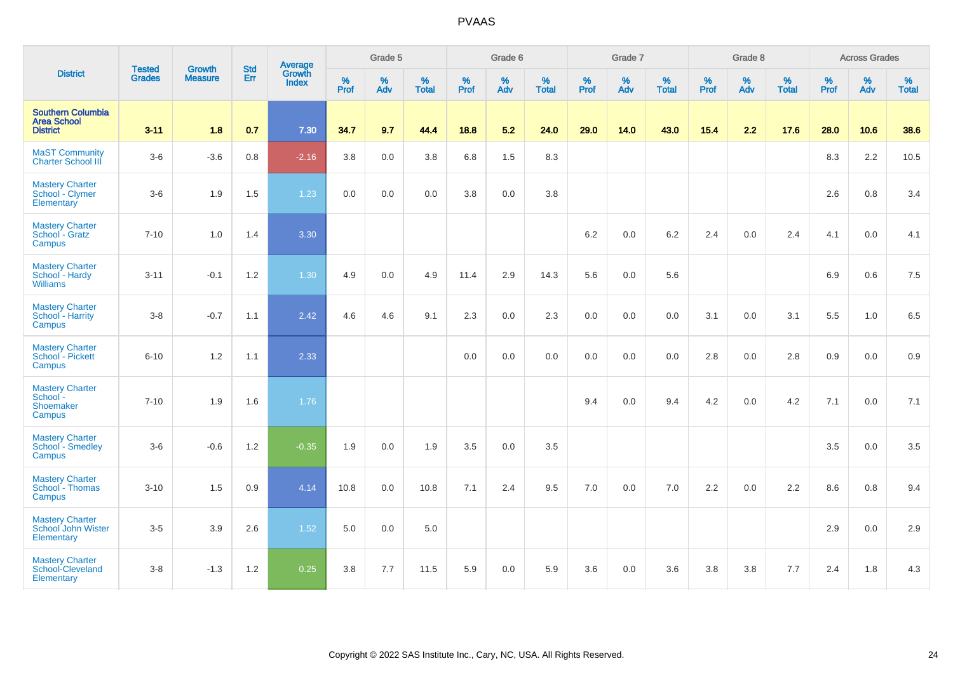|                                                                   | <b>Tested</b> | Growth         | <b>Std</b> | Average                |                     | Grade 5     |                   |                     | Grade 6  |                      |                     | Grade 7  |                   |              | Grade 8  |                   |              | <b>Across Grades</b> |                   |
|-------------------------------------------------------------------|---------------|----------------|------------|------------------------|---------------------|-------------|-------------------|---------------------|----------|----------------------|---------------------|----------|-------------------|--------------|----------|-------------------|--------------|----------------------|-------------------|
| <b>District</b>                                                   | <b>Grades</b> | <b>Measure</b> | Err        | Growth<br><b>Index</b> | $\%$<br><b>Prof</b> | $\%$<br>Adv | %<br><b>Total</b> | $\%$<br><b>Prof</b> | %<br>Adv | $\%$<br><b>Total</b> | $\%$<br><b>Prof</b> | %<br>Adv | %<br><b>Total</b> | $\%$<br>Prof | %<br>Adv | %<br><b>Total</b> | $\%$<br>Prof | $\%$<br>Adv          | %<br><b>Total</b> |
| <b>Southern Columbia</b><br><b>Area School</b><br><b>District</b> | $3 - 11$      | 1.8            | 0.7        | 7.30                   | 34.7                | 9.7         | 44.4              | 18.8                | 5.2      | 24.0                 | 29.0                | 14.0     | 43.0              | $15.4$       | 2.2      | 17.6              | 28.0         | 10.6                 | 38.6              |
| <b>MaST Community</b><br><b>Charter School III</b>                | $3-6$         | $-3.6$         | 0.8        | $-2.16$                | 3.8                 | 0.0         | 3.8               | 6.8                 | 1.5      | 8.3                  |                     |          |                   |              |          |                   | 8.3          | 2.2                  | 10.5              |
| <b>Mastery Charter</b><br>School - Clymer<br>Elementary           | $3-6$         | 1.9            | 1.5        | 1.23                   | 0.0                 | 0.0         | 0.0               | 3.8                 | $0.0\,$  | $3.8\,$              |                     |          |                   |              |          |                   | 2.6          | $0.8\,$              | 3.4               |
| <b>Mastery Charter</b><br>School - Gratz<br>Campus                | $7 - 10$      | 1.0            | 1.4        | 3.30                   |                     |             |                   |                     |          |                      | 6.2                 | 0.0      | 6.2               | 2.4          | 0.0      | 2.4               | 4.1          | 0.0                  | 4.1               |
| <b>Mastery Charter</b><br>School - Hardy<br><b>Williams</b>       | $3 - 11$      | $-0.1$         | 1.2        | 1.30                   | 4.9                 | 0.0         | 4.9               | 11.4                | 2.9      | 14.3                 | 5.6                 | 0.0      | 5.6               |              |          |                   | 6.9          | 0.6                  | 7.5               |
| <b>Mastery Charter</b><br>School - Harrity<br>Campus              | $3-8$         | $-0.7$         | 1.1        | 2.42                   | 4.6                 | 4.6         | 9.1               | 2.3                 | 0.0      | 2.3                  | 0.0                 | 0.0      | 0.0               | 3.1          | 0.0      | 3.1               | 5.5          | 1.0                  | 6.5               |
| <b>Mastery Charter</b><br>School - Pickett<br>Campus              | $6 - 10$      | 1.2            | 1.1        | 2.33                   |                     |             |                   | 0.0                 | 0.0      | 0.0                  | 0.0                 | 0.0      | 0.0               | 2.8          | 0.0      | 2.8               | 0.9          | 0.0                  | 0.9               |
| <b>Mastery Charter</b><br>School-<br>Shoemaker<br>Campus          | $7 - 10$      | 1.9            | 1.6        | 1.76                   |                     |             |                   |                     |          |                      | 9.4                 | $0.0\,$  | 9.4               | 4.2          | 0.0      | 4.2               | 7.1          | 0.0                  | 7.1               |
| <b>Mastery Charter</b><br><b>School - Smedley</b><br>Campus       | $3-6$         | $-0.6$         | 1.2        | $-0.35$                | 1.9                 | 0.0         | 1.9               | 3.5                 | 0.0      | 3.5                  |                     |          |                   |              |          |                   | 3.5          | 0.0                  | 3.5               |
| <b>Mastery Charter</b><br>School - Thomas<br>Campus               | $3 - 10$      | 1.5            | 0.9        | 4.14                   | 10.8                | 0.0         | 10.8              | 7.1                 | 2.4      | 9.5                  | 7.0                 | 0.0      | 7.0               | 2.2          | 0.0      | 2.2               | 8.6          | 0.8                  | 9.4               |
| <b>Mastery Charter</b><br>School John Wister<br>Elementary        | $3-5$         | 3.9            | 2.6        | 1.52                   | 5.0                 | 0.0         | 5.0               |                     |          |                      |                     |          |                   |              |          |                   | 2.9          | 0.0                  | 2.9               |
| <b>Mastery Charter</b><br>School-Cleveland<br>Elementary          | $3-8$         | $-1.3$         | 1.2        | 0.25                   | 3.8                 | 7.7         | 11.5              | 5.9                 | 0.0      | 5.9                  | 3.6                 | 0.0      | 3.6               | 3.8          | 3.8      | 7.7               | 2.4          | 1.8                  | 4.3               |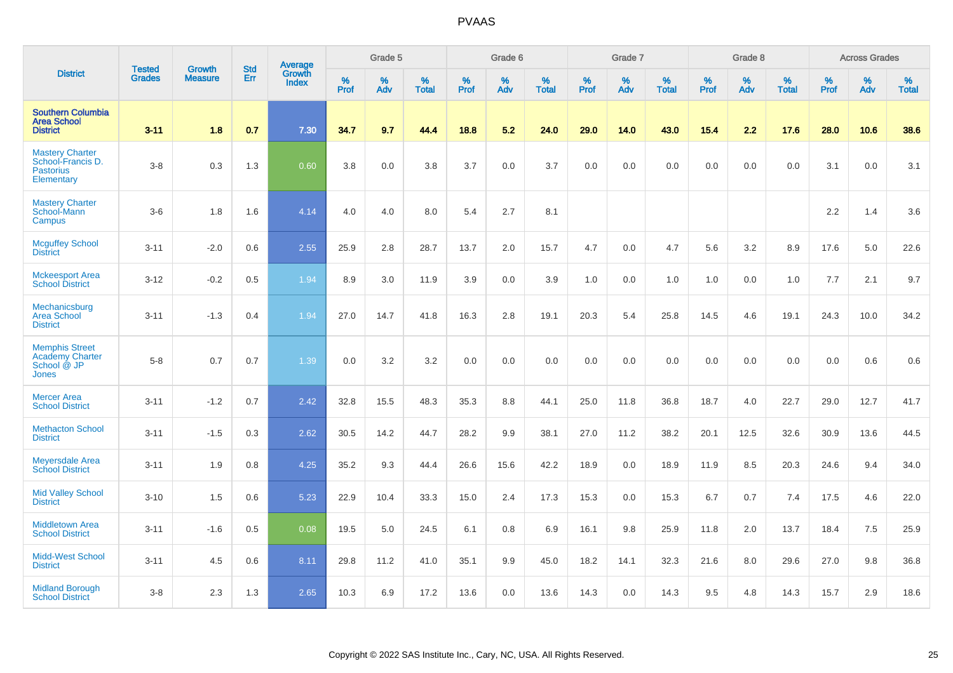|                                                                               | <b>Tested</b> | <b>Growth</b>  | <b>Std</b> | Average                |           | Grade 5  |                   |           | Grade 6  |                   |           | Grade 7  |                   |           | Grade 8  |                   |           | <b>Across Grades</b> |                   |
|-------------------------------------------------------------------------------|---------------|----------------|------------|------------------------|-----------|----------|-------------------|-----------|----------|-------------------|-----------|----------|-------------------|-----------|----------|-------------------|-----------|----------------------|-------------------|
| <b>District</b>                                                               | <b>Grades</b> | <b>Measure</b> | Err        | Growth<br><b>Index</b> | %<br>Prof | %<br>Adv | %<br><b>Total</b> | %<br>Prof | %<br>Adv | %<br><b>Total</b> | %<br>Prof | %<br>Adv | %<br><b>Total</b> | %<br>Prof | %<br>Adv | %<br><b>Total</b> | %<br>Prof | %<br>Adv             | %<br><b>Total</b> |
| <b>Southern Columbia</b><br><b>Area School</b><br><b>District</b>             | $3 - 11$      | 1.8            | 0.7        | 7.30                   | 34.7      | 9.7      | 44.4              | 18.8      | 5.2      | 24.0              | 29.0      | 14.0     | 43.0              | 15.4      | 2.2      | 17.6              | 28.0      | 10.6                 | 38.6              |
| <b>Mastery Charter</b><br>School-Francis D.<br><b>Pastorius</b><br>Elementary | $3-8$         | 0.3            | 1.3        | 0.60                   | 3.8       | 0.0      | 3.8               | 3.7       | 0.0      | 3.7               | 0.0       | 0.0      | 0.0               | 0.0       | 0.0      | 0.0               | 3.1       | 0.0                  | 3.1               |
| <b>Mastery Charter</b><br>School-Mann<br>Campus                               | $3-6$         | 1.8            | 1.6        | 4.14                   | 4.0       | 4.0      | 8.0               | 5.4       | 2.7      | 8.1               |           |          |                   |           |          |                   | 2.2       | 1.4                  | 3.6               |
| <b>Mcguffey School</b><br><b>District</b>                                     | $3 - 11$      | $-2.0$         | 0.6        | 2.55                   | 25.9      | 2.8      | 28.7              | 13.7      | 2.0      | 15.7              | 4.7       | 0.0      | 4.7               | 5.6       | 3.2      | 8.9               | 17.6      | 5.0                  | 22.6              |
| <b>Mckeesport Area</b><br><b>School District</b>                              | $3 - 12$      | $-0.2$         | 0.5        | 1.94                   | 8.9       | 3.0      | 11.9              | 3.9       | 0.0      | 3.9               | 1.0       | 0.0      | 1.0               | 1.0       | 0.0      | 1.0               | 7.7       | 2.1                  | 9.7               |
| Mechanicsburg<br><b>Area School</b><br><b>District</b>                        | $3 - 11$      | $-1.3$         | 0.4        | 1.94                   | 27.0      | 14.7     | 41.8              | 16.3      | 2.8      | 19.1              | 20.3      | 5.4      | 25.8              | 14.5      | 4.6      | 19.1              | 24.3      | 10.0                 | 34.2              |
| <b>Memphis Street</b><br><b>Academy Charter</b><br>School @ JP<br>Jones       | $5-8$         | 0.7            | 0.7        | 1.39                   | 0.0       | 3.2      | 3.2               | 0.0       | 0.0      | 0.0               | 0.0       | 0.0      | 0.0               | 0.0       | 0.0      | 0.0               | 0.0       | 0.6                  | 0.6               |
| <b>Mercer Area</b><br><b>School District</b>                                  | $3 - 11$      | $-1.2$         | 0.7        | 2.42                   | 32.8      | 15.5     | 48.3              | 35.3      | 8.8      | 44.1              | 25.0      | 11.8     | 36.8              | 18.7      | 4.0      | 22.7              | 29.0      | 12.7                 | 41.7              |
| <b>Methacton School</b><br><b>District</b>                                    | $3 - 11$      | $-1.5$         | 0.3        | 2.62                   | 30.5      | 14.2     | 44.7              | 28.2      | 9.9      | 38.1              | 27.0      | 11.2     | 38.2              | 20.1      | 12.5     | 32.6              | 30.9      | 13.6                 | 44.5              |
| <b>Meyersdale Area</b><br><b>School District</b>                              | $3 - 11$      | 1.9            | 0.8        | 4.25                   | 35.2      | 9.3      | 44.4              | 26.6      | 15.6     | 42.2              | 18.9      | 0.0      | 18.9              | 11.9      | 8.5      | 20.3              | 24.6      | 9.4                  | 34.0              |
| <b>Mid Valley School</b><br><b>District</b>                                   | $3 - 10$      | 1.5            | 0.6        | 5.23                   | 22.9      | 10.4     | 33.3              | 15.0      | 2.4      | 17.3              | 15.3      | 0.0      | 15.3              | 6.7       | 0.7      | 7.4               | 17.5      | 4.6                  | 22.0              |
| Middletown Area<br><b>School District</b>                                     | $3 - 11$      | $-1.6$         | 0.5        | 0.08                   | 19.5      | 5.0      | 24.5              | 6.1       | 0.8      | 6.9               | 16.1      | 9.8      | 25.9              | 11.8      | 2.0      | 13.7              | 18.4      | 7.5                  | 25.9              |
| Midd-West School<br><b>District</b>                                           | $3 - 11$      | 4.5            | 0.6        | 8.11                   | 29.8      | 11.2     | 41.0              | 35.1      | 9.9      | 45.0              | 18.2      | 14.1     | 32.3              | 21.6      | 8.0      | 29.6              | 27.0      | 9.8                  | 36.8              |
| <b>Midland Borough</b><br><b>School District</b>                              | $3-8$         | 2.3            | 1.3        | 2.65                   | 10.3      | 6.9      | 17.2              | 13.6      | 0.0      | 13.6              | 14.3      | 0.0      | 14.3              | 9.5       | 4.8      | 14.3              | 15.7      | 2.9                  | 18.6              |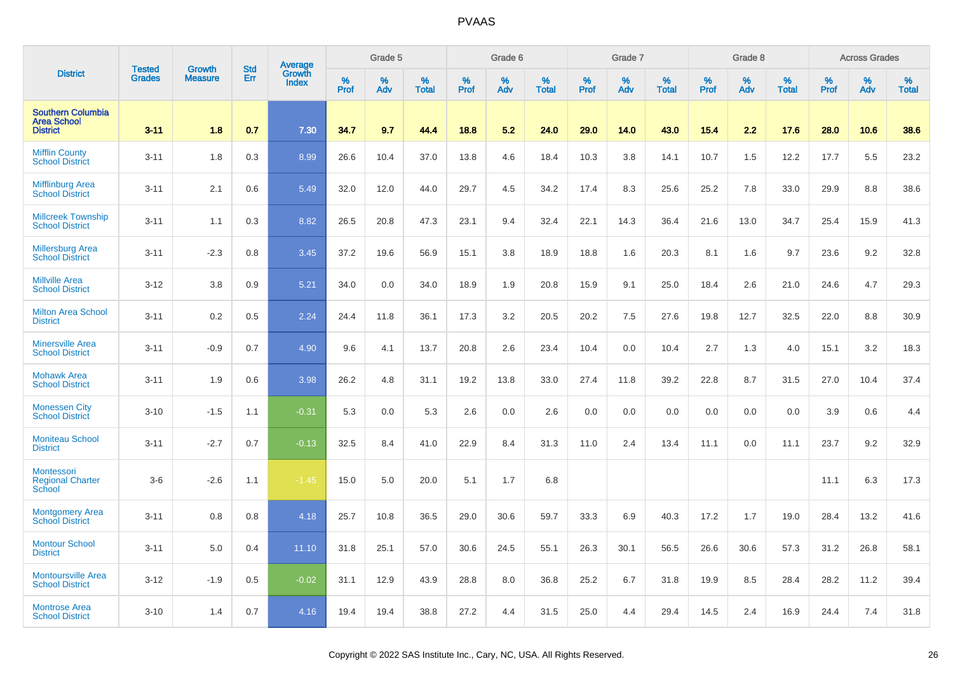|                                                                   |                                |                                 | <b>Std</b> |                                   |                     | Grade 5  |                   |              | Grade 6  |                   |              | Grade 7  |                   |           | Grade 8  |                   |                  | <b>Across Grades</b> |                   |
|-------------------------------------------------------------------|--------------------------------|---------------------------------|------------|-----------------------------------|---------------------|----------|-------------------|--------------|----------|-------------------|--------------|----------|-------------------|-----------|----------|-------------------|------------------|----------------------|-------------------|
| <b>District</b>                                                   | <b>Tested</b><br><b>Grades</b> | <b>Growth</b><br><b>Measure</b> | Err        | Average<br>Growth<br><b>Index</b> | $\%$<br><b>Prof</b> | %<br>Adv | %<br><b>Total</b> | $\%$<br>Prof | %<br>Adv | %<br><b>Total</b> | $\%$<br>Prof | %<br>Adv | %<br><b>Total</b> | %<br>Prof | %<br>Adv | %<br><b>Total</b> | %<br><b>Prof</b> | %<br>Adv             | %<br><b>Total</b> |
| <b>Southern Columbia</b><br><b>Area School</b><br><b>District</b> | $3 - 11$                       | 1.8                             | 0.7        | 7.30                              | 34.7                | 9.7      | 44.4              | 18.8         | 5.2      | 24.0              | 29.0         | 14.0     | 43.0              | 15.4      | 2.2      | 17.6              | 28.0             | 10.6                 | 38.6              |
| <b>Mifflin County</b><br><b>School District</b>                   | $3 - 11$                       | 1.8                             | 0.3        | 8.99                              | 26.6                | 10.4     | 37.0              | 13.8         | 4.6      | 18.4              | 10.3         | 3.8      | 14.1              | 10.7      | 1.5      | 12.2              | 17.7             | 5.5                  | 23.2              |
| <b>Mifflinburg Area</b><br><b>School District</b>                 | $3 - 11$                       | 2.1                             | 0.6        | 5.49                              | 32.0                | 12.0     | 44.0              | 29.7         | 4.5      | 34.2              | 17.4         | 8.3      | 25.6              | 25.2      | 7.8      | 33.0              | 29.9             | 8.8                  | 38.6              |
| <b>Millcreek Township</b><br><b>School District</b>               | $3 - 11$                       | 1.1                             | 0.3        | 8.82                              | 26.5                | 20.8     | 47.3              | 23.1         | 9.4      | 32.4              | 22.1         | 14.3     | 36.4              | 21.6      | 13.0     | 34.7              | 25.4             | 15.9                 | 41.3              |
| <b>Millersburg Area</b><br><b>School District</b>                 | $3 - 11$                       | $-2.3$                          | 0.8        | 3.45                              | 37.2                | 19.6     | 56.9              | 15.1         | 3.8      | 18.9              | 18.8         | 1.6      | 20.3              | 8.1       | 1.6      | 9.7               | 23.6             | 9.2                  | 32.8              |
| <b>Millville Area</b><br><b>School District</b>                   | $3 - 12$                       | 3.8                             | 0.9        | 5.21                              | 34.0                | 0.0      | 34.0              | 18.9         | 1.9      | 20.8              | 15.9         | 9.1      | 25.0              | 18.4      | 2.6      | 21.0              | 24.6             | 4.7                  | 29.3              |
| <b>Milton Area School</b><br><b>District</b>                      | $3 - 11$                       | 0.2                             | 0.5        | 2.24                              | 24.4                | 11.8     | 36.1              | 17.3         | 3.2      | 20.5              | 20.2         | 7.5      | 27.6              | 19.8      | 12.7     | 32.5              | 22.0             | 8.8                  | 30.9              |
| <b>Minersville Area</b><br><b>School District</b>                 | $3 - 11$                       | $-0.9$                          | 0.7        | 4.90                              | 9.6                 | 4.1      | 13.7              | 20.8         | 2.6      | 23.4              | 10.4         | 0.0      | 10.4              | 2.7       | 1.3      | 4.0               | 15.1             | 3.2                  | 18.3              |
| <b>Mohawk Area</b><br><b>School District</b>                      | $3 - 11$                       | 1.9                             | 0.6        | 3.98                              | 26.2                | 4.8      | 31.1              | 19.2         | 13.8     | 33.0              | 27.4         | 11.8     | 39.2              | 22.8      | 8.7      | 31.5              | 27.0             | 10.4                 | 37.4              |
| <b>Monessen City</b><br><b>School District</b>                    | $3 - 10$                       | $-1.5$                          | 1.1        | $-0.31$                           | 5.3                 | 0.0      | 5.3               | 2.6          | 0.0      | 2.6               | 0.0          | 0.0      | 0.0               | 0.0       | 0.0      | 0.0               | 3.9              | 0.6                  | 4.4               |
| <b>Moniteau School</b><br><b>District</b>                         | $3 - 11$                       | $-2.7$                          | 0.7        | $-0.13$                           | 32.5                | 8.4      | 41.0              | 22.9         | 8.4      | 31.3              | 11.0         | 2.4      | 13.4              | 11.1      | 0.0      | 11.1              | 23.7             | 9.2                  | 32.9              |
| Montessori<br><b>Regional Charter</b><br><b>School</b>            | $3-6$                          | $-2.6$                          | 1.1        | $-1.45$                           | 15.0                | 5.0      | 20.0              | 5.1          | 1.7      | 6.8               |              |          |                   |           |          |                   | 11.1             | 6.3                  | 17.3              |
| <b>Montgomery Area</b><br><b>School District</b>                  | $3 - 11$                       | 0.8                             | 0.8        | 4.18                              | 25.7                | 10.8     | 36.5              | 29.0         | 30.6     | 59.7              | 33.3         | 6.9      | 40.3              | 17.2      | 1.7      | 19.0              | 28.4             | 13.2                 | 41.6              |
| <b>Montour School</b><br><b>District</b>                          | $3 - 11$                       | 5.0                             | 0.4        | 11.10                             | 31.8                | 25.1     | 57.0              | 30.6         | 24.5     | 55.1              | 26.3         | 30.1     | 56.5              | 26.6      | 30.6     | 57.3              | 31.2             | 26.8                 | 58.1              |
| <b>Montoursville Area</b><br><b>School District</b>               | $3 - 12$                       | $-1.9$                          | 0.5        | $-0.02$                           | 31.1                | 12.9     | 43.9              | 28.8         | 8.0      | 36.8              | 25.2         | 6.7      | 31.8              | 19.9      | 8.5      | 28.4              | 28.2             | 11.2                 | 39.4              |
| <b>Montrose Area</b><br><b>School District</b>                    | $3 - 10$                       | 1.4                             | 0.7        | 4.16                              | 19.4                | 19.4     | 38.8              | 27.2         | 4.4      | 31.5              | 25.0         | 4.4      | 29.4              | 14.5      | 2.4      | 16.9              | 24.4             | 7.4                  | 31.8              |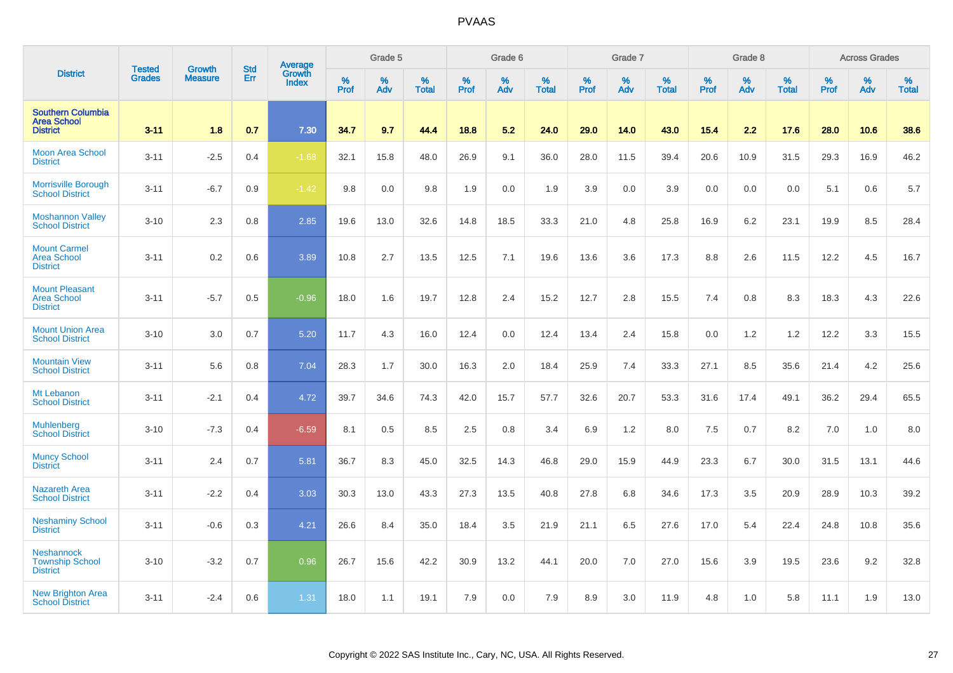|                                                                   |                                | <b>Growth</b>  | <b>Std</b> | Average                |           | Grade 5  |                   |           | Grade 6  |                   |           | Grade 7  |                   |           | Grade 8  |                   |           | <b>Across Grades</b> |                   |
|-------------------------------------------------------------------|--------------------------------|----------------|------------|------------------------|-----------|----------|-------------------|-----------|----------|-------------------|-----------|----------|-------------------|-----------|----------|-------------------|-----------|----------------------|-------------------|
| <b>District</b>                                                   | <b>Tested</b><br><b>Grades</b> | <b>Measure</b> | Err        | Growth<br><b>Index</b> | %<br>Prof | %<br>Adv | %<br><b>Total</b> | %<br>Prof | %<br>Adv | %<br><b>Total</b> | %<br>Prof | %<br>Adv | %<br><b>Total</b> | %<br>Prof | %<br>Adv | %<br><b>Total</b> | %<br>Prof | %<br>Adv             | %<br><b>Total</b> |
| <b>Southern Columbia</b><br><b>Area School</b><br><b>District</b> | $3 - 11$                       | 1.8            | 0.7        | 7.30                   | 34.7      | 9.7      | 44.4              | 18.8      | 5.2      | 24.0              | 29.0      | 14.0     | 43.0              | 15.4      | 2.2      | 17.6              | 28.0      | 10.6                 | 38.6              |
| <b>Moon Area School</b><br><b>District</b>                        | $3 - 11$                       | $-2.5$         | 0.4        | $-1.68$                | 32.1      | 15.8     | 48.0              | 26.9      | 9.1      | 36.0              | 28.0      | 11.5     | 39.4              | 20.6      | 10.9     | 31.5              | 29.3      | 16.9                 | 46.2              |
| <b>Morrisville Borough</b><br><b>School District</b>              | $3 - 11$                       | $-6.7$         | 0.9        | $-1.42$                | 9.8       | 0.0      | 9.8               | 1.9       | 0.0      | 1.9               | 3.9       | 0.0      | 3.9               | 0.0       | 0.0      | 0.0               | 5.1       | 0.6                  | 5.7               |
| <b>Moshannon Valley</b><br><b>School District</b>                 | $3 - 10$                       | 2.3            | 0.8        | 2.85                   | 19.6      | 13.0     | 32.6              | 14.8      | 18.5     | 33.3              | 21.0      | 4.8      | 25.8              | 16.9      | 6.2      | 23.1              | 19.9      | 8.5                  | 28.4              |
| <b>Mount Carmel</b><br><b>Area School</b><br><b>District</b>      | $3 - 11$                       | 0.2            | 0.6        | 3.89                   | 10.8      | 2.7      | 13.5              | 12.5      | 7.1      | 19.6              | 13.6      | 3.6      | 17.3              | 8.8       | 2.6      | 11.5              | 12.2      | 4.5                  | 16.7              |
| <b>Mount Pleasant</b><br><b>Area School</b><br><b>District</b>    | $3 - 11$                       | $-5.7$         | 0.5        | $-0.96$                | 18.0      | 1.6      | 19.7              | 12.8      | 2.4      | 15.2              | 12.7      | 2.8      | 15.5              | 7.4       | 0.8      | 8.3               | 18.3      | 4.3                  | 22.6              |
| <b>Mount Union Area</b><br><b>School District</b>                 | $3 - 10$                       | 3.0            | 0.7        | 5.20                   | 11.7      | 4.3      | 16.0              | 12.4      | 0.0      | 12.4              | 13.4      | 2.4      | 15.8              | 0.0       | 1.2      | 1.2               | 12.2      | 3.3                  | 15.5              |
| <b>Mountain View</b><br><b>School District</b>                    | $3 - 11$                       | 5.6            | 0.8        | 7.04                   | 28.3      | 1.7      | 30.0              | 16.3      | 2.0      | 18.4              | 25.9      | 7.4      | 33.3              | 27.1      | 8.5      | 35.6              | 21.4      | 4.2                  | 25.6              |
| Mt Lebanon<br><b>School District</b>                              | $3 - 11$                       | $-2.1$         | 0.4        | 4.72                   | 39.7      | 34.6     | 74.3              | 42.0      | 15.7     | 57.7              | 32.6      | 20.7     | 53.3              | 31.6      | 17.4     | 49.1              | 36.2      | 29.4                 | 65.5              |
| <b>Muhlenberg</b><br><b>School District</b>                       | $3 - 10$                       | $-7.3$         | 0.4        | $-6.59$                | 8.1       | 0.5      | 8.5               | 2.5       | 0.8      | 3.4               | 6.9       | 1.2      | 8.0               | 7.5       | 0.7      | 8.2               | 7.0       | 1.0                  | 8.0               |
| <b>Muncy School</b><br><b>District</b>                            | $3 - 11$                       | 2.4            | 0.7        | 5.81                   | 36.7      | 8.3      | 45.0              | 32.5      | 14.3     | 46.8              | 29.0      | 15.9     | 44.9              | 23.3      | 6.7      | 30.0              | 31.5      | 13.1                 | 44.6              |
| <b>Nazareth Area</b><br><b>School District</b>                    | $3 - 11$                       | $-2.2$         | 0.4        | 3.03                   | 30.3      | 13.0     | 43.3              | 27.3      | 13.5     | 40.8              | 27.8      | 6.8      | 34.6              | 17.3      | 3.5      | 20.9              | 28.9      | 10.3                 | 39.2              |
| <b>Neshaminy School</b><br><b>District</b>                        | $3 - 11$                       | $-0.6$         | 0.3        | 4.21                   | 26.6      | 8.4      | 35.0              | 18.4      | 3.5      | 21.9              | 21.1      | 6.5      | 27.6              | 17.0      | 5.4      | 22.4              | 24.8      | 10.8                 | 35.6              |
| <b>Neshannock</b><br><b>Township School</b><br><b>District</b>    | $3 - 10$                       | $-3.2$         | 0.7        | 0.96                   | 26.7      | 15.6     | 42.2              | 30.9      | 13.2     | 44.1              | 20.0      | 7.0      | 27.0              | 15.6      | 3.9      | 19.5              | 23.6      | 9.2                  | 32.8              |
| <b>New Brighton Area</b><br><b>School District</b>                | $3 - 11$                       | $-2.4$         | 0.6        | 1.31                   | 18.0      | 1.1      | 19.1              | 7.9       | 0.0      | 7.9               | 8.9       | 3.0      | 11.9              | 4.8       | 1.0      | 5.8               | 11.1      | 1.9                  | 13.0              |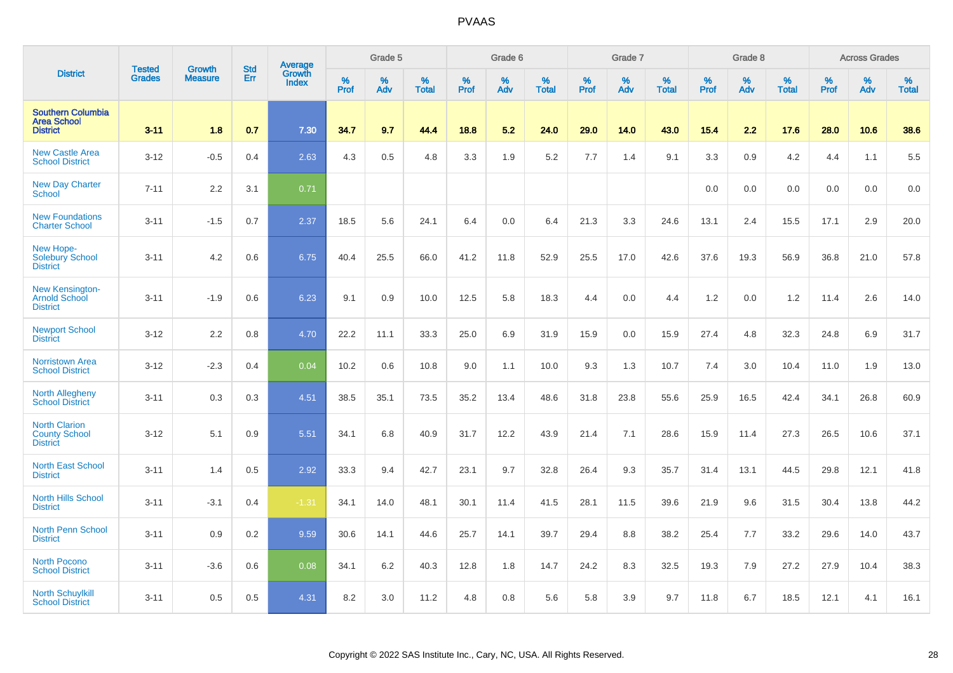|                                                                   | <b>Tested</b> | <b>Growth</b>  | <b>Std</b> | <b>Average</b>         |              | Grade 5  |                   |           | Grade 6  |                   |           | Grade 7  |                   |           | Grade 8  |                   |           | <b>Across Grades</b> |                   |
|-------------------------------------------------------------------|---------------|----------------|------------|------------------------|--------------|----------|-------------------|-----------|----------|-------------------|-----------|----------|-------------------|-----------|----------|-------------------|-----------|----------------------|-------------------|
| <b>District</b>                                                   | <b>Grades</b> | <b>Measure</b> | Err        | Growth<br><b>Index</b> | $\%$<br>Prof | %<br>Adv | %<br><b>Total</b> | %<br>Prof | %<br>Adv | %<br><b>Total</b> | %<br>Prof | %<br>Adv | %<br><b>Total</b> | %<br>Prof | %<br>Adv | %<br><b>Total</b> | %<br>Prof | %<br>Adv             | %<br><b>Total</b> |
| <b>Southern Columbia</b><br><b>Area School</b><br><b>District</b> | $3 - 11$      | 1.8            | 0.7        | 7.30                   | 34.7         | 9.7      | 44.4              | 18.8      | 5.2      | 24.0              | 29.0      | 14.0     | 43.0              | 15.4      | 2.2      | 17.6              | 28.0      | 10.6                 | 38.6              |
| <b>New Castle Area</b><br><b>School District</b>                  | $3 - 12$      | $-0.5$         | 0.4        | 2.63                   | 4.3          | $0.5\,$  | 4.8               | 3.3       | 1.9      | 5.2               | 7.7       | 1.4      | 9.1               | 3.3       | 0.9      | 4.2               | 4.4       | 1.1                  | 5.5               |
| <b>New Day Charter</b><br>School                                  | $7 - 11$      | 2.2            | 3.1        | 0.71                   |              |          |                   |           |          |                   |           |          |                   | 0.0       | 0.0      | 0.0               | 0.0       | 0.0                  | 0.0               |
| <b>New Foundations</b><br><b>Charter School</b>                   | $3 - 11$      | $-1.5$         | 0.7        | 2.37                   | 18.5         | 5.6      | 24.1              | 6.4       | 0.0      | 6.4               | 21.3      | 3.3      | 24.6              | 13.1      | 2.4      | 15.5              | 17.1      | 2.9                  | 20.0              |
| New Hope-<br><b>Solebury School</b><br><b>District</b>            | $3 - 11$      | 4.2            | 0.6        | 6.75                   | 40.4         | 25.5     | 66.0              | 41.2      | 11.8     | 52.9              | 25.5      | 17.0     | 42.6              | 37.6      | 19.3     | 56.9              | 36.8      | 21.0                 | 57.8              |
| <b>New Kensington-</b><br><b>Arnold School</b><br><b>District</b> | $3 - 11$      | $-1.9$         | 0.6        | 6.23                   | 9.1          | 0.9      | 10.0              | 12.5      | 5.8      | 18.3              | 4.4       | 0.0      | 4.4               | 1.2       | 0.0      | 1.2               | 11.4      | 2.6                  | 14.0              |
| <b>Newport School</b><br><b>District</b>                          | $3 - 12$      | 2.2            | 0.8        | 4.70                   | 22.2         | 11.1     | 33.3              | 25.0      | 6.9      | 31.9              | 15.9      | 0.0      | 15.9              | 27.4      | 4.8      | 32.3              | 24.8      | 6.9                  | 31.7              |
| <b>Norristown Area</b><br><b>School District</b>                  | $3 - 12$      | $-2.3$         | 0.4        | 0.04                   | 10.2         | 0.6      | 10.8              | 9.0       | 1.1      | 10.0              | 9.3       | 1.3      | 10.7              | 7.4       | 3.0      | 10.4              | 11.0      | 1.9                  | 13.0              |
| <b>North Allegheny</b><br><b>School District</b>                  | $3 - 11$      | 0.3            | 0.3        | 4.51                   | 38.5         | 35.1     | 73.5              | 35.2      | 13.4     | 48.6              | 31.8      | 23.8     | 55.6              | 25.9      | 16.5     | 42.4              | 34.1      | 26.8                 | 60.9              |
| <b>North Clarion</b><br><b>County School</b><br><b>District</b>   | $3 - 12$      | 5.1            | 0.9        | 5.51                   | 34.1         | 6.8      | 40.9              | 31.7      | 12.2     | 43.9              | 21.4      | 7.1      | 28.6              | 15.9      | 11.4     | 27.3              | 26.5      | 10.6                 | 37.1              |
| <b>North East School</b><br><b>District</b>                       | $3 - 11$      | 1.4            | 0.5        | 2.92                   | 33.3         | 9.4      | 42.7              | 23.1      | 9.7      | 32.8              | 26.4      | 9.3      | 35.7              | 31.4      | 13.1     | 44.5              | 29.8      | 12.1                 | 41.8              |
| <b>North Hills School</b><br><b>District</b>                      | $3 - 11$      | $-3.1$         | 0.4        | $-1.31$                | 34.1         | 14.0     | 48.1              | 30.1      | 11.4     | 41.5              | 28.1      | 11.5     | 39.6              | 21.9      | 9.6      | 31.5              | 30.4      | 13.8                 | 44.2              |
| <b>North Penn School</b><br><b>District</b>                       | $3 - 11$      | 0.9            | 0.2        | 9.59                   | 30.6         | 14.1     | 44.6              | 25.7      | 14.1     | 39.7              | 29.4      | 8.8      | 38.2              | 25.4      | 7.7      | 33.2              | 29.6      | 14.0                 | 43.7              |
| North Pocono<br><b>School District</b>                            | $3 - 11$      | $-3.6$         | 0.6        | 0.08                   | 34.1         | 6.2      | 40.3              | 12.8      | 1.8      | 14.7              | 24.2      | 8.3      | 32.5              | 19.3      | 7.9      | 27.2              | 27.9      | 10.4                 | 38.3              |
| <b>North Schuylkill</b><br><b>School District</b>                 | $3 - 11$      | 0.5            | 0.5        | 4.31                   | 8.2          | 3.0      | 11.2              | 4.8       | 0.8      | 5.6               | 5.8       | 3.9      | 9.7               | 11.8      | 6.7      | 18.5              | 12.1      | 4.1                  | 16.1              |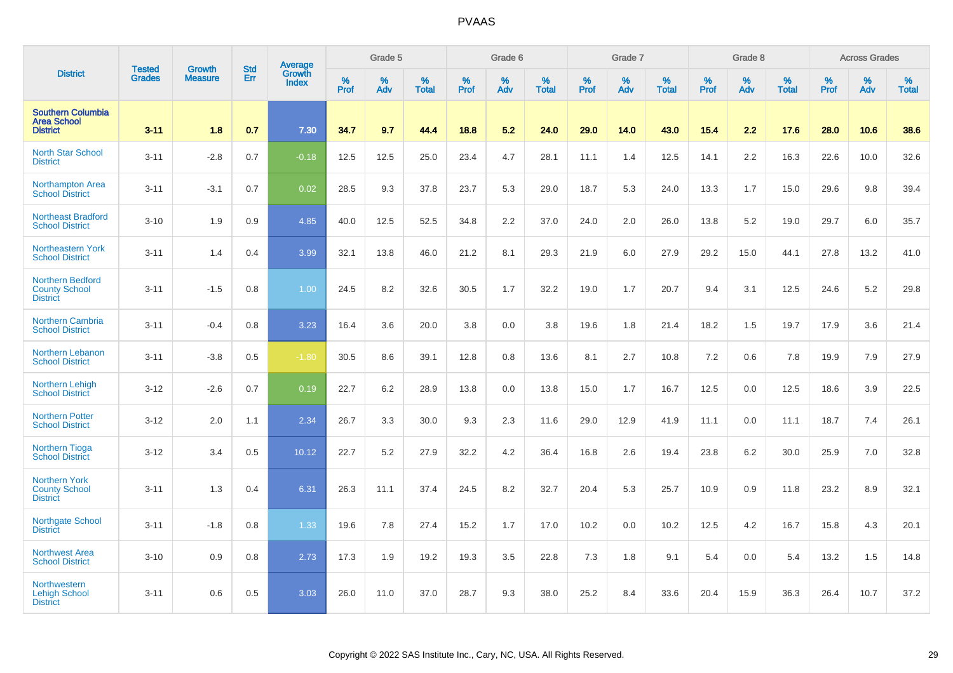|                                                                    |                                |                                 | <b>Std</b> | Average                |           | Grade 5  |                   |           | Grade 6  |                   |              | Grade 7  |                   |           | Grade 8  |                   |                  | <b>Across Grades</b> |                   |
|--------------------------------------------------------------------|--------------------------------|---------------------------------|------------|------------------------|-----------|----------|-------------------|-----------|----------|-------------------|--------------|----------|-------------------|-----------|----------|-------------------|------------------|----------------------|-------------------|
| <b>District</b>                                                    | <b>Tested</b><br><b>Grades</b> | <b>Growth</b><br><b>Measure</b> | Err        | Growth<br><b>Index</b> | %<br>Prof | %<br>Adv | %<br><b>Total</b> | %<br>Prof | %<br>Adv | %<br><b>Total</b> | $\%$<br>Prof | %<br>Adv | %<br><b>Total</b> | %<br>Prof | %<br>Adv | %<br><b>Total</b> | %<br><b>Prof</b> | %<br>Adv             | %<br><b>Total</b> |
| <b>Southern Columbia</b><br><b>Area School</b><br><b>District</b>  | $3 - 11$                       | 1.8                             | 0.7        | 7.30                   | 34.7      | 9.7      | 44.4              | 18.8      | 5.2      | 24.0              | 29.0         | 14.0     | 43.0              | 15.4      | 2.2      | 17.6              | 28.0             | 10.6                 | 38.6              |
| <b>North Star School</b><br><b>District</b>                        | $3 - 11$                       | $-2.8$                          | 0.7        | $-0.18$                | 12.5      | 12.5     | 25.0              | 23.4      | 4.7      | 28.1              | 11.1         | 1.4      | 12.5              | 14.1      | 2.2      | 16.3              | 22.6             | 10.0                 | 32.6              |
| Northampton Area<br><b>School District</b>                         | $3 - 11$                       | $-3.1$                          | 0.7        | 0.02                   | 28.5      | 9.3      | 37.8              | 23.7      | 5.3      | 29.0              | 18.7         | 5.3      | 24.0              | 13.3      | 1.7      | 15.0              | 29.6             | 9.8                  | 39.4              |
| <b>Northeast Bradford</b><br><b>School District</b>                | $3 - 10$                       | 1.9                             | 0.9        | 4.85                   | 40.0      | 12.5     | 52.5              | 34.8      | 2.2      | 37.0              | 24.0         | 2.0      | 26.0              | 13.8      | 5.2      | 19.0              | 29.7             | 6.0                  | 35.7              |
| <b>Northeastern York</b><br><b>School District</b>                 | $3 - 11$                       | 1.4                             | 0.4        | 3.99                   | 32.1      | 13.8     | 46.0              | 21.2      | 8.1      | 29.3              | 21.9         | 6.0      | 27.9              | 29.2      | 15.0     | 44.1              | 27.8             | 13.2                 | 41.0              |
| <b>Northern Bedford</b><br><b>County School</b><br><b>District</b> | $3 - 11$                       | $-1.5$                          | 0.8        | 1.00                   | 24.5      | 8.2      | 32.6              | 30.5      | 1.7      | 32.2              | 19.0         | 1.7      | 20.7              | 9.4       | 3.1      | 12.5              | 24.6             | 5.2                  | 29.8              |
| <b>Northern Cambria</b><br><b>School District</b>                  | $3 - 11$                       | $-0.4$                          | 0.8        | 3.23                   | 16.4      | 3.6      | 20.0              | 3.8       | 0.0      | 3.8               | 19.6         | 1.8      | 21.4              | 18.2      | 1.5      | 19.7              | 17.9             | 3.6                  | 21.4              |
| Northern Lebanon<br><b>School District</b>                         | $3 - 11$                       | $-3.8$                          | 0.5        | $-1.80$                | 30.5      | 8.6      | 39.1              | 12.8      | 0.8      | 13.6              | 8.1          | 2.7      | 10.8              | 7.2       | 0.6      | 7.8               | 19.9             | 7.9                  | 27.9              |
| Northern Lehigh<br><b>School District</b>                          | $3 - 12$                       | $-2.6$                          | 0.7        | 0.19                   | 22.7      | 6.2      | 28.9              | 13.8      | 0.0      | 13.8              | 15.0         | 1.7      | 16.7              | 12.5      | 0.0      | 12.5              | 18.6             | 3.9                  | 22.5              |
| <b>Northern Potter</b><br><b>School District</b>                   | $3 - 12$                       | 2.0                             | 1.1        | 2.34                   | 26.7      | 3.3      | 30.0              | 9.3       | 2.3      | 11.6              | 29.0         | 12.9     | 41.9              | 11.1      | 0.0      | 11.1              | 18.7             | 7.4                  | 26.1              |
| <b>Northern Tioga</b><br><b>School District</b>                    | $3 - 12$                       | 3.4                             | 0.5        | 10.12                  | 22.7      | 5.2      | 27.9              | 32.2      | 4.2      | 36.4              | 16.8         | 2.6      | 19.4              | 23.8      | $6.2\,$  | 30.0              | 25.9             | 7.0                  | 32.8              |
| <b>Northern York</b><br><b>County School</b><br><b>District</b>    | $3 - 11$                       | 1.3                             | 0.4        | 6.31                   | 26.3      | 11.1     | 37.4              | 24.5      | 8.2      | 32.7              | 20.4         | 5.3      | 25.7              | 10.9      | 0.9      | 11.8              | 23.2             | 8.9                  | 32.1              |
| <b>Northgate School</b><br><b>District</b>                         | $3 - 11$                       | $-1.8$                          | 0.8        | 1.33                   | 19.6      | 7.8      | 27.4              | 15.2      | 1.7      | 17.0              | 10.2         | 0.0      | 10.2              | 12.5      | 4.2      | 16.7              | 15.8             | 4.3                  | 20.1              |
| <b>Northwest Area</b><br><b>School District</b>                    | $3 - 10$                       | 0.9                             | 0.8        | 2.73                   | 17.3      | 1.9      | 19.2              | 19.3      | 3.5      | 22.8              | 7.3          | 1.8      | 9.1               | 5.4       | 0.0      | 5.4               | 13.2             | 1.5                  | 14.8              |
| <b>Northwestern</b><br><b>Lehigh School</b><br><b>District</b>     | $3 - 11$                       | 0.6                             | 0.5        | 3.03                   | 26.0      | 11.0     | 37.0              | 28.7      | 9.3      | 38.0              | 25.2         | 8.4      | 33.6              | 20.4      | 15.9     | 36.3              | 26.4             | 10.7                 | 37.2              |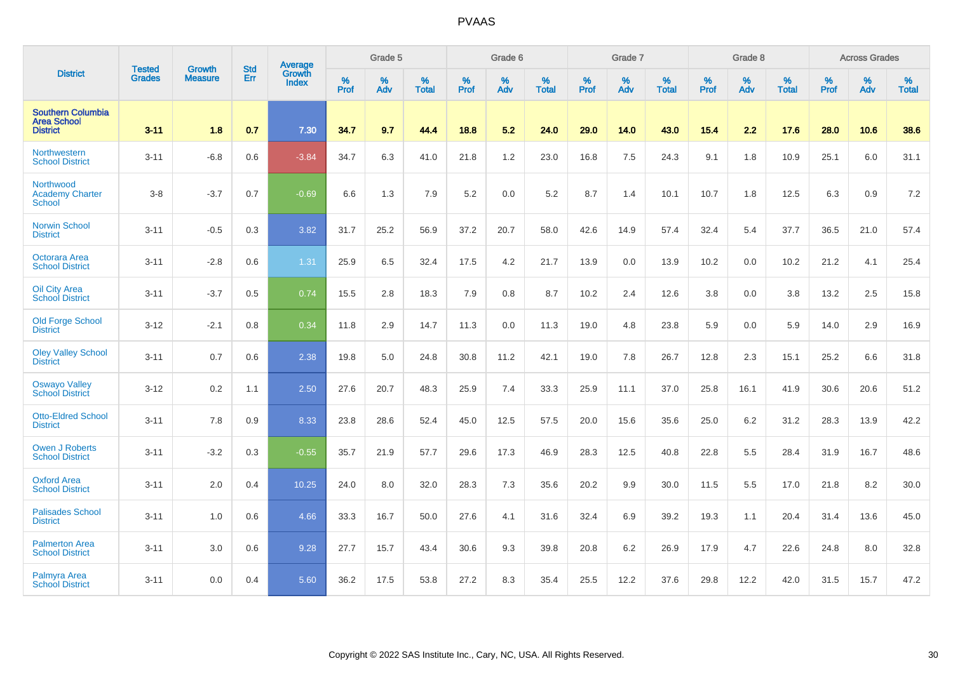|                                                                   | <b>Tested</b> | <b>Growth</b>  | <b>Std</b> | Average                |           | Grade 5  |                   |           | Grade 6  |                   |           | Grade 7  |                   |           | Grade 8  |                   |           | <b>Across Grades</b> |                   |
|-------------------------------------------------------------------|---------------|----------------|------------|------------------------|-----------|----------|-------------------|-----------|----------|-------------------|-----------|----------|-------------------|-----------|----------|-------------------|-----------|----------------------|-------------------|
| <b>District</b>                                                   | <b>Grades</b> | <b>Measure</b> | Err        | Growth<br><b>Index</b> | %<br>Prof | %<br>Adv | %<br><b>Total</b> | %<br>Prof | %<br>Adv | %<br><b>Total</b> | %<br>Prof | %<br>Adv | %<br><b>Total</b> | %<br>Prof | %<br>Adv | %<br><b>Total</b> | %<br>Prof | %<br>Adv             | %<br><b>Total</b> |
| <b>Southern Columbia</b><br><b>Area School</b><br><b>District</b> | $3 - 11$      | 1.8            | 0.7        | 7.30                   | 34.7      | 9.7      | 44.4              | 18.8      | 5.2      | 24.0              | 29.0      | 14.0     | 43.0              | 15.4      | 2.2      | 17.6              | 28.0      | 10.6                 | 38.6              |
| Northwestern<br><b>School District</b>                            | $3 - 11$      | $-6.8$         | 0.6        | $-3.84$                | 34.7      | 6.3      | 41.0              | 21.8      | 1.2      | 23.0              | 16.8      | 7.5      | 24.3              | 9.1       | 1.8      | 10.9              | 25.1      | 6.0                  | 31.1              |
| Northwood<br><b>Academy Charter</b><br><b>School</b>              | $3 - 8$       | $-3.7$         | 0.7        | $-0.69$                | 6.6       | 1.3      | 7.9               | 5.2       | 0.0      | 5.2               | 8.7       | 1.4      | 10.1              | 10.7      | 1.8      | 12.5              | 6.3       | 0.9                  | 7.2               |
| <b>Norwin School</b><br><b>District</b>                           | $3 - 11$      | $-0.5$         | 0.3        | 3.82                   | 31.7      | 25.2     | 56.9              | 37.2      | 20.7     | 58.0              | 42.6      | 14.9     | 57.4              | 32.4      | 5.4      | 37.7              | 36.5      | 21.0                 | 57.4              |
| <b>Octorara Area</b><br><b>School District</b>                    | $3 - 11$      | $-2.8$         | 0.6        | 1.31                   | 25.9      | 6.5      | 32.4              | 17.5      | 4.2      | 21.7              | 13.9      | 0.0      | 13.9              | 10.2      | 0.0      | 10.2              | 21.2      | 4.1                  | 25.4              |
| <b>Oil City Area</b><br><b>School District</b>                    | $3 - 11$      | $-3.7$         | 0.5        | 0.74                   | 15.5      | 2.8      | 18.3              | 7.9       | 0.8      | 8.7               | 10.2      | 2.4      | 12.6              | 3.8       | 0.0      | 3.8               | 13.2      | 2.5                  | 15.8              |
| Old Forge School<br><b>District</b>                               | $3 - 12$      | $-2.1$         | 0.8        | 0.34                   | 11.8      | 2.9      | 14.7              | 11.3      | 0.0      | 11.3              | 19.0      | 4.8      | 23.8              | 5.9       | 0.0      | 5.9               | 14.0      | 2.9                  | 16.9              |
| <b>Oley Valley School</b><br><b>District</b>                      | $3 - 11$      | 0.7            | 0.6        | 2.38                   | 19.8      | 5.0      | 24.8              | 30.8      | 11.2     | 42.1              | 19.0      | 7.8      | 26.7              | 12.8      | 2.3      | 15.1              | 25.2      | 6.6                  | 31.8              |
| <b>Oswayo Valley</b><br><b>School District</b>                    | $3 - 12$      | 0.2            | 1.1        | 2.50                   | 27.6      | 20.7     | 48.3              | 25.9      | 7.4      | 33.3              | 25.9      | 11.1     | 37.0              | 25.8      | 16.1     | 41.9              | 30.6      | 20.6                 | 51.2              |
| <b>Otto-Eldred School</b><br><b>District</b>                      | $3 - 11$      | 7.8            | 0.9        | 8.33                   | 23.8      | 28.6     | 52.4              | 45.0      | 12.5     | 57.5              | 20.0      | 15.6     | 35.6              | 25.0      | 6.2      | 31.2              | 28.3      | 13.9                 | 42.2              |
| Owen J Roberts<br><b>School District</b>                          | $3 - 11$      | $-3.2$         | 0.3        | $-0.55$                | 35.7      | 21.9     | 57.7              | 29.6      | 17.3     | 46.9              | 28.3      | 12.5     | 40.8              | 22.8      | 5.5      | 28.4              | 31.9      | 16.7                 | 48.6              |
| <b>Oxford Area</b><br><b>School District</b>                      | $3 - 11$      | 2.0            | 0.4        | 10.25                  | 24.0      | 8.0      | 32.0              | 28.3      | 7.3      | 35.6              | 20.2      | 9.9      | 30.0              | 11.5      | 5.5      | 17.0              | 21.8      | 8.2                  | 30.0              |
| <b>Palisades School</b><br><b>District</b>                        | $3 - 11$      | 1.0            | 0.6        | 4.66                   | 33.3      | 16.7     | 50.0              | 27.6      | 4.1      | 31.6              | 32.4      | 6.9      | 39.2              | 19.3      | 1.1      | 20.4              | 31.4      | 13.6                 | 45.0              |
| <b>Palmerton Area</b><br><b>School District</b>                   | $3 - 11$      | 3.0            | 0.6        | 9.28                   | 27.7      | 15.7     | 43.4              | 30.6      | 9.3      | 39.8              | 20.8      | 6.2      | 26.9              | 17.9      | 4.7      | 22.6              | 24.8      | 8.0                  | 32.8              |
| <b>Palmyra Area</b><br><b>School District</b>                     | $3 - 11$      | 0.0            | 0.4        | 5.60                   | 36.2      | 17.5     | 53.8              | 27.2      | 8.3      | 35.4              | 25.5      | 12.2     | 37.6              | 29.8      | 12.2     | 42.0              | 31.5      | 15.7                 | 47.2              |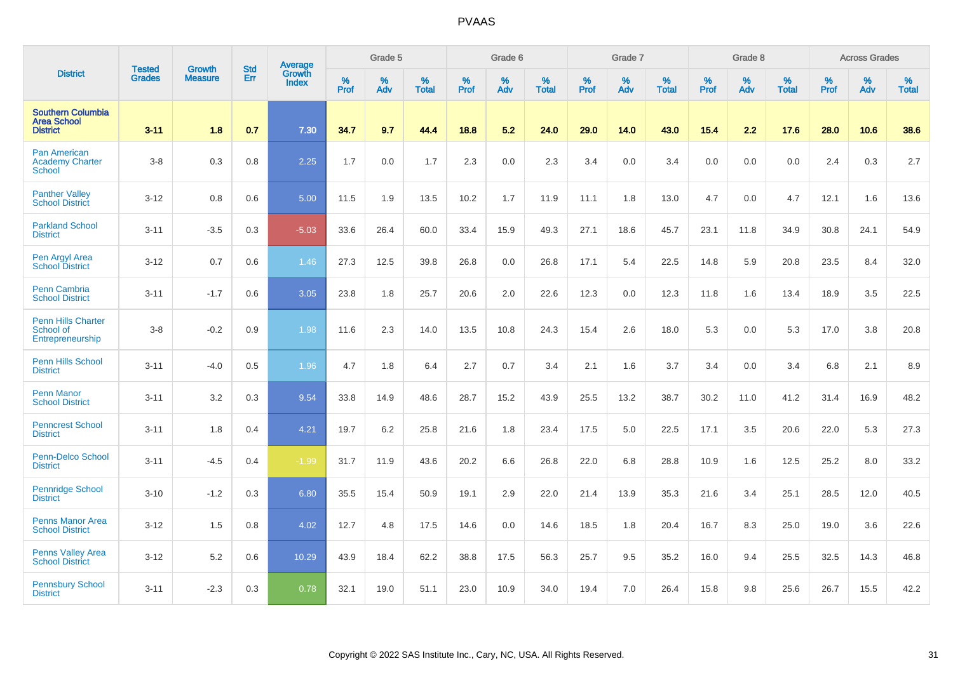|                                                                   | <b>Tested</b> | <b>Growth</b>  | <b>Std</b> | Average                       |              | Grade 5  |                   |           | Grade 6  |                   |           | Grade 7  |                   |           | Grade 8  |                   |           | <b>Across Grades</b> |                   |
|-------------------------------------------------------------------|---------------|----------------|------------|-------------------------------|--------------|----------|-------------------|-----------|----------|-------------------|-----------|----------|-------------------|-----------|----------|-------------------|-----------|----------------------|-------------------|
| <b>District</b>                                                   | <b>Grades</b> | <b>Measure</b> | Err        | <b>Growth</b><br><b>Index</b> | $\%$<br>Prof | %<br>Adv | %<br><b>Total</b> | %<br>Prof | %<br>Adv | %<br><b>Total</b> | %<br>Prof | %<br>Adv | %<br><b>Total</b> | %<br>Prof | %<br>Adv | %<br><b>Total</b> | %<br>Prof | %<br>Adv             | %<br><b>Total</b> |
| <b>Southern Columbia</b><br><b>Area School</b><br><b>District</b> | $3 - 11$      | 1.8            | 0.7        | 7.30                          | 34.7         | 9.7      | 44.4              | 18.8      | 5.2      | 24.0              | 29.0      | 14.0     | 43.0              | 15.4      | 2.2      | 17.6              | 28.0      | 10.6                 | 38.6              |
| <b>Pan American</b><br><b>Academy Charter</b><br><b>School</b>    | $3 - 8$       | 0.3            | 0.8        | 2.25                          | 1.7          | 0.0      | 1.7               | 2.3       | 0.0      | 2.3               | 3.4       | 0.0      | 3.4               | 0.0       | 0.0      | 0.0               | 2.4       | 0.3                  | 2.7               |
| <b>Panther Valley</b><br><b>School District</b>                   | $3 - 12$      | 0.8            | 0.6        | 5.00                          | 11.5         | 1.9      | 13.5              | 10.2      | 1.7      | 11.9              | 11.1      | 1.8      | 13.0              | 4.7       | 0.0      | 4.7               | 12.1      | 1.6                  | 13.6              |
| <b>Parkland School</b><br><b>District</b>                         | $3 - 11$      | $-3.5$         | 0.3        | $-5.03$                       | 33.6         | 26.4     | 60.0              | 33.4      | 15.9     | 49.3              | 27.1      | 18.6     | 45.7              | 23.1      | 11.8     | 34.9              | 30.8      | 24.1                 | 54.9              |
| Pen Argyl Area<br><b>School District</b>                          | $3 - 12$      | 0.7            | 0.6        | 1.46                          | 27.3         | 12.5     | 39.8              | 26.8      | 0.0      | 26.8              | 17.1      | 5.4      | 22.5              | 14.8      | 5.9      | 20.8              | 23.5      | 8.4                  | 32.0              |
| <b>Penn Cambria</b><br><b>School District</b>                     | $3 - 11$      | $-1.7$         | 0.6        | 3.05                          | 23.8         | 1.8      | 25.7              | 20.6      | 2.0      | 22.6              | 12.3      | 0.0      | 12.3              | 11.8      | 1.6      | 13.4              | 18.9      | 3.5                  | 22.5              |
| <b>Penn Hills Charter</b><br>School of<br>Entrepreneurship        | $3 - 8$       | $-0.2$         | 0.9        | 1.98                          | 11.6         | 2.3      | 14.0              | 13.5      | 10.8     | 24.3              | 15.4      | 2.6      | 18.0              | 5.3       | 0.0      | 5.3               | 17.0      | 3.8                  | 20.8              |
| <b>Penn Hills School</b><br><b>District</b>                       | $3 - 11$      | $-4.0$         | 0.5        | 1.96                          | 4.7          | 1.8      | 6.4               | 2.7       | 0.7      | 3.4               | 2.1       | 1.6      | 3.7               | 3.4       | 0.0      | 3.4               | 6.8       | 2.1                  | 8.9               |
| <b>Penn Manor</b><br><b>School District</b>                       | $3 - 11$      | 3.2            | 0.3        | 9.54                          | 33.8         | 14.9     | 48.6              | 28.7      | 15.2     | 43.9              | 25.5      | 13.2     | 38.7              | 30.2      | 11.0     | 41.2              | 31.4      | 16.9                 | 48.2              |
| <b>Penncrest School</b><br><b>District</b>                        | $3 - 11$      | 1.8            | 0.4        | 4.21                          | 19.7         | 6.2      | 25.8              | 21.6      | 1.8      | 23.4              | 17.5      | 5.0      | 22.5              | 17.1      | 3.5      | 20.6              | 22.0      | 5.3                  | 27.3              |
| Penn-Delco School<br><b>District</b>                              | $3 - 11$      | $-4.5$         | 0.4        | $-1.99$                       | 31.7         | 11.9     | 43.6              | 20.2      | 6.6      | 26.8              | 22.0      | 6.8      | 28.8              | 10.9      | 1.6      | 12.5              | 25.2      | 8.0                  | 33.2              |
| <b>Pennridge School</b><br><b>District</b>                        | $3 - 10$      | $-1.2$         | 0.3        | 6.80                          | 35.5         | 15.4     | 50.9              | 19.1      | 2.9      | 22.0              | 21.4      | 13.9     | 35.3              | 21.6      | 3.4      | 25.1              | 28.5      | 12.0                 | 40.5              |
| <b>Penns Manor Area</b><br><b>School District</b>                 | $3 - 12$      | 1.5            | 0.8        | 4.02                          | 12.7         | 4.8      | 17.5              | 14.6      | 0.0      | 14.6              | 18.5      | 1.8      | 20.4              | 16.7      | 8.3      | 25.0              | 19.0      | 3.6                  | 22.6              |
| <b>Penns Valley Area</b><br><b>School District</b>                | $3 - 12$      | 5.2            | 0.6        | 10.29                         | 43.9         | 18.4     | 62.2              | 38.8      | 17.5     | 56.3              | 25.7      | 9.5      | 35.2              | 16.0      | 9.4      | 25.5              | 32.5      | 14.3                 | 46.8              |
| <b>Pennsbury School</b><br><b>District</b>                        | $3 - 11$      | $-2.3$         | 0.3        | 0.78                          | 32.1         | 19.0     | 51.1              | 23.0      | 10.9     | 34.0              | 19.4      | 7.0      | 26.4              | 15.8      | 9.8      | 25.6              | 26.7      | 15.5                 | 42.2              |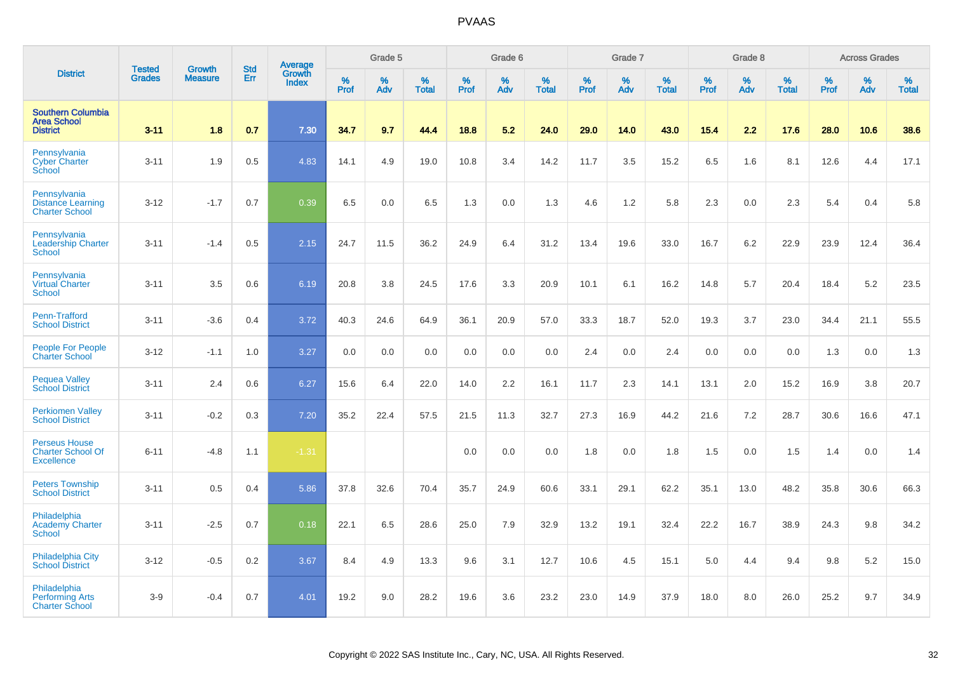|                                                                       |                                |                                 |                   | Average                |              | Grade 5  |                   |              | Grade 6  |                   |           | Grade 7  |                   |                     | Grade 8  |                   |              | <b>Across Grades</b> |                   |
|-----------------------------------------------------------------------|--------------------------------|---------------------------------|-------------------|------------------------|--------------|----------|-------------------|--------------|----------|-------------------|-----------|----------|-------------------|---------------------|----------|-------------------|--------------|----------------------|-------------------|
| <b>District</b>                                                       | <b>Tested</b><br><b>Grades</b> | <b>Growth</b><br><b>Measure</b> | <b>Std</b><br>Err | Growth<br><b>Index</b> | $\%$<br>Prof | %<br>Adv | %<br><b>Total</b> | $\%$<br>Prof | %<br>Adv | %<br><b>Total</b> | %<br>Prof | %<br>Adv | %<br><b>Total</b> | $\%$<br><b>Prof</b> | %<br>Adv | %<br><b>Total</b> | $\%$<br>Prof | %<br>Adv             | %<br><b>Total</b> |
| <b>Southern Columbia</b><br><b>Area School</b><br><b>District</b>     | $3 - 11$                       | 1.8                             | 0.7               | 7.30                   | 34.7         | 9.7      | 44.4              | 18.8         | 5.2      | 24.0              | 29.0      | 14.0     | 43.0              | 15.4                | 2.2      | 17.6              | 28.0         | 10.6                 | 38.6              |
| Pennsylvania<br><b>Cyber Charter</b><br>School                        | $3 - 11$                       | 1.9                             | 0.5               | 4.83                   | 14.1         | 4.9      | 19.0              | 10.8         | 3.4      | 14.2              | 11.7      | 3.5      | 15.2              | 6.5                 | 1.6      | 8.1               | 12.6         | 4.4                  | 17.1              |
| Pennsylvania<br><b>Distance Learning</b><br><b>Charter School</b>     | $3 - 12$                       | $-1.7$                          | 0.7               | 0.39                   | 6.5          | 0.0      | 6.5               | 1.3          | 0.0      | 1.3               | 4.6       | 1.2      | 5.8               | 2.3                 | 0.0      | 2.3               | 5.4          | 0.4                  | 5.8               |
| Pennsylvania<br><b>Leadership Charter</b><br><b>School</b>            | $3 - 11$                       | $-1.4$                          | 0.5               | 2.15                   | 24.7         | 11.5     | 36.2              | 24.9         | 6.4      | 31.2              | 13.4      | 19.6     | 33.0              | 16.7                | 6.2      | 22.9              | 23.9         | 12.4                 | 36.4              |
| Pennsylvania<br><b>Virtual Charter</b><br>School                      | $3 - 11$                       | 3.5                             | 0.6               | 6.19                   | 20.8         | 3.8      | 24.5              | 17.6         | 3.3      | 20.9              | 10.1      | 6.1      | 16.2              | 14.8                | 5.7      | 20.4              | 18.4         | 5.2                  | 23.5              |
| Penn-Trafford<br><b>School District</b>                               | $3 - 11$                       | $-3.6$                          | 0.4               | 3.72                   | 40.3         | 24.6     | 64.9              | 36.1         | 20.9     | 57.0              | 33.3      | 18.7     | 52.0              | 19.3                | 3.7      | 23.0              | 34.4         | 21.1                 | 55.5              |
| <b>People For People</b><br><b>Charter School</b>                     | $3 - 12$                       | $-1.1$                          | 1.0               | 3.27                   | 0.0          | 0.0      | 0.0               | 0.0          | 0.0      | 0.0               | 2.4       | 0.0      | 2.4               | 0.0                 | 0.0      | 0.0               | 1.3          | 0.0                  | 1.3               |
| <b>Pequea Valley</b><br><b>School District</b>                        | $3 - 11$                       | 2.4                             | 0.6               | 6.27                   | 15.6         | 6.4      | 22.0              | 14.0         | 2.2      | 16.1              | 11.7      | 2.3      | 14.1              | 13.1                | 2.0      | 15.2              | 16.9         | 3.8                  | 20.7              |
| <b>Perkiomen Valley</b><br><b>School District</b>                     | $3 - 11$                       | $-0.2$                          | 0.3               | 7.20                   | 35.2         | 22.4     | 57.5              | 21.5         | 11.3     | 32.7              | 27.3      | 16.9     | 44.2              | 21.6                | 7.2      | 28.7              | 30.6         | 16.6                 | 47.1              |
| <b>Perseus House</b><br><b>Charter School Of</b><br><b>Excellence</b> | $6 - 11$                       | $-4.8$                          | 1.1               | $-1.31$                |              |          |                   | 0.0          | 0.0      | 0.0               | 1.8       | 0.0      | 1.8               | 1.5                 | 0.0      | 1.5               | 1.4          | 0.0                  | 1.4               |
| <b>Peters Township</b><br><b>School District</b>                      | $3 - 11$                       | 0.5                             | 0.4               | 5.86                   | 37.8         | 32.6     | 70.4              | 35.7         | 24.9     | 60.6              | 33.1      | 29.1     | 62.2              | 35.1                | 13.0     | 48.2              | 35.8         | 30.6                 | 66.3              |
| Philadelphia<br><b>Academy Charter</b><br><b>School</b>               | $3 - 11$                       | $-2.5$                          | 0.7               | 0.18                   | 22.1         | 6.5      | 28.6              | 25.0         | 7.9      | 32.9              | 13.2      | 19.1     | 32.4              | 22.2                | 16.7     | 38.9              | 24.3         | 9.8                  | 34.2              |
| <b>Philadelphia City</b><br><b>School District</b>                    | $3 - 12$                       | $-0.5$                          | 0.2               | 3.67                   | 8.4          | 4.9      | 13.3              | 9.6          | 3.1      | 12.7              | 10.6      | 4.5      | 15.1              | 5.0                 | 4.4      | 9.4               | 9.8          | 5.2                  | 15.0              |
| Philadelphia<br><b>Performing Arts</b><br><b>Charter School</b>       | $3-9$                          | $-0.4$                          | 0.7               | 4.01                   | 19.2         | 9.0      | 28.2              | 19.6         | 3.6      | 23.2              | 23.0      | 14.9     | 37.9              | 18.0                | 8.0      | 26.0              | 25.2         | 9.7                  | 34.9              |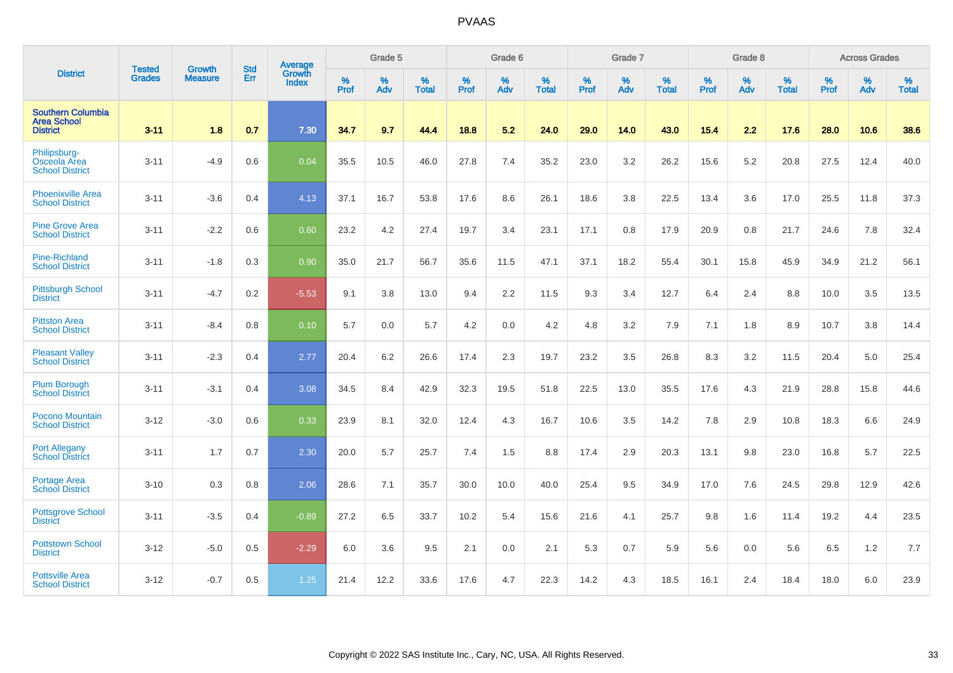|                                                                   | <b>Tested</b> | <b>Growth</b>  | <b>Std</b> | Average                |                  | Grade 5  |                   |           | Grade 6  |                   |           | Grade 7  |                   |           | Grade 8  |                   |           | <b>Across Grades</b> |                   |
|-------------------------------------------------------------------|---------------|----------------|------------|------------------------|------------------|----------|-------------------|-----------|----------|-------------------|-----------|----------|-------------------|-----------|----------|-------------------|-----------|----------------------|-------------------|
| <b>District</b>                                                   | <b>Grades</b> | <b>Measure</b> | Err        | Growth<br><b>Index</b> | %<br><b>Prof</b> | %<br>Adv | %<br><b>Total</b> | %<br>Prof | %<br>Adv | %<br><b>Total</b> | %<br>Prof | %<br>Adv | %<br><b>Total</b> | %<br>Prof | %<br>Adv | %<br><b>Total</b> | %<br>Prof | %<br>Adv             | %<br><b>Total</b> |
| <b>Southern Columbia</b><br><b>Area School</b><br><b>District</b> | $3 - 11$      | 1.8            | 0.7        | 7.30                   | 34.7             | 9.7      | 44.4              | 18.8      | 5.2      | 24.0              | 29.0      | 14.0     | 43.0              | 15.4      | 2.2      | 17.6              | 28.0      | 10.6                 | 38.6              |
| Philipsburg-<br>Osceola Area<br><b>School District</b>            | $3 - 11$      | $-4.9$         | 0.6        | 0.04                   | 35.5             | 10.5     | 46.0              | 27.8      | 7.4      | 35.2              | 23.0      | 3.2      | 26.2              | 15.6      | $5.2\,$  | 20.8              | 27.5      | 12.4                 | 40.0              |
| <b>Phoenixville Area</b><br><b>School District</b>                | $3 - 11$      | $-3.6$         | 0.4        | 4.13                   | 37.1             | 16.7     | 53.8              | 17.6      | 8.6      | 26.1              | 18.6      | 3.8      | 22.5              | 13.4      | 3.6      | 17.0              | 25.5      | 11.8                 | 37.3              |
| <b>Pine Grove Area</b><br><b>School District</b>                  | $3 - 11$      | $-2.2$         | 0.6        | 0.60                   | 23.2             | 4.2      | 27.4              | 19.7      | 3.4      | 23.1              | 17.1      | 0.8      | 17.9              | 20.9      | 0.8      | 21.7              | 24.6      | 7.8                  | 32.4              |
| Pine-Richland<br><b>School District</b>                           | $3 - 11$      | $-1.8$         | 0.3        | 0.90                   | 35.0             | 21.7     | 56.7              | 35.6      | 11.5     | 47.1              | 37.1      | 18.2     | 55.4              | 30.1      | 15.8     | 45.9              | 34.9      | 21.2                 | 56.1              |
| <b>Pittsburgh School</b><br><b>District</b>                       | $3 - 11$      | $-4.7$         | 0.2        | $-5.53$                | 9.1              | 3.8      | 13.0              | 9.4       | 2.2      | 11.5              | 9.3       | 3.4      | 12.7              | 6.4       | 2.4      | 8.8               | 10.0      | 3.5                  | 13.5              |
| <b>Pittston Area</b><br><b>School District</b>                    | $3 - 11$      | $-8.4$         | 0.8        | 0.10                   | 5.7              | 0.0      | 5.7               | 4.2       | 0.0      | 4.2               | 4.8       | 3.2      | 7.9               | 7.1       | 1.8      | 8.9               | 10.7      | 3.8                  | 14.4              |
| <b>Pleasant Valley</b><br><b>School District</b>                  | $3 - 11$      | $-2.3$         | 0.4        | 2.77                   | 20.4             | 6.2      | 26.6              | 17.4      | 2.3      | 19.7              | 23.2      | 3.5      | 26.8              | 8.3       | 3.2      | 11.5              | 20.4      | 5.0                  | 25.4              |
| <b>Plum Borough</b><br><b>School District</b>                     | $3 - 11$      | $-3.1$         | 0.4        | 3.08                   | 34.5             | 8.4      | 42.9              | 32.3      | 19.5     | 51.8              | 22.5      | 13.0     | 35.5              | 17.6      | 4.3      | 21.9              | 28.8      | 15.8                 | 44.6              |
| <b>Pocono Mountain</b><br><b>School District</b>                  | $3 - 12$      | $-3.0$         | 0.6        | 0.33                   | 23.9             | 8.1      | 32.0              | 12.4      | 4.3      | 16.7              | 10.6      | 3.5      | 14.2              | 7.8       | 2.9      | 10.8              | 18.3      | 6.6                  | 24.9              |
| <b>Port Allegany</b><br><b>School District</b>                    | $3 - 11$      | 1.7            | 0.7        | 2.30                   | 20.0             | 5.7      | 25.7              | 7.4       | 1.5      | 8.8               | 17.4      | 2.9      | 20.3              | 13.1      | 9.8      | 23.0              | 16.8      | 5.7                  | 22.5              |
| Portage Area<br><b>School District</b>                            | $3 - 10$      | 0.3            | 0.8        | 2.06                   | 28.6             | 7.1      | 35.7              | 30.0      | 10.0     | 40.0              | 25.4      | 9.5      | 34.9              | 17.0      | 7.6      | 24.5              | 29.8      | 12.9                 | 42.6              |
| <b>Pottsgrove School</b><br><b>District</b>                       | $3 - 11$      | $-3.5$         | 0.4        | $-0.89$                | 27.2             | 6.5      | 33.7              | 10.2      | 5.4      | 15.6              | 21.6      | 4.1      | 25.7              | 9.8       | 1.6      | 11.4              | 19.2      | 4.4                  | 23.5              |
| <b>Pottstown School</b><br><b>District</b>                        | $3 - 12$      | $-5.0$         | 0.5        | $-2.29$                | 6.0              | 3.6      | 9.5               | 2.1       | 0.0      | 2.1               | 5.3       | 0.7      | 5.9               | 5.6       | 0.0      | 5.6               | 6.5       | 1.2                  | 7.7               |
| <b>Pottsville Area</b><br><b>School District</b>                  | $3 - 12$      | $-0.7$         | 0.5        | 1.25                   | 21.4             | 12.2     | 33.6              | 17.6      | 4.7      | 22.3              | 14.2      | 4.3      | 18.5              | 16.1      | 2.4      | 18.4              | 18.0      | 6.0                  | 23.9              |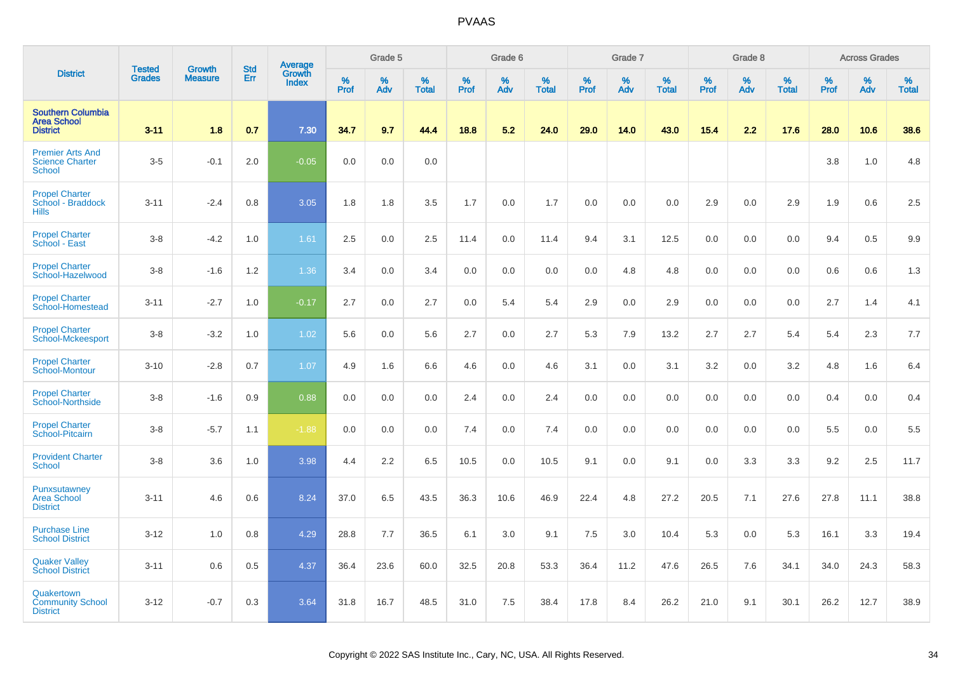|                                                                    |                                |                                 | <b>Std</b> | Average         |           | Grade 5  |                   |           | Grade 6  |                   |           | Grade 7  |                   |           | Grade 8  |                   |           | <b>Across Grades</b> |                   |
|--------------------------------------------------------------------|--------------------------------|---------------------------------|------------|-----------------|-----------|----------|-------------------|-----------|----------|-------------------|-----------|----------|-------------------|-----------|----------|-------------------|-----------|----------------------|-------------------|
| <b>District</b>                                                    | <b>Tested</b><br><b>Grades</b> | <b>Growth</b><br><b>Measure</b> | Err        | Growth<br>Index | %<br>Prof | %<br>Adv | %<br><b>Total</b> | %<br>Prof | %<br>Adv | %<br><b>Total</b> | %<br>Prof | %<br>Adv | %<br><b>Total</b> | %<br>Prof | %<br>Adv | %<br><b>Total</b> | %<br>Prof | %<br>Adv             | %<br><b>Total</b> |
| <b>Southern Columbia</b><br><b>Area School</b><br><b>District</b>  | $3 - 11$                       | 1.8                             | 0.7        | 7.30            | 34.7      | 9.7      | 44.4              | 18.8      | 5.2      | 24.0              | 29.0      | 14.0     | 43.0              | 15.4      | 2.2      | 17.6              | 28.0      | 10.6                 | 38.6              |
| <b>Premier Arts And</b><br><b>Science Charter</b><br><b>School</b> | $3-5$                          | $-0.1$                          | 2.0        | $-0.05$         | 0.0       | 0.0      | 0.0               |           |          |                   |           |          |                   |           |          |                   | 3.8       | 1.0                  | 4.8               |
| <b>Propel Charter</b><br>School - Braddock<br><b>Hills</b>         | $3 - 11$                       | $-2.4$                          | 0.8        | 3.05            | 1.8       | 1.8      | 3.5               | 1.7       | 0.0      | 1.7               | 0.0       | 0.0      | 0.0               | 2.9       | 0.0      | 2.9               | 1.9       | 0.6                  | 2.5               |
| <b>Propel Charter</b><br>School - East                             | $3-8$                          | $-4.2$                          | 1.0        | 1.61            | 2.5       | 0.0      | 2.5               | 11.4      | 0.0      | 11.4              | 9.4       | 3.1      | 12.5              | 0.0       | 0.0      | 0.0               | 9.4       | 0.5                  | 9.9               |
| <b>Propel Charter</b><br>School-Hazelwood                          | $3-8$                          | $-1.6$                          | 1.2        | 1.36            | 3.4       | 0.0      | 3.4               | 0.0       | 0.0      | 0.0               | 0.0       | 4.8      | 4.8               | 0.0       | 0.0      | 0.0               | 0.6       | 0.6                  | 1.3               |
| <b>Propel Charter</b><br>School-Homestead                          | $3 - 11$                       | $-2.7$                          | 1.0        | $-0.17$         | 2.7       | 0.0      | 2.7               | 0.0       | 5.4      | 5.4               | 2.9       | 0.0      | 2.9               | 0.0       | 0.0      | 0.0               | 2.7       | 1.4                  | 4.1               |
| <b>Propel Charter</b><br><b>School-Mckeesport</b>                  | $3-8$                          | $-3.2$                          | 1.0        | 1.02            | 5.6       | 0.0      | 5.6               | 2.7       | 0.0      | 2.7               | 5.3       | 7.9      | 13.2              | 2.7       | 2.7      | 5.4               | 5.4       | 2.3                  | 7.7               |
| <b>Propel Charter</b><br><b>School-Montour</b>                     | $3 - 10$                       | $-2.8$                          | 0.7        | 1.07            | 4.9       | 1.6      | 6.6               | 4.6       | 0.0      | 4.6               | 3.1       | 0.0      | 3.1               | 3.2       | 0.0      | 3.2               | 4.8       | 1.6                  | 6.4               |
| <b>Propel Charter</b><br>School-Northside                          | $3-8$                          | $-1.6$                          | 0.9        | 0.88            | 0.0       | 0.0      | 0.0               | 2.4       | 0.0      | 2.4               | 0.0       | 0.0      | 0.0               | 0.0       | 0.0      | 0.0               | 0.4       | 0.0                  | 0.4               |
| <b>Propel Charter</b><br>School-Pitcairn                           | $3-8$                          | $-5.7$                          | 1.1        | $-1.88$         | 0.0       | 0.0      | 0.0               | 7.4       | 0.0      | 7.4               | 0.0       | 0.0      | 0.0               | 0.0       | 0.0      | 0.0               | 5.5       | 0.0                  | 5.5               |
| <b>Provident Charter</b><br><b>School</b>                          | $3-8$                          | 3.6                             | 1.0        | 3.98            | 4.4       | 2.2      | 6.5               | 10.5      | 0.0      | 10.5              | 9.1       | 0.0      | 9.1               | 0.0       | 3.3      | 3.3               | 9.2       | 2.5                  | 11.7              |
| Punxsutawney<br><b>Area School</b><br><b>District</b>              | $3 - 11$                       | 4.6                             | 0.6        | 8.24            | 37.0      | 6.5      | 43.5              | 36.3      | 10.6     | 46.9              | 22.4      | 4.8      | 27.2              | 20.5      | 7.1      | 27.6              | 27.8      | 11.1                 | 38.8              |
| <b>Purchase Line</b><br><b>School District</b>                     | $3 - 12$                       | 1.0                             | 0.8        | 4.29            | 28.8      | 7.7      | 36.5              | 6.1       | 3.0      | 9.1               | 7.5       | 3.0      | 10.4              | 5.3       | 0.0      | 5.3               | 16.1      | 3.3                  | 19.4              |
| <b>Quaker Valley</b><br><b>School District</b>                     | $3 - 11$                       | 0.6                             | 0.5        | 4.37            | 36.4      | 23.6     | 60.0              | 32.5      | 20.8     | 53.3              | 36.4      | 11.2     | 47.6              | 26.5      | 7.6      | 34.1              | 34.0      | 24.3                 | 58.3              |
| Quakertown<br><b>Community School</b><br><b>District</b>           | $3 - 12$                       | $-0.7$                          | 0.3        | 3.64            | 31.8      | 16.7     | 48.5              | 31.0      | 7.5      | 38.4              | 17.8      | 8.4      | 26.2              | 21.0      | 9.1      | 30.1              | 26.2      | 12.7                 | 38.9              |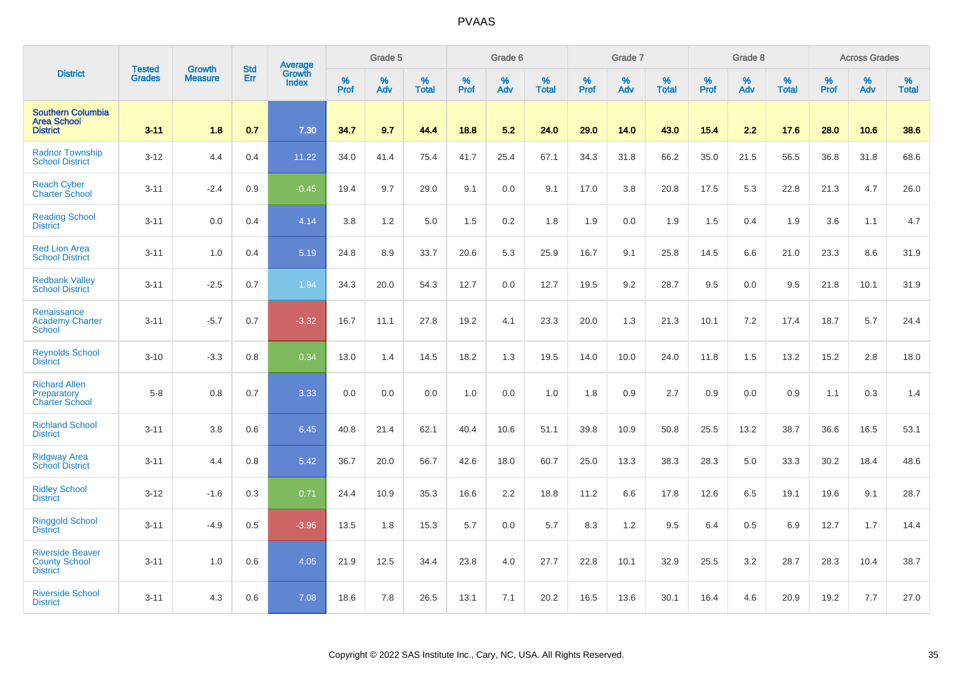|                                                                    |                                | <b>Growth</b>  | <b>Std</b> | Average                |              | Grade 5  |                   |           | Grade 6  |                   |           | Grade 7  |                   |           | Grade 8  |                   |           | <b>Across Grades</b> |                   |
|--------------------------------------------------------------------|--------------------------------|----------------|------------|------------------------|--------------|----------|-------------------|-----------|----------|-------------------|-----------|----------|-------------------|-----------|----------|-------------------|-----------|----------------------|-------------------|
| <b>District</b>                                                    | <b>Tested</b><br><b>Grades</b> | <b>Measure</b> | Err        | Growth<br><b>Index</b> | $\%$<br>Prof | %<br>Adv | %<br><b>Total</b> | %<br>Prof | %<br>Adv | %<br><b>Total</b> | %<br>Prof | %<br>Adv | %<br><b>Total</b> | %<br>Prof | %<br>Adv | %<br><b>Total</b> | %<br>Prof | %<br>Adv             | %<br><b>Total</b> |
| <b>Southern Columbia</b><br><b>Area School</b><br><b>District</b>  | $3 - 11$                       | 1.8            | 0.7        | 7.30                   | 34.7         | 9.7      | 44.4              | 18.8      | 5.2      | 24.0              | 29.0      | 14.0     | 43.0              | 15.4      | 2.2      | 17.6              | 28.0      | 10.6                 | 38.6              |
| <b>Radnor Township</b><br><b>School District</b>                   | $3 - 12$                       | 4.4            | 0.4        | 11.22                  | 34.0         | 41.4     | 75.4              | 41.7      | 25.4     | 67.1              | 34.3      | 31.8     | 66.2              | 35.0      | 21.5     | 56.5              | 36.8      | 31.8                 | 68.6              |
| <b>Reach Cyber</b><br><b>Charter School</b>                        | $3 - 11$                       | $-2.4$         | 0.9        | $-0.45$                | 19.4         | 9.7      | 29.0              | 9.1       | 0.0      | 9.1               | 17.0      | 3.8      | 20.8              | 17.5      | 5.3      | 22.8              | 21.3      | 4.7                  | 26.0              |
| <b>Reading School</b><br><b>District</b>                           | $3 - 11$                       | 0.0            | 0.4        | 4.14                   | 3.8          | 1.2      | 5.0               | 1.5       | 0.2      | 1.8               | 1.9       | 0.0      | 1.9               | 1.5       | 0.4      | 1.9               | 3.6       | 1.1                  | 4.7               |
| <b>Red Lion Area</b><br><b>School District</b>                     | $3 - 11$                       | 1.0            | 0.4        | 5.19                   | 24.8         | 8.9      | 33.7              | 20.6      | 5.3      | 25.9              | 16.7      | 9.1      | 25.8              | 14.5      | 6.6      | 21.0              | 23.3      | 8.6                  | 31.9              |
| <b>Redbank Valley</b><br><b>School District</b>                    | $3 - 11$                       | $-2.5$         | 0.7        | 1.94                   | 34.3         | 20.0     | 54.3              | 12.7      | 0.0      | 12.7              | 19.5      | 9.2      | 28.7              | 9.5       | 0.0      | 9.5               | 21.8      | 10.1                 | 31.9              |
| Renaissance<br><b>Academy Charter</b><br><b>School</b>             | $3 - 11$                       | $-5.7$         | 0.7        | $-3.32$                | 16.7         | 11.1     | 27.8              | 19.2      | 4.1      | 23.3              | 20.0      | 1.3      | 21.3              | 10.1      | 7.2      | 17.4              | 18.7      | 5.7                  | 24.4              |
| <b>Reynolds School</b><br><b>District</b>                          | $3 - 10$                       | $-3.3$         | 0.8        | 0.34                   | 13.0         | 1.4      | 14.5              | 18.2      | 1.3      | 19.5              | 14.0      | 10.0     | 24.0              | 11.8      | 1.5      | 13.2              | 15.2      | 2.8                  | 18.0              |
| <b>Richard Allen</b><br>Preparatory<br><b>Charter School</b>       | $5-8$                          | 0.8            | 0.7        | 3.33                   | 0.0          | 0.0      | 0.0               | 1.0       | 0.0      | 1.0               | 1.8       | 0.9      | 2.7               | 0.9       | 0.0      | 0.9               | 1.1       | 0.3                  | 1.4               |
| <b>Richland School</b><br><b>District</b>                          | $3 - 11$                       | 3.8            | 0.6        | 6.45                   | 40.8         | 21.4     | 62.1              | 40.4      | 10.6     | 51.1              | 39.8      | 10.9     | 50.8              | 25.5      | 13.2     | 38.7              | 36.6      | 16.5                 | 53.1              |
| <b>Ridgway Area</b><br><b>School District</b>                      | $3 - 11$                       | 4.4            | 0.8        | 5.42                   | 36.7         | 20.0     | 56.7              | 42.6      | 18.0     | 60.7              | 25.0      | 13.3     | 38.3              | 28.3      | 5.0      | 33.3              | 30.2      | 18.4                 | 48.6              |
| <b>Ridley School</b><br><b>District</b>                            | $3 - 12$                       | $-1.6$         | 0.3        | 0.71                   | 24.4         | 10.9     | 35.3              | 16.6      | 2.2      | 18.8              | 11.2      | 6.6      | 17.8              | 12.6      | 6.5      | 19.1              | 19.6      | 9.1                  | 28.7              |
| <b>Ringgold School</b><br><b>District</b>                          | $3 - 11$                       | $-4.9$         | 0.5        | $-3.96$                | 13.5         | 1.8      | 15.3              | 5.7       | 0.0      | 5.7               | 8.3       | 1.2      | 9.5               | 6.4       | 0.5      | 6.9               | 12.7      | 1.7                  | 14.4              |
| <b>Riverside Beaver</b><br><b>County School</b><br><b>District</b> | $3 - 11$                       | 1.0            | 0.6        | 4.05                   | 21.9         | 12.5     | 34.4              | 23.8      | 4.0      | 27.7              | 22.8      | 10.1     | 32.9              | 25.5      | 3.2      | 28.7              | 28.3      | 10.4                 | 38.7              |
| <b>Riverside School</b><br><b>District</b>                         | $3 - 11$                       | 4.3            | 0.6        | 7.08                   | 18.6         | 7.8      | 26.5              | 13.1      | 7.1      | 20.2              | 16.5      | 13.6     | 30.1              | 16.4      | 4.6      | 20.9              | 19.2      | 7.7                  | 27.0              |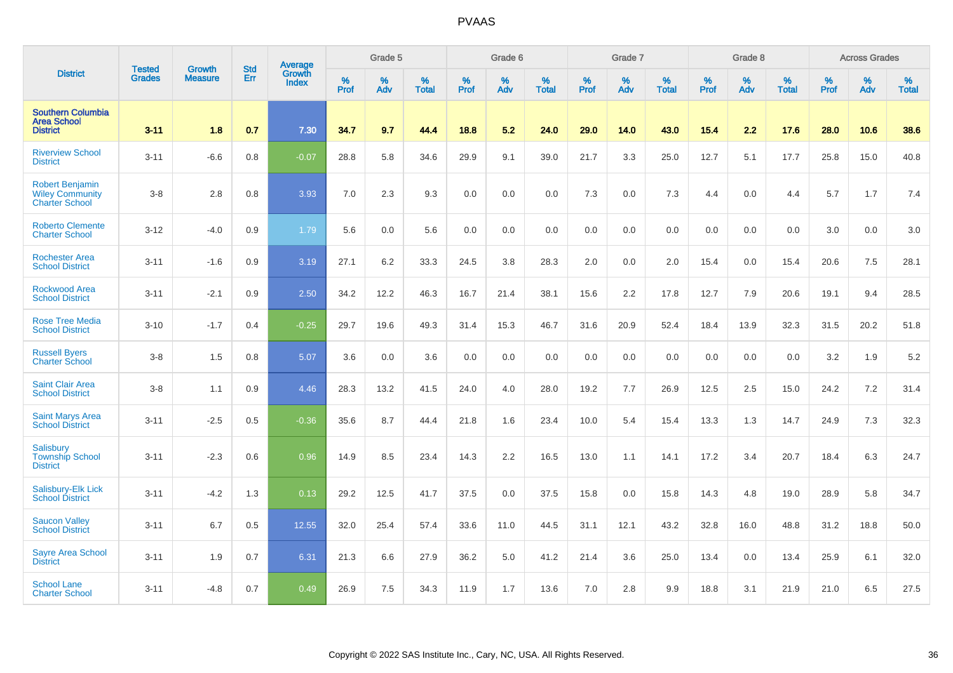|                                                                           | <b>Tested</b> | <b>Growth</b>  | <b>Std</b> | Average                       |              | Grade 5  |                   |           | Grade 6  |                   |           | Grade 7  |                   |           | Grade 8  |                   |           | <b>Across Grades</b> |                   |
|---------------------------------------------------------------------------|---------------|----------------|------------|-------------------------------|--------------|----------|-------------------|-----------|----------|-------------------|-----------|----------|-------------------|-----------|----------|-------------------|-----------|----------------------|-------------------|
| <b>District</b>                                                           | <b>Grades</b> | <b>Measure</b> | Err        | <b>Growth</b><br><b>Index</b> | $\%$<br>Prof | %<br>Adv | %<br><b>Total</b> | %<br>Prof | %<br>Adv | %<br><b>Total</b> | %<br>Prof | %<br>Adv | %<br><b>Total</b> | %<br>Prof | %<br>Adv | %<br><b>Total</b> | %<br>Prof | %<br>Adv             | %<br><b>Total</b> |
| <b>Southern Columbia</b><br><b>Area School</b><br><b>District</b>         | $3 - 11$      | 1.8            | 0.7        | 7.30                          | 34.7         | 9.7      | 44.4              | 18.8      | 5.2      | 24.0              | 29.0      | 14.0     | 43.0              | $15.4$    | 2.2      | 17.6              | 28.0      | 10.6                 | 38.6              |
| <b>Riverview School</b><br><b>District</b>                                | $3 - 11$      | $-6.6$         | 0.8        | $-0.07$                       | 28.8         | 5.8      | 34.6              | 29.9      | 9.1      | 39.0              | 21.7      | 3.3      | 25.0              | 12.7      | 5.1      | 17.7              | 25.8      | 15.0                 | 40.8              |
| <b>Robert Benjamin</b><br><b>Wiley Community</b><br><b>Charter School</b> | $3-8$         | 2.8            | 0.8        | 3.93                          | 7.0          | 2.3      | 9.3               | 0.0       | 0.0      | 0.0               | 7.3       | 0.0      | 7.3               | 4.4       | 0.0      | 4.4               | 5.7       | 1.7                  | 7.4               |
| <b>Roberto Clemente</b><br><b>Charter School</b>                          | $3 - 12$      | $-4.0$         | 0.9        | 1.79                          | 5.6          | 0.0      | 5.6               | 0.0       | 0.0      | 0.0               | 0.0       | 0.0      | 0.0               | 0.0       | 0.0      | 0.0               | 3.0       | 0.0                  | 3.0               |
| <b>Rochester Area</b><br><b>School District</b>                           | $3 - 11$      | $-1.6$         | 0.9        | 3.19                          | 27.1         | 6.2      | 33.3              | 24.5      | 3.8      | 28.3              | 2.0       | 0.0      | 2.0               | 15.4      | 0.0      | 15.4              | 20.6      | 7.5                  | 28.1              |
| <b>Rockwood Area</b><br><b>School District</b>                            | $3 - 11$      | $-2.1$         | 0.9        | 2.50                          | 34.2         | 12.2     | 46.3              | 16.7      | 21.4     | 38.1              | 15.6      | 2.2      | 17.8              | 12.7      | 7.9      | 20.6              | 19.1      | 9.4                  | 28.5              |
| <b>Rose Tree Media</b><br><b>School District</b>                          | $3 - 10$      | $-1.7$         | 0.4        | $-0.25$                       | 29.7         | 19.6     | 49.3              | 31.4      | 15.3     | 46.7              | 31.6      | 20.9     | 52.4              | 18.4      | 13.9     | 32.3              | 31.5      | 20.2                 | 51.8              |
| <b>Russell Byers</b><br><b>Charter School</b>                             | $3-8$         | 1.5            | 0.8        | 5.07                          | 3.6          | 0.0      | 3.6               | 0.0       | 0.0      | 0.0               | 0.0       | 0.0      | 0.0               | 0.0       | 0.0      | 0.0               | 3.2       | 1.9                  | 5.2               |
| <b>Saint Clair Area</b><br><b>School District</b>                         | $3 - 8$       | 1.1            | 0.9        | 4.46                          | 28.3         | 13.2     | 41.5              | 24.0      | 4.0      | 28.0              | 19.2      | 7.7      | 26.9              | 12.5      | 2.5      | 15.0              | 24.2      | 7.2                  | 31.4              |
| <b>Saint Marys Area</b><br><b>School District</b>                         | $3 - 11$      | $-2.5$         | 0.5        | $-0.36$                       | 35.6         | 8.7      | 44.4              | 21.8      | 1.6      | 23.4              | 10.0      | 5.4      | 15.4              | 13.3      | 1.3      | 14.7              | 24.9      | 7.3                  | 32.3              |
| <b>Salisbury</b><br><b>Township School</b><br><b>District</b>             | $3 - 11$      | $-2.3$         | 0.6        | 0.96                          | 14.9         | 8.5      | 23.4              | 14.3      | 2.2      | 16.5              | 13.0      | 1.1      | 14.1              | 17.2      | 3.4      | 20.7              | 18.4      | 6.3                  | 24.7              |
| Salisbury-Elk Lick<br><b>School District</b>                              | $3 - 11$      | $-4.2$         | 1.3        | 0.13                          | 29.2         | 12.5     | 41.7              | 37.5      | 0.0      | 37.5              | 15.8      | 0.0      | 15.8              | 14.3      | 4.8      | 19.0              | 28.9      | 5.8                  | 34.7              |
| <b>Saucon Valley</b><br><b>School District</b>                            | $3 - 11$      | 6.7            | 0.5        | 12.55                         | 32.0         | 25.4     | 57.4              | 33.6      | 11.0     | 44.5              | 31.1      | 12.1     | 43.2              | 32.8      | 16.0     | 48.8              | 31.2      | 18.8                 | 50.0              |
| <b>Sayre Area School</b><br><b>District</b>                               | $3 - 11$      | 1.9            | 0.7        | 6.31                          | 21.3         | 6.6      | 27.9              | 36.2      | 5.0      | 41.2              | 21.4      | 3.6      | 25.0              | 13.4      | 0.0      | 13.4              | 25.9      | 6.1                  | 32.0              |
| <b>School Lane</b><br><b>Charter School</b>                               | $3 - 11$      | $-4.8$         | 0.7        | 0.49                          | 26.9         | 7.5      | 34.3              | 11.9      | 1.7      | 13.6              | 7.0       | 2.8      | 9.9               | 18.8      | 3.1      | 21.9              | 21.0      | 6.5                  | 27.5              |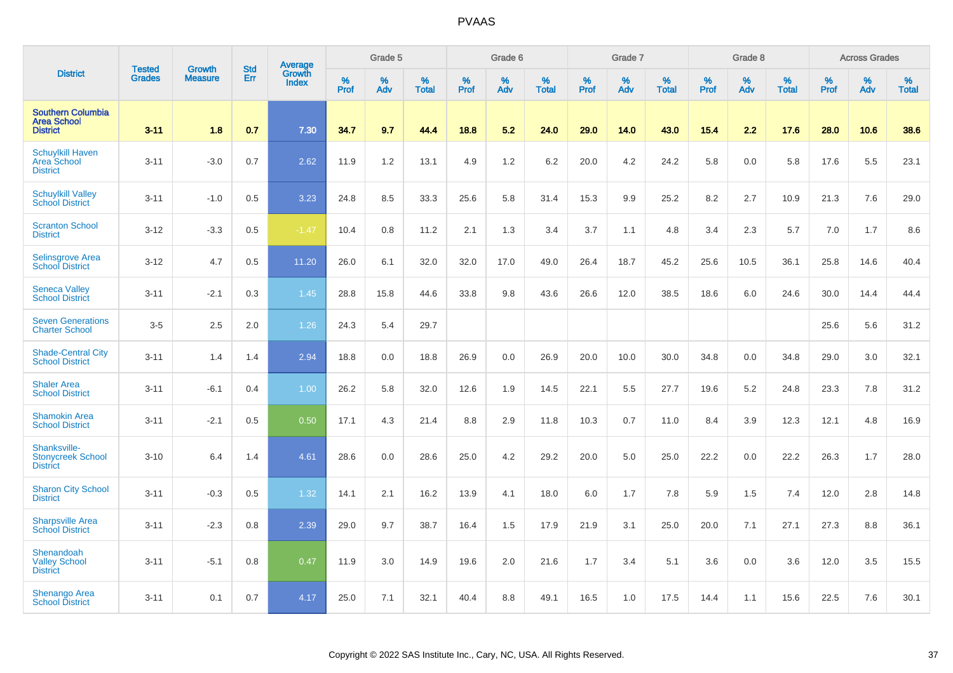|                                                                   |                                | <b>Growth</b>  | <b>Std</b> | Average                |              | Grade 5  |                   |              | Grade 6  |                   |              | Grade 7  |                   |              | Grade 8  |                   |           | <b>Across Grades</b> |                   |
|-------------------------------------------------------------------|--------------------------------|----------------|------------|------------------------|--------------|----------|-------------------|--------------|----------|-------------------|--------------|----------|-------------------|--------------|----------|-------------------|-----------|----------------------|-------------------|
| <b>District</b>                                                   | <b>Tested</b><br><b>Grades</b> | <b>Measure</b> | Err        | Growth<br><b>Index</b> | $\%$<br>Prof | %<br>Adv | %<br><b>Total</b> | $\%$<br>Prof | %<br>Adv | %<br><b>Total</b> | $\%$<br>Prof | %<br>Adv | %<br><b>Total</b> | $\%$<br>Prof | %<br>Adv | %<br><b>Total</b> | %<br>Prof | %<br>Adv             | %<br><b>Total</b> |
| <b>Southern Columbia</b><br><b>Area School</b><br><b>District</b> | $3 - 11$                       | 1.8            | 0.7        | 7.30                   | 34.7         | 9.7      | 44.4              | 18.8         | 5.2      | 24.0              | 29.0         | 14.0     | 43.0              | $15.4$       | 2.2      | 17.6              | 28.0      | 10.6                 | 38.6              |
| <b>Schuylkill Haven</b><br>Area School<br><b>District</b>         | $3 - 11$                       | $-3.0$         | 0.7        | 2.62                   | 11.9         | 1.2      | 13.1              | 4.9          | $1.2$    | 6.2               | 20.0         | 4.2      | 24.2              | 5.8          | 0.0      | 5.8               | 17.6      | 5.5                  | 23.1              |
| <b>Schuylkill Valley</b><br><b>School District</b>                | $3 - 11$                       | $-1.0$         | 0.5        | 3.23                   | 24.8         | 8.5      | 33.3              | 25.6         | 5.8      | 31.4              | 15.3         | 9.9      | 25.2              | 8.2          | 2.7      | 10.9              | 21.3      | 7.6                  | 29.0              |
| <b>Scranton School</b><br><b>District</b>                         | $3 - 12$                       | $-3.3$         | 0.5        | $-1.47$                | 10.4         | 0.8      | 11.2              | 2.1          | 1.3      | 3.4               | 3.7          | 1.1      | 4.8               | 3.4          | 2.3      | 5.7               | 7.0       | 1.7                  | 8.6               |
| Selinsgrove Area<br><b>School District</b>                        | $3 - 12$                       | 4.7            | 0.5        | 11.20                  | 26.0         | 6.1      | 32.0              | 32.0         | 17.0     | 49.0              | 26.4         | 18.7     | 45.2              | 25.6         | 10.5     | 36.1              | 25.8      | 14.6                 | 40.4              |
| <b>Seneca Valley</b><br><b>School District</b>                    | $3 - 11$                       | $-2.1$         | 0.3        | 1.45                   | 28.8         | 15.8     | 44.6              | 33.8         | 9.8      | 43.6              | 26.6         | 12.0     | 38.5              | 18.6         | 6.0      | 24.6              | 30.0      | 14.4                 | 44.4              |
| <b>Seven Generations</b><br><b>Charter School</b>                 | $3-5$                          | 2.5            | 2.0        | 1.26                   | 24.3         | 5.4      | 29.7              |              |          |                   |              |          |                   |              |          |                   | 25.6      | 5.6                  | 31.2              |
| <b>Shade-Central City</b><br><b>School District</b>               | $3 - 11$                       | 1.4            | 1.4        | 2.94                   | 18.8         | 0.0      | 18.8              | 26.9         | 0.0      | 26.9              | 20.0         | 10.0     | 30.0              | 34.8         | 0.0      | 34.8              | 29.0      | 3.0                  | 32.1              |
| <b>Shaler Area</b><br><b>School District</b>                      | $3 - 11$                       | $-6.1$         | 0.4        | 1.00                   | 26.2         | 5.8      | 32.0              | 12.6         | 1.9      | 14.5              | 22.1         | 5.5      | 27.7              | 19.6         | $5.2\,$  | 24.8              | 23.3      | 7.8                  | 31.2              |
| <b>Shamokin Area</b><br><b>School District</b>                    | $3 - 11$                       | $-2.1$         | 0.5        | 0.50                   | 17.1         | 4.3      | 21.4              | 8.8          | 2.9      | 11.8              | 10.3         | 0.7      | 11.0              | 8.4          | 3.9      | 12.3              | 12.1      | 4.8                  | 16.9              |
| Shanksville-<br><b>Stonycreek School</b><br><b>District</b>       | $3 - 10$                       | 6.4            | 1.4        | 4.61                   | 28.6         | 0.0      | 28.6              | 25.0         | 4.2      | 29.2              | 20.0         | 5.0      | 25.0              | 22.2         | 0.0      | 22.2              | 26.3      | 1.7                  | 28.0              |
| <b>Sharon City School</b><br><b>District</b>                      | $3 - 11$                       | $-0.3$         | 0.5        | 1.32                   | 14.1         | 2.1      | 16.2              | 13.9         | 4.1      | 18.0              | 6.0          | 1.7      | 7.8               | 5.9          | 1.5      | 7.4               | 12.0      | 2.8                  | 14.8              |
| <b>Sharpsville Area</b><br><b>School District</b>                 | $3 - 11$                       | $-2.3$         | 0.8        | 2.39                   | 29.0         | 9.7      | 38.7              | 16.4         | 1.5      | 17.9              | 21.9         | 3.1      | 25.0              | 20.0         | 7.1      | 27.1              | 27.3      | 8.8                  | 36.1              |
| Shenandoah<br><b>Valley School</b><br><b>District</b>             | $3 - 11$                       | $-5.1$         | 0.8        | 0.47                   | 11.9         | 3.0      | 14.9              | 19.6         | 2.0      | 21.6              | 1.7          | 3.4      | 5.1               | 3.6          | 0.0      | 3.6               | 12.0      | 3.5                  | 15.5              |
| Shenango Area<br><b>School District</b>                           | $3 - 11$                       | 0.1            | 0.7        | 4.17                   | 25.0         | 7.1      | 32.1              | 40.4         | 8.8      | 49.1              | 16.5         | 1.0      | 17.5              | 14.4         | 1.1      | 15.6              | 22.5      | 7.6                  | 30.1              |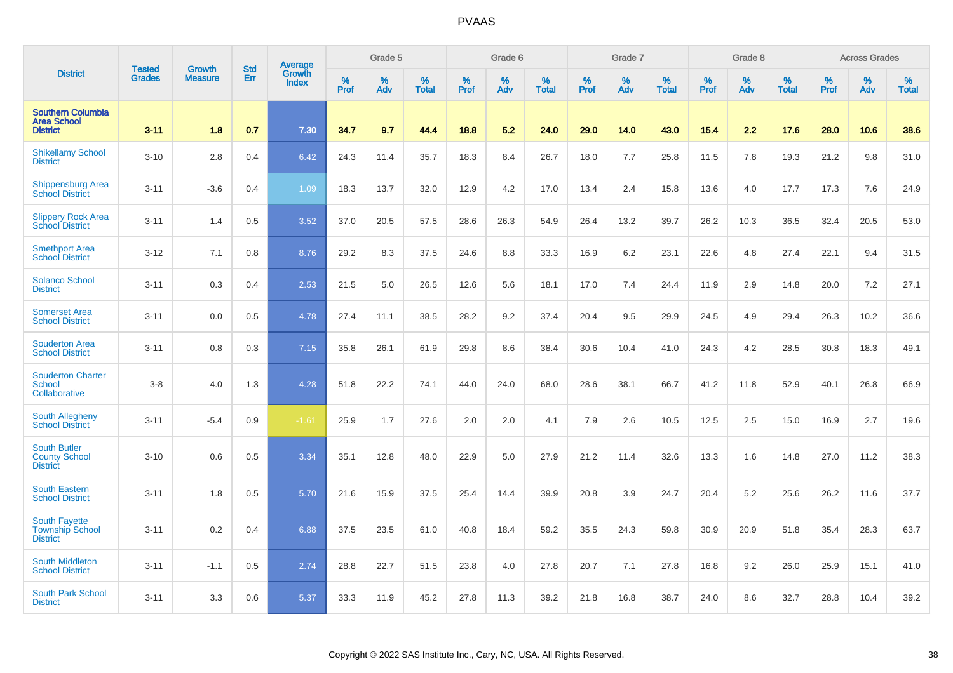|                                                                   |                                |                                 | <b>Std</b> | Average                |              | Grade 5  |                   |           | Grade 6  |                   |           | Grade 7  |                   |           | Grade 8  |                   |           | <b>Across Grades</b> |                   |
|-------------------------------------------------------------------|--------------------------------|---------------------------------|------------|------------------------|--------------|----------|-------------------|-----------|----------|-------------------|-----------|----------|-------------------|-----------|----------|-------------------|-----------|----------------------|-------------------|
| <b>District</b>                                                   | <b>Tested</b><br><b>Grades</b> | <b>Growth</b><br><b>Measure</b> | Err        | Growth<br><b>Index</b> | $\%$<br>Prof | %<br>Adv | %<br><b>Total</b> | %<br>Prof | %<br>Adv | %<br><b>Total</b> | %<br>Prof | %<br>Adv | %<br><b>Total</b> | %<br>Prof | %<br>Adv | %<br><b>Total</b> | %<br>Prof | %<br>Adv             | %<br><b>Total</b> |
| <b>Southern Columbia</b><br><b>Area School</b><br><b>District</b> | $3 - 11$                       | 1.8                             | 0.7        | 7.30                   | 34.7         | 9.7      | 44.4              | 18.8      | 5.2      | 24.0              | 29.0      | 14.0     | 43.0              | 15.4      | 2.2      | 17.6              | 28.0      | 10.6                 | 38.6              |
| <b>Shikellamy School</b><br><b>District</b>                       | $3 - 10$                       | 2.8                             | 0.4        | 6.42                   | 24.3         | 11.4     | 35.7              | 18.3      | 8.4      | 26.7              | 18.0      | 7.7      | 25.8              | 11.5      | 7.8      | 19.3              | 21.2      | 9.8                  | 31.0              |
| <b>Shippensburg Area</b><br><b>School District</b>                | $3 - 11$                       | $-3.6$                          | 0.4        | 1.09                   | 18.3         | 13.7     | 32.0              | 12.9      | 4.2      | 17.0              | 13.4      | 2.4      | 15.8              | 13.6      | 4.0      | 17.7              | 17.3      | 7.6                  | 24.9              |
| <b>Slippery Rock Area</b><br><b>School District</b>               | $3 - 11$                       | 1.4                             | 0.5        | 3.52                   | 37.0         | 20.5     | 57.5              | 28.6      | 26.3     | 54.9              | 26.4      | 13.2     | 39.7              | 26.2      | 10.3     | 36.5              | 32.4      | 20.5                 | 53.0              |
| <b>Smethport Area</b><br><b>School District</b>                   | $3 - 12$                       | 7.1                             | 0.8        | 8.76                   | 29.2         | 8.3      | 37.5              | 24.6      | 8.8      | 33.3              | 16.9      | 6.2      | 23.1              | 22.6      | 4.8      | 27.4              | 22.1      | 9.4                  | 31.5              |
| <b>Solanco School</b><br><b>District</b>                          | $3 - 11$                       | 0.3                             | 0.4        | 2.53                   | 21.5         | 5.0      | 26.5              | 12.6      | 5.6      | 18.1              | 17.0      | 7.4      | 24.4              | 11.9      | 2.9      | 14.8              | 20.0      | 7.2                  | 27.1              |
| <b>Somerset Area</b><br><b>School District</b>                    | $3 - 11$                       | 0.0                             | 0.5        | 4.78                   | 27.4         | 11.1     | 38.5              | 28.2      | 9.2      | 37.4              | 20.4      | 9.5      | 29.9              | 24.5      | 4.9      | 29.4              | 26.3      | 10.2                 | 36.6              |
| <b>Souderton Area</b><br><b>School District</b>                   | $3 - 11$                       | 0.8                             | 0.3        | 7.15                   | 35.8         | 26.1     | 61.9              | 29.8      | 8.6      | 38.4              | 30.6      | 10.4     | 41.0              | 24.3      | 4.2      | 28.5              | 30.8      | 18.3                 | 49.1              |
| <b>Souderton Charter</b><br>School<br>Collaborative               | $3-8$                          | 4.0                             | 1.3        | 4.28                   | 51.8         | 22.2     | 74.1              | 44.0      | 24.0     | 68.0              | 28.6      | 38.1     | 66.7              | 41.2      | 11.8     | 52.9              | 40.1      | 26.8                 | 66.9              |
| South Allegheny<br><b>School District</b>                         | $3 - 11$                       | $-5.4$                          | 0.9        | $-1.61$                | 25.9         | 1.7      | 27.6              | 2.0       | 2.0      | 4.1               | 7.9       | 2.6      | 10.5              | 12.5      | 2.5      | 15.0              | 16.9      | 2.7                  | 19.6              |
| <b>South Butler</b><br><b>County School</b><br><b>District</b>    | $3 - 10$                       | 0.6                             | 0.5        | 3.34                   | 35.1         | 12.8     | 48.0              | 22.9      | 5.0      | 27.9              | 21.2      | 11.4     | 32.6              | 13.3      | 1.6      | 14.8              | 27.0      | 11.2                 | 38.3              |
| <b>South Eastern</b><br><b>School District</b>                    | $3 - 11$                       | 1.8                             | 0.5        | 5.70                   | 21.6         | 15.9     | 37.5              | 25.4      | 14.4     | 39.9              | 20.8      | 3.9      | 24.7              | 20.4      | 5.2      | 25.6              | 26.2      | 11.6                 | 37.7              |
| <b>South Fayette</b><br><b>Township School</b><br><b>District</b> | $3 - 11$                       | 0.2                             | 0.4        | 6.88                   | 37.5         | 23.5     | 61.0              | 40.8      | 18.4     | 59.2              | 35.5      | 24.3     | 59.8              | 30.9      | 20.9     | 51.8              | 35.4      | 28.3                 | 63.7              |
| <b>South Middleton</b><br><b>School District</b>                  | $3 - 11$                       | $-1.1$                          | 0.5        | 2.74                   | 28.8         | 22.7     | 51.5              | 23.8      | 4.0      | 27.8              | 20.7      | 7.1      | 27.8              | 16.8      | 9.2      | 26.0              | 25.9      | 15.1                 | 41.0              |
| South Park School<br><b>District</b>                              | $3 - 11$                       | 3.3                             | 0.6        | 5.37                   | 33.3         | 11.9     | 45.2              | 27.8      | 11.3     | 39.2              | 21.8      | 16.8     | 38.7              | 24.0      | 8.6      | 32.7              | 28.8      | 10.4                 | 39.2              |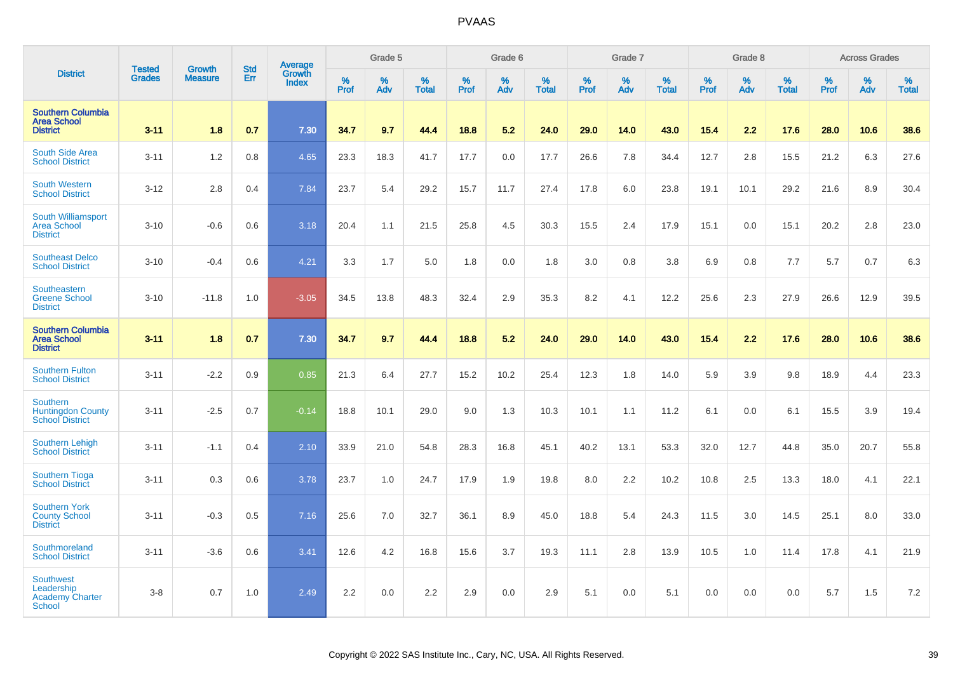|                                                                           | <b>Tested</b> | <b>Growth</b>  | <b>Std</b> | Average                |              | Grade 5  |                      |              | Grade 6  |                   |              | Grade 7  |                   |              | Grade 8  |                      |           | <b>Across Grades</b> |                   |
|---------------------------------------------------------------------------|---------------|----------------|------------|------------------------|--------------|----------|----------------------|--------------|----------|-------------------|--------------|----------|-------------------|--------------|----------|----------------------|-----------|----------------------|-------------------|
| <b>District</b>                                                           | Grades        | <b>Measure</b> | Err        | Growth<br><b>Index</b> | $\%$<br>Prof | %<br>Adv | $\%$<br><b>Total</b> | $\%$<br>Prof | %<br>Adv | %<br><b>Total</b> | $\%$<br>Prof | %<br>Adv | %<br><b>Total</b> | $\%$<br>Prof | %<br>Adv | $\%$<br><b>Total</b> | %<br>Prof | %<br>Adv             | %<br><b>Total</b> |
| <b>Southern Columbia</b><br><b>Area School</b><br><b>District</b>         | $3 - 11$      | 1.8            | 0.7        | 7.30                   | 34.7         | 9.7      | 44.4                 | 18.8         | 5.2      | 24.0              | 29.0         | 14.0     | 43.0              | 15.4         | 2.2      | 17.6                 | 28.0      | 10.6                 | 38.6              |
| South Side Area<br><b>School District</b>                                 | $3 - 11$      | 1.2            | 0.8        | 4.65                   | 23.3         | 18.3     | 41.7                 | 17.7         | 0.0      | 17.7              | 26.6         | 7.8      | 34.4              | 12.7         | 2.8      | 15.5                 | 21.2      | 6.3                  | 27.6              |
| <b>South Western</b><br><b>School District</b>                            | $3 - 12$      | 2.8            | 0.4        | 7.84                   | 23.7         | 5.4      | 29.2                 | 15.7         | 11.7     | 27.4              | 17.8         | 6.0      | 23.8              | 19.1         | 10.1     | 29.2                 | 21.6      | 8.9                  | 30.4              |
| South Williamsport<br><b>Area School</b><br><b>District</b>               | $3 - 10$      | $-0.6$         | 0.6        | 3.18                   | 20.4         | 1.1      | 21.5                 | 25.8         | 4.5      | 30.3              | 15.5         | 2.4      | 17.9              | 15.1         | 0.0      | 15.1                 | 20.2      | 2.8                  | 23.0              |
| <b>Southeast Delco</b><br><b>School District</b>                          | $3 - 10$      | $-0.4$         | 0.6        | 4.21                   | 3.3          | 1.7      | 5.0                  | 1.8          | 0.0      | 1.8               | 3.0          | 0.8      | 3.8               | 6.9          | 0.8      | 7.7                  | 5.7       | 0.7                  | 6.3               |
| Southeastern<br><b>Greene School</b><br><b>District</b>                   | $3 - 10$      | $-11.8$        | 1.0        | $-3.05$                | 34.5         | 13.8     | 48.3                 | 32.4         | 2.9      | 35.3              | 8.2          | 4.1      | 12.2              | 25.6         | 2.3      | 27.9                 | 26.6      | 12.9                 | 39.5              |
| <b>Southern Columbia</b><br><b>Area School</b><br><b>District</b>         | $3 - 11$      | 1.8            | 0.7        | 7.30                   | 34.7         | 9.7      | 44.4                 | 18.8         | 5.2      | 24.0              | 29.0         | 14.0     | 43.0              | 15.4         | 2.2      | 17.6                 | 28.0      | 10.6                 | 38.6              |
| <b>Southern Fulton</b><br><b>School District</b>                          | $3 - 11$      | $-2.2$         | 0.9        | 0.85                   | 21.3         | 6.4      | 27.7                 | 15.2         | 10.2     | 25.4              | 12.3         | 1.8      | 14.0              | 5.9          | 3.9      | 9.8                  | 18.9      | 4.4                  | 23.3              |
| Southern<br><b>Huntingdon County</b><br><b>School District</b>            | $3 - 11$      | $-2.5$         | 0.7        | $-0.14$                | 18.8         | 10.1     | 29.0                 | 9.0          | 1.3      | 10.3              | 10.1         | 1.1      | 11.2              | 6.1          | 0.0      | 6.1                  | 15.5      | 3.9                  | 19.4              |
| <b>Southern Lehigh</b><br><b>School District</b>                          | $3 - 11$      | $-1.1$         | 0.4        | 2.10                   | 33.9         | 21.0     | 54.8                 | 28.3         | 16.8     | 45.1              | 40.2         | 13.1     | 53.3              | 32.0         | 12.7     | 44.8                 | 35.0      | 20.7                 | 55.8              |
| <b>Southern Tioga</b><br><b>School District</b>                           | $3 - 11$      | 0.3            | 0.6        | 3.78                   | 23.7         | 1.0      | 24.7                 | 17.9         | 1.9      | 19.8              | 8.0          | 2.2      | 10.2              | 10.8         | 2.5      | 13.3                 | 18.0      | 4.1                  | 22.1              |
| <b>Southern York</b><br><b>County School</b><br><b>District</b>           | $3 - 11$      | $-0.3$         | 0.5        | 7.16                   | 25.6         | 7.0      | 32.7                 | 36.1         | 8.9      | 45.0              | 18.8         | 5.4      | 24.3              | 11.5         | 3.0      | 14.5                 | 25.1      | 8.0                  | 33.0              |
| Southmoreland<br><b>School District</b>                                   | $3 - 11$      | $-3.6$         | 0.6        | 3.41                   | 12.6         | 4.2      | 16.8                 | 15.6         | 3.7      | 19.3              | 11.1         | 2.8      | 13.9              | 10.5         | 1.0      | 11.4                 | 17.8      | 4.1                  | 21.9              |
| <b>Southwest</b><br>Leadership<br><b>Academy Charter</b><br><b>School</b> | $3-8$         | 0.7            | 1.0        | 2.49                   | 2.2          | 0.0      | 2.2                  | 2.9          | 0.0      | 2.9               | 5.1          | 0.0      | 5.1               | 0.0          | 0.0      | 0.0                  | 5.7       | 1.5                  | 7.2               |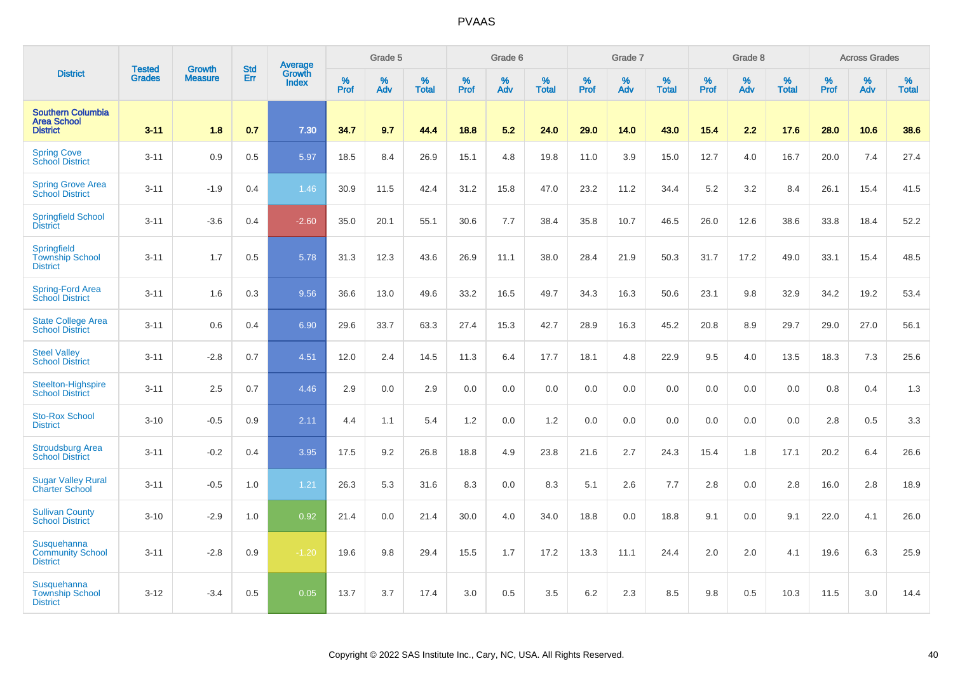|                                                                   |                                |                                 | <b>Std</b> | Average                |                     | Grade 5  |                   |                  | Grade 6  |                   |                  | Grade 7  |                   |           | Grade 8  |                   |           | <b>Across Grades</b> |                   |
|-------------------------------------------------------------------|--------------------------------|---------------------------------|------------|------------------------|---------------------|----------|-------------------|------------------|----------|-------------------|------------------|----------|-------------------|-----------|----------|-------------------|-----------|----------------------|-------------------|
| <b>District</b>                                                   | <b>Tested</b><br><b>Grades</b> | <b>Growth</b><br><b>Measure</b> | Err        | Growth<br><b>Index</b> | $\%$<br><b>Prof</b> | %<br>Adv | %<br><b>Total</b> | %<br><b>Prof</b> | %<br>Adv | %<br><b>Total</b> | %<br><b>Prof</b> | %<br>Adv | %<br><b>Total</b> | %<br>Prof | %<br>Adv | %<br><b>Total</b> | %<br>Prof | %<br>Adv             | %<br><b>Total</b> |
| <b>Southern Columbia</b><br><b>Area School</b><br><b>District</b> | $3 - 11$                       | 1.8                             | 0.7        | 7.30                   | 34.7                | 9.7      | 44.4              | 18.8             | 5.2      | 24.0              | 29.0             | 14.0     | 43.0              | 15.4      | 2.2      | 17.6              | 28.0      | 10.6                 | 38.6              |
| <b>Spring Cove</b><br>School District                             | $3 - 11$                       | 0.9                             | 0.5        | 5.97                   | 18.5                | 8.4      | 26.9              | 15.1             | 4.8      | 19.8              | 11.0             | 3.9      | 15.0              | 12.7      | 4.0      | 16.7              | 20.0      | 7.4                  | 27.4              |
| <b>Spring Grove Area</b><br><b>School District</b>                | $3 - 11$                       | $-1.9$                          | 0.4        | 1.46                   | 30.9                | 11.5     | 42.4              | 31.2             | 15.8     | 47.0              | 23.2             | 11.2     | 34.4              | $5.2\,$   | 3.2      | 8.4               | 26.1      | 15.4                 | 41.5              |
| <b>Springfield School</b><br><b>District</b>                      | $3 - 11$                       | $-3.6$                          | 0.4        | $-2.60$                | 35.0                | 20.1     | 55.1              | 30.6             | 7.7      | 38.4              | 35.8             | 10.7     | 46.5              | 26.0      | 12.6     | 38.6              | 33.8      | 18.4                 | 52.2              |
| Springfield<br><b>Township School</b><br><b>District</b>          | $3 - 11$                       | 1.7                             | 0.5        | 5.78                   | 31.3                | 12.3     | 43.6              | 26.9             | 11.1     | 38.0              | 28.4             | 21.9     | 50.3              | 31.7      | 17.2     | 49.0              | 33.1      | 15.4                 | 48.5              |
| Spring-Ford Area<br><b>School District</b>                        | $3 - 11$                       | 1.6                             | 0.3        | 9.56                   | 36.6                | 13.0     | 49.6              | 33.2             | 16.5     | 49.7              | 34.3             | 16.3     | 50.6              | 23.1      | 9.8      | 32.9              | 34.2      | 19.2                 | 53.4              |
| <b>State College Area</b><br><b>School District</b>               | $3 - 11$                       | 0.6                             | 0.4        | 6.90                   | 29.6                | 33.7     | 63.3              | 27.4             | 15.3     | 42.7              | 28.9             | 16.3     | 45.2              | 20.8      | 8.9      | 29.7              | 29.0      | 27.0                 | 56.1              |
| <b>Steel Valley</b><br><b>School District</b>                     | $3 - 11$                       | $-2.8$                          | 0.7        | 4.51                   | 12.0                | 2.4      | 14.5              | 11.3             | 6.4      | 17.7              | 18.1             | 4.8      | 22.9              | 9.5       | 4.0      | 13.5              | 18.3      | 7.3                  | 25.6              |
| Steelton-Highspire<br><b>School District</b>                      | $3 - 11$                       | 2.5                             | 0.7        | 4.46                   | 2.9                 | 0.0      | 2.9               | 0.0              | 0.0      | 0.0               | 0.0              | 0.0      | 0.0               | 0.0       | 0.0      | 0.0               | 0.8       | 0.4                  | 1.3               |
| <b>Sto-Rox School</b><br><b>District</b>                          | $3 - 10$                       | $-0.5$                          | 0.9        | 2.11                   | 4.4                 | 1.1      | 5.4               | 1.2              | 0.0      | 1.2               | 0.0              | 0.0      | 0.0               | 0.0       | 0.0      | 0.0               | 2.8       | 0.5                  | 3.3               |
| <b>Stroudsburg Area</b><br><b>School District</b>                 | $3 - 11$                       | $-0.2$                          | 0.4        | 3.95                   | 17.5                | 9.2      | 26.8              | 18.8             | 4.9      | 23.8              | 21.6             | 2.7      | 24.3              | 15.4      | 1.8      | 17.1              | 20.2      | 6.4                  | 26.6              |
| <b>Sugar Valley Rural</b><br><b>Charter School</b>                | $3 - 11$                       | $-0.5$                          | 1.0        | 1.21                   | 26.3                | 5.3      | 31.6              | 8.3              | 0.0      | 8.3               | 5.1              | 2.6      | 7.7               | 2.8       | 0.0      | 2.8               | 16.0      | 2.8                  | 18.9              |
| <b>Sullivan County</b><br><b>School District</b>                  | $3 - 10$                       | $-2.9$                          | 1.0        | 0.92                   | 21.4                | 0.0      | 21.4              | 30.0             | 4.0      | 34.0              | 18.8             | 0.0      | 18.8              | 9.1       | 0.0      | 9.1               | 22.0      | 4.1                  | 26.0              |
| Susquehanna<br><b>Community School</b><br><b>District</b>         | $3 - 11$                       | $-2.8$                          | 0.9        | $-1.20$                | 19.6                | 9.8      | 29.4              | 15.5             | 1.7      | 17.2              | 13.3             | 11.1     | 24.4              | 2.0       | 2.0      | 4.1               | 19.6      | 6.3                  | 25.9              |
| Susquehanna<br><b>Township School</b><br><b>District</b>          | $3 - 12$                       | $-3.4$                          | 0.5        | 0.05                   | 13.7                | 3.7      | 17.4              | 3.0              | 0.5      | 3.5               | 6.2              | 2.3      | 8.5               | 9.8       | 0.5      | 10.3              | 11.5      | 3.0                  | 14.4              |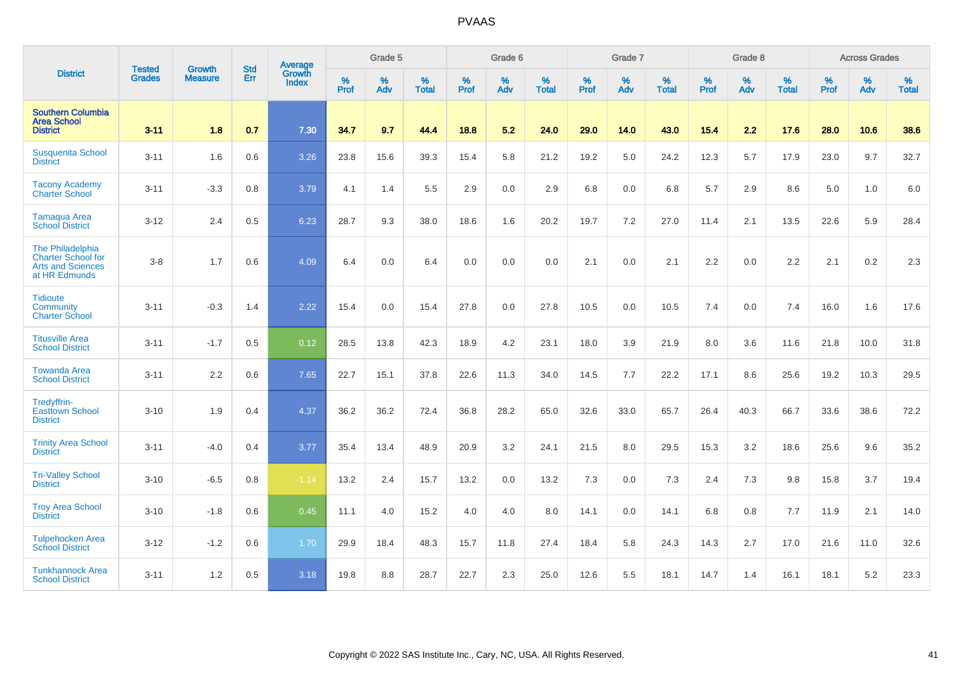|                                                                                     | <b>Tested</b> | <b>Growth</b>  | <b>Std</b> | Average                |              | Grade 5  |                      |              | Grade 6  |                      |              | Grade 7  |                   |              | Grade 8  |                      |              | <b>Across Grades</b> |                   |
|-------------------------------------------------------------------------------------|---------------|----------------|------------|------------------------|--------------|----------|----------------------|--------------|----------|----------------------|--------------|----------|-------------------|--------------|----------|----------------------|--------------|----------------------|-------------------|
| <b>District</b>                                                                     | <b>Grades</b> | <b>Measure</b> | <b>Err</b> | Growth<br><b>Index</b> | $\%$<br>Prof | %<br>Adv | $\%$<br><b>Total</b> | $\%$<br>Prof | %<br>Adv | $\%$<br><b>Total</b> | $\%$<br>Prof | %<br>Adv | %<br><b>Total</b> | $\%$<br>Prof | %<br>Adv | $\%$<br><b>Total</b> | $\%$<br>Prof | $\%$<br>Adv          | %<br><b>Total</b> |
| <b>Southern Columbia</b><br><b>Area School</b><br><b>District</b>                   | $3 - 11$      | 1.8            | 0.7        | 7.30                   | 34.7         | 9.7      | 44.4                 | 18.8         | 5.2      | 24.0                 | 29.0         | 14.0     | 43.0              | $15.4$       | 2.2      | 17.6                 | 28.0         | 10.6                 | 38.6              |
| <b>Susquenita School</b><br><b>District</b>                                         | $3 - 11$      | 1.6            | 0.6        | 3.26                   | 23.8         | 15.6     | 39.3                 | 15.4         | 5.8      | 21.2                 | 19.2         | 5.0      | 24.2              | 12.3         | 5.7      | 17.9                 | 23.0         | 9.7                  | 32.7              |
| <b>Tacony Academy</b><br><b>Charter School</b>                                      | $3 - 11$      | $-3.3$         | 0.8        | 3.79                   | 4.1          | 1.4      | 5.5                  | 2.9          | 0.0      | 2.9                  | 6.8          | 0.0      | 6.8               | 5.7          | 2.9      | 8.6                  | 5.0          | 1.0                  | 6.0               |
| <b>Tamaqua Area</b><br><b>School District</b>                                       | $3 - 12$      | 2.4            | 0.5        | 6.23                   | 28.7         | 9.3      | 38.0                 | 18.6         | 1.6      | 20.2                 | 19.7         | 7.2      | 27.0              | 11.4         | 2.1      | 13.5                 | 22.6         | 5.9                  | 28.4              |
| The Philadelphia<br>Charter School for<br><b>Arts and Sciences</b><br>at HR Edmunds | $3-8$         | 1.7            | 0.6        | 4.09                   | 6.4          | 0.0      | 6.4                  | 0.0          | 0.0      | 0.0                  | 2.1          | 0.0      | 2.1               | 2.2          | 0.0      | 2.2                  | 2.1          | 0.2                  | 2.3               |
| <b>Tidioute</b><br>Community<br><b>Charter School</b>                               | $3 - 11$      | $-0.3$         | 1.4        | 2.22                   | 15.4         | 0.0      | 15.4                 | 27.8         | 0.0      | 27.8                 | 10.5         | 0.0      | 10.5              | 7.4          | 0.0      | 7.4                  | 16.0         | 1.6                  | 17.6              |
| <b>Titusville Area</b><br><b>School District</b>                                    | $3 - 11$      | $-1.7$         | 0.5        | 0.12                   | 28.5         | 13.8     | 42.3                 | 18.9         | 4.2      | 23.1                 | 18.0         | 3.9      | 21.9              | 8.0          | 3.6      | 11.6                 | 21.8         | 10.0                 | 31.8              |
| <b>Towanda Area</b><br><b>School District</b>                                       | $3 - 11$      | 2.2            | 0.6        | 7.65                   | 22.7         | 15.1     | 37.8                 | 22.6         | 11.3     | 34.0                 | 14.5         | 7.7      | 22.2              | 17.1         | 8.6      | 25.6                 | 19.2         | 10.3                 | 29.5              |
| Tredyffrin-<br><b>Easttown School</b><br><b>District</b>                            | $3 - 10$      | 1.9            | 0.4        | 4.37                   | 36.2         | 36.2     | 72.4                 | 36.8         | 28.2     | 65.0                 | 32.6         | 33.0     | 65.7              | 26.4         | 40.3     | 66.7                 | 33.6         | 38.6                 | 72.2              |
| <b>Trinity Area School</b><br><b>District</b>                                       | $3 - 11$      | $-4.0$         | 0.4        | 3.77                   | 35.4         | 13.4     | 48.9                 | 20.9         | 3.2      | 24.1                 | 21.5         | 8.0      | 29.5              | 15.3         | 3.2      | 18.6                 | 25.6         | 9.6                  | 35.2              |
| <b>Tri-Valley School</b><br><b>District</b>                                         | $3 - 10$      | $-6.5$         | 0.8        | $-1.14$                | 13.2         | 2.4      | 15.7                 | 13.2         | 0.0      | 13.2                 | 7.3          | 0.0      | 7.3               | 2.4          | 7.3      | 9.8                  | 15.8         | 3.7                  | 19.4              |
| <b>Troy Area School</b><br><b>District</b>                                          | $3 - 10$      | $-1.8$         | 0.6        | 0.45                   | 11.1         | 4.0      | 15.2                 | 4.0          | 4.0      | 8.0                  | 14.1         | 0.0      | 14.1              | 6.8          | 0.8      | 7.7                  | 11.9         | 2.1                  | 14.0              |
| <b>Tulpehocken Area</b><br><b>School District</b>                                   | $3 - 12$      | $-1.2$         | 0.6        | 1.70                   | 29.9         | 18.4     | 48.3                 | 15.7         | 11.8     | 27.4                 | 18.4         | 5.8      | 24.3              | 14.3         | 2.7      | 17.0                 | 21.6         | 11.0                 | 32.6              |
| <b>Tunkhannock Area</b><br><b>School District</b>                                   | $3 - 11$      | 1.2            | 0.5        | 3.18                   | 19.8         | 8.8      | 28.7                 | 22.7         | 2.3      | 25.0                 | 12.6         | 5.5      | 18.1              | 14.7         | 1.4      | 16.1                 | 18.1         | 5.2                  | 23.3              |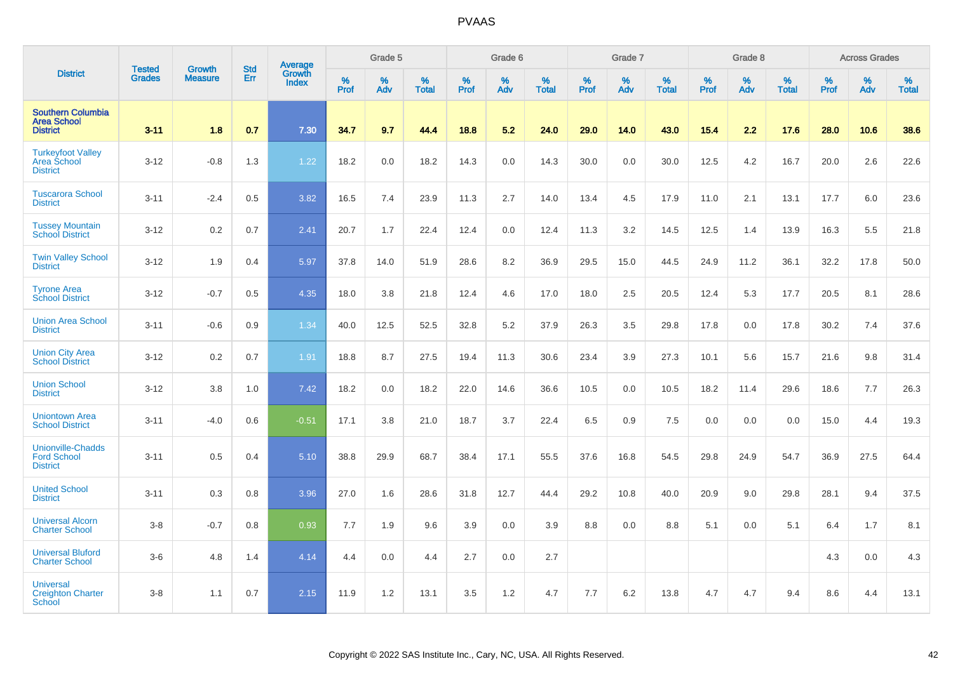|                                                                   |                                |                                 |                   | Average                |           | Grade 5  |                   |           | Grade 6  |                   |           | Grade 7  |                   |           | Grade 8  |                   |           | <b>Across Grades</b> |                   |
|-------------------------------------------------------------------|--------------------------------|---------------------------------|-------------------|------------------------|-----------|----------|-------------------|-----------|----------|-------------------|-----------|----------|-------------------|-----------|----------|-------------------|-----------|----------------------|-------------------|
| <b>District</b>                                                   | <b>Tested</b><br><b>Grades</b> | <b>Growth</b><br><b>Measure</b> | <b>Std</b><br>Err | Growth<br><b>Index</b> | %<br>Prof | %<br>Adv | %<br><b>Total</b> | %<br>Prof | %<br>Adv | %<br><b>Total</b> | %<br>Prof | %<br>Adv | %<br><b>Total</b> | %<br>Prof | %<br>Adv | %<br><b>Total</b> | %<br>Prof | %<br>Adv             | %<br><b>Total</b> |
| <b>Southern Columbia</b><br><b>Area School</b><br><b>District</b> | $3 - 11$                       | 1.8                             | 0.7               | 7.30                   | 34.7      | 9.7      | 44.4              | 18.8      | 5.2      | 24.0              | 29.0      | 14.0     | 43.0              | 15.4      | 2.2      | 17.6              | 28.0      | 10.6                 | 38.6              |
| <b>Turkeyfoot Valley</b><br>Area School<br><b>District</b>        | $3-12$                         | $-0.8$                          | 1.3               | 1.22                   | 18.2      | 0.0      | 18.2              | 14.3      | 0.0      | 14.3              | 30.0      | 0.0      | 30.0              | 12.5      | 4.2      | 16.7              | 20.0      | 2.6                  | 22.6              |
| <b>Tuscarora School</b><br><b>District</b>                        | $3 - 11$                       | $-2.4$                          | 0.5               | 3.82                   | 16.5      | 7.4      | 23.9              | 11.3      | 2.7      | 14.0              | 13.4      | 4.5      | 17.9              | 11.0      | 2.1      | 13.1              | 17.7      | 6.0                  | 23.6              |
| <b>Tussey Mountain</b><br><b>School District</b>                  | $3 - 12$                       | 0.2                             | 0.7               | 2.41                   | 20.7      | 1.7      | 22.4              | 12.4      | 0.0      | 12.4              | 11.3      | 3.2      | 14.5              | 12.5      | 1.4      | 13.9              | 16.3      | 5.5                  | 21.8              |
| <b>Twin Valley School</b><br><b>District</b>                      | $3 - 12$                       | 1.9                             | 0.4               | 5.97                   | 37.8      | 14.0     | 51.9              | 28.6      | 8.2      | 36.9              | 29.5      | 15.0     | 44.5              | 24.9      | 11.2     | 36.1              | 32.2      | 17.8                 | 50.0              |
| <b>Tyrone Area</b><br><b>School District</b>                      | $3 - 12$                       | $-0.7$                          | 0.5               | 4.35                   | 18.0      | 3.8      | 21.8              | 12.4      | 4.6      | 17.0              | 18.0      | 2.5      | 20.5              | 12.4      | 5.3      | 17.7              | 20.5      | 8.1                  | 28.6              |
| <b>Union Area School</b><br><b>District</b>                       | $3 - 11$                       | $-0.6$                          | 0.9               | 1.34                   | 40.0      | 12.5     | 52.5              | 32.8      | 5.2      | 37.9              | 26.3      | 3.5      | 29.8              | 17.8      | 0.0      | 17.8              | 30.2      | 7.4                  | 37.6              |
| <b>Union City Area</b><br><b>School District</b>                  | $3 - 12$                       | 0.2                             | 0.7               | 1.91                   | 18.8      | 8.7      | 27.5              | 19.4      | 11.3     | 30.6              | 23.4      | 3.9      | 27.3              | 10.1      | 5.6      | 15.7              | 21.6      | 9.8                  | 31.4              |
| <b>Union School</b><br><b>District</b>                            | $3 - 12$                       | 3.8                             | 1.0               | 7.42                   | 18.2      | 0.0      | 18.2              | 22.0      | 14.6     | 36.6              | 10.5      | 0.0      | 10.5              | 18.2      | 11.4     | 29.6              | 18.6      | 7.7                  | 26.3              |
| <b>Uniontown Area</b><br><b>School District</b>                   | $3 - 11$                       | $-4.0$                          | 0.6               | $-0.51$                | 17.1      | 3.8      | 21.0              | 18.7      | 3.7      | 22.4              | 6.5       | 0.9      | 7.5               | 0.0       | 0.0      | 0.0               | 15.0      | 4.4                  | 19.3              |
| <b>Unionville-Chadds</b><br><b>Ford School</b><br><b>District</b> | $3 - 11$                       | 0.5                             | 0.4               | 5.10                   | 38.8      | 29.9     | 68.7              | 38.4      | 17.1     | 55.5              | 37.6      | 16.8     | 54.5              | 29.8      | 24.9     | 54.7              | 36.9      | 27.5                 | 64.4              |
| <b>United School</b><br><b>District</b>                           | $3 - 11$                       | 0.3                             | 0.8               | 3.96                   | 27.0      | 1.6      | 28.6              | 31.8      | 12.7     | 44.4              | 29.2      | 10.8     | 40.0              | 20.9      | 9.0      | 29.8              | 28.1      | 9.4                  | 37.5              |
| <b>Universal Alcorn</b><br><b>Charter School</b>                  | $3-8$                          | $-0.7$                          | 0.8               | 0.93                   | 7.7       | 1.9      | 9.6               | 3.9       | 0.0      | 3.9               | 8.8       | 0.0      | 8.8               | 5.1       | 0.0      | 5.1               | 6.4       | 1.7                  | 8.1               |
| <b>Universal Bluford</b><br><b>Charter School</b>                 | $3-6$                          | 4.8                             | 1.4               | 4.14                   | 4.4       | 0.0      | 4.4               | 2.7       | 0.0      | 2.7               |           |          |                   |           |          |                   | 4.3       | 0.0                  | 4.3               |
| <b>Universal</b><br><b>Creighton Charter</b><br><b>School</b>     | $3-8$                          | 1.1                             | 0.7               | 2.15                   | 11.9      | 1.2      | 13.1              | 3.5       | 1.2      | 4.7               | 7.7       | 6.2      | 13.8              | 4.7       | 4.7      | 9.4               | 8.6       | 4.4                  | 13.1              |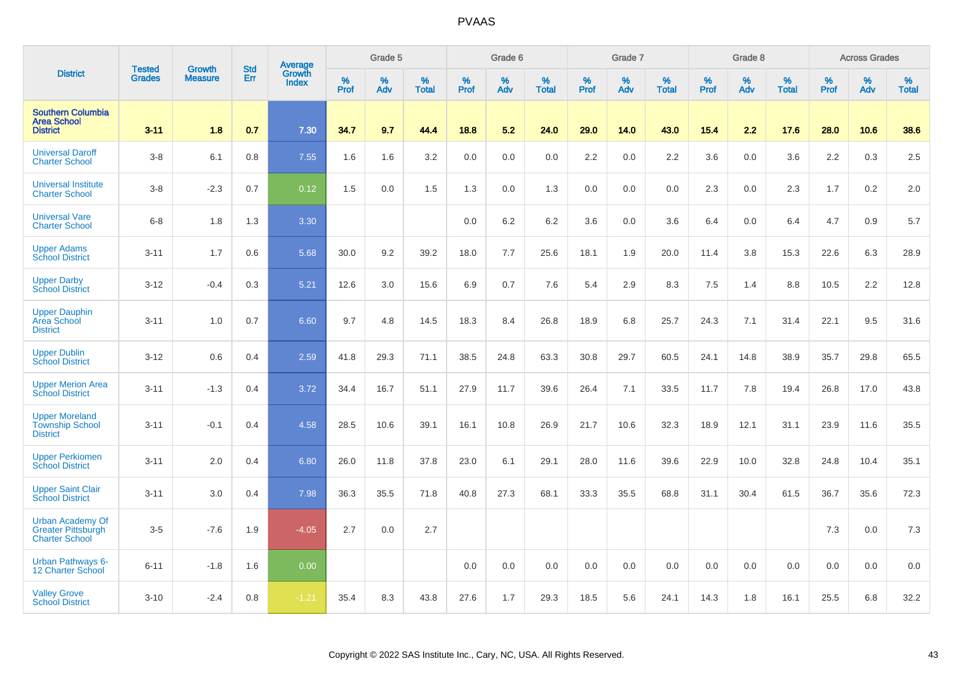|                                                                               |                                | <b>Growth</b>  | <b>Std</b> | Average                |              | Grade 5  |                   |           | Grade 6  |                   |              | Grade 7  |                   |           | Grade 8  |                   |           | <b>Across Grades</b> |                   |
|-------------------------------------------------------------------------------|--------------------------------|----------------|------------|------------------------|--------------|----------|-------------------|-----------|----------|-------------------|--------------|----------|-------------------|-----------|----------|-------------------|-----------|----------------------|-------------------|
| <b>District</b>                                                               | <b>Tested</b><br><b>Grades</b> | <b>Measure</b> | Err        | Growth<br><b>Index</b> | $\%$<br>Prof | %<br>Adv | %<br><b>Total</b> | %<br>Prof | %<br>Adv | %<br><b>Total</b> | $\%$<br>Prof | %<br>Adv | %<br><b>Total</b> | %<br>Prof | %<br>Adv | %<br><b>Total</b> | %<br>Prof | %<br>Adv             | %<br><b>Total</b> |
| <b>Southern Columbia</b><br><b>Area School</b><br><b>District</b>             | $3 - 11$                       | 1.8            | 0.7        | 7.30                   | 34.7         | 9.7      | 44.4              | 18.8      | 5.2      | 24.0              | 29.0         | 14.0     | 43.0              | 15.4      | 2.2      | 17.6              | 28.0      | 10.6                 | 38.6              |
| <b>Universal Daroff</b><br><b>Charter School</b>                              | $3-8$                          | 6.1            | 0.8        | 7.55                   | 1.6          | 1.6      | 3.2               | 0.0       | 0.0      | 0.0               | 2.2          | 0.0      | 2.2               | 3.6       | 0.0      | 3.6               | 2.2       | 0.3                  | 2.5               |
| <b>Universal Institute</b><br><b>Charter School</b>                           | $3-8$                          | $-2.3$         | 0.7        | 0.12                   | 1.5          | 0.0      | 1.5               | 1.3       | 0.0      | 1.3               | 0.0          | 0.0      | 0.0               | 2.3       | 0.0      | 2.3               | 1.7       | 0.2                  | 2.0               |
| <b>Universal Vare</b><br><b>Charter School</b>                                | $6-8$                          | 1.8            | 1.3        | 3.30                   |              |          |                   | 0.0       | 6.2      | 6.2               | 3.6          | 0.0      | 3.6               | 6.4       | 0.0      | 6.4               | 4.7       | 0.9                  | 5.7               |
| <b>Upper Adams</b><br><b>School District</b>                                  | $3 - 11$                       | 1.7            | 0.6        | 5.68                   | 30.0         | 9.2      | 39.2              | 18.0      | 7.7      | 25.6              | 18.1         | 1.9      | 20.0              | 11.4      | 3.8      | 15.3              | 22.6      | 6.3                  | 28.9              |
| <b>Upper Darby</b><br><b>School District</b>                                  | $3 - 12$                       | $-0.4$         | 0.3        | 5.21                   | 12.6         | 3.0      | 15.6              | 6.9       | 0.7      | 7.6               | 5.4          | 2.9      | 8.3               | 7.5       | 1.4      | 8.8               | 10.5      | 2.2                  | 12.8              |
| <b>Upper Dauphin</b><br><b>Area School</b><br><b>District</b>                 | $3 - 11$                       | 1.0            | 0.7        | 6.60                   | 9.7          | 4.8      | 14.5              | 18.3      | 8.4      | 26.8              | 18.9         | 6.8      | 25.7              | 24.3      | 7.1      | 31.4              | 22.1      | 9.5                  | 31.6              |
| <b>Upper Dublin</b><br><b>School District</b>                                 | $3 - 12$                       | 0.6            | 0.4        | 2.59                   | 41.8         | 29.3     | 71.1              | 38.5      | 24.8     | 63.3              | 30.8         | 29.7     | 60.5              | 24.1      | 14.8     | 38.9              | 35.7      | 29.8                 | 65.5              |
| <b>Upper Merion Area</b><br><b>School District</b>                            | $3 - 11$                       | $-1.3$         | 0.4        | 3.72                   | 34.4         | 16.7     | 51.1              | 27.9      | 11.7     | 39.6              | 26.4         | 7.1      | 33.5              | 11.7      | 7.8      | 19.4              | 26.8      | 17.0                 | 43.8              |
| <b>Upper Moreland</b><br><b>Township School</b><br><b>District</b>            | $3 - 11$                       | $-0.1$         | 0.4        | 4.58                   | 28.5         | 10.6     | 39.1              | 16.1      | 10.8     | 26.9              | 21.7         | 10.6     | 32.3              | 18.9      | 12.1     | 31.1              | 23.9      | 11.6                 | 35.5              |
| <b>Upper Perkiomen</b><br><b>School District</b>                              | $3 - 11$                       | 2.0            | 0.4        | 6.80                   | 26.0         | 11.8     | 37.8              | 23.0      | 6.1      | 29.1              | 28.0         | 11.6     | 39.6              | 22.9      | 10.0     | 32.8              | 24.8      | 10.4                 | 35.1              |
| <b>Upper Saint Clair</b><br><b>School District</b>                            | $3 - 11$                       | 3.0            | 0.4        | 7.98                   | 36.3         | 35.5     | 71.8              | 40.8      | 27.3     | 68.1              | 33.3         | 35.5     | 68.8              | 31.1      | 30.4     | 61.5              | 36.7      | 35.6                 | 72.3              |
| <b>Urban Academy Of</b><br><b>Greater Pittsburgh</b><br><b>Charter School</b> | $3-5$                          | $-7.6$         | 1.9        | $-4.05$                | 2.7          | 0.0      | 2.7               |           |          |                   |              |          |                   |           |          |                   | 7.3       | 0.0                  | 7.3               |
| <b>Urban Pathways 6-</b><br>12 Charter School                                 | $6 - 11$                       | $-1.8$         | 1.6        | 0.00                   |              |          |                   | 0.0       | 0.0      | 0.0               | 0.0          | 0.0      | 0.0               | 0.0       | 0.0      | 0.0               | 0.0       | 0.0                  | 0.0               |
| <b>Valley Grove</b><br><b>School District</b>                                 | $3 - 10$                       | $-2.4$         | 0.8        | $-1.21$                | 35.4         | 8.3      | 43.8              | 27.6      | 1.7      | 29.3              | 18.5         | 5.6      | 24.1              | 14.3      | 1.8      | 16.1              | 25.5      | 6.8                  | 32.2              |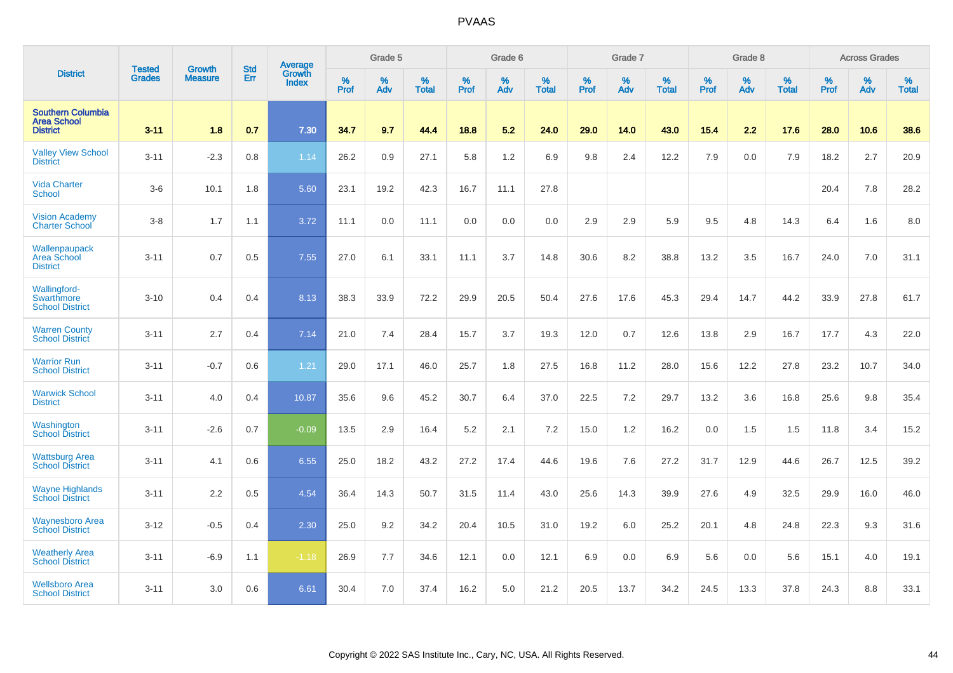|                                                                   | <b>Tested</b> | <b>Growth</b>  | <b>Std</b> | Average                       |           | Grade 5  |                   |           | Grade 6  |                   |           | Grade 7  |                   |           | Grade 8  |                   |           | <b>Across Grades</b> |                   |
|-------------------------------------------------------------------|---------------|----------------|------------|-------------------------------|-----------|----------|-------------------|-----------|----------|-------------------|-----------|----------|-------------------|-----------|----------|-------------------|-----------|----------------------|-------------------|
| <b>District</b>                                                   | <b>Grades</b> | <b>Measure</b> | <b>Err</b> | <b>Growth</b><br><b>Index</b> | %<br>Prof | %<br>Adv | %<br><b>Total</b> | %<br>Prof | %<br>Adv | %<br><b>Total</b> | %<br>Prof | %<br>Adv | %<br><b>Total</b> | %<br>Prof | %<br>Adv | %<br><b>Total</b> | %<br>Prof | %<br>Adv             | %<br><b>Total</b> |
| <b>Southern Columbia</b><br><b>Area School</b><br><b>District</b> | $3 - 11$      | 1.8            | 0.7        | 7.30                          | 34.7      | 9.7      | 44.4              | 18.8      | 5.2      | 24.0              | 29.0      | 14.0     | 43.0              | 15.4      | 2.2      | 17.6              | 28.0      | 10.6                 | 38.6              |
| <b>Valley View School</b><br><b>District</b>                      | $3 - 11$      | $-2.3$         | 0.8        | 1.14                          | 26.2      | 0.9      | 27.1              | 5.8       | 1.2      | 6.9               | 9.8       | 2.4      | 12.2              | 7.9       | 0.0      | 7.9               | 18.2      | 2.7                  | 20.9              |
| <b>Vida Charter</b><br><b>School</b>                              | $3-6$         | 10.1           | 1.8        | 5.60                          | 23.1      | 19.2     | 42.3              | 16.7      | 11.1     | 27.8              |           |          |                   |           |          |                   | 20.4      | 7.8                  | 28.2              |
| <b>Vision Academy</b><br><b>Charter School</b>                    | $3-8$         | 1.7            | 1.1        | 3.72                          | 11.1      | 0.0      | 11.1              | 0.0       | 0.0      | 0.0               | 2.9       | 2.9      | 5.9               | 9.5       | 4.8      | 14.3              | 6.4       | 1.6                  | 8.0               |
| Wallenpaupack<br>Area School<br><b>District</b>                   | $3 - 11$      | 0.7            | 0.5        | 7.55                          | 27.0      | 6.1      | 33.1              | 11.1      | 3.7      | 14.8              | 30.6      | 8.2      | 38.8              | 13.2      | 3.5      | 16.7              | 24.0      | 7.0                  | 31.1              |
| Wallingford-<br>Swarthmore<br><b>School District</b>              | $3 - 10$      | 0.4            | 0.4        | 8.13                          | 38.3      | 33.9     | 72.2              | 29.9      | 20.5     | 50.4              | 27.6      | 17.6     | 45.3              | 29.4      | 14.7     | 44.2              | 33.9      | 27.8                 | 61.7              |
| <b>Warren County</b><br><b>School District</b>                    | $3 - 11$      | 2.7            | 0.4        | 7.14                          | 21.0      | 7.4      | 28.4              | 15.7      | 3.7      | 19.3              | 12.0      | 0.7      | 12.6              | 13.8      | 2.9      | 16.7              | 17.7      | 4.3                  | 22.0              |
| <b>Warrior Run</b><br><b>School District</b>                      | $3 - 11$      | $-0.7$         | 0.6        | 1.21                          | 29.0      | 17.1     | 46.0              | 25.7      | 1.8      | 27.5              | 16.8      | 11.2     | 28.0              | 15.6      | 12.2     | 27.8              | 23.2      | 10.7                 | 34.0              |
| <b>Warwick School</b><br><b>District</b>                          | $3 - 11$      | 4.0            | 0.4        | 10.87                         | 35.6      | 9.6      | 45.2              | 30.7      | 6.4      | 37.0              | 22.5      | 7.2      | 29.7              | 13.2      | 3.6      | 16.8              | 25.6      | 9.8                  | 35.4              |
| Washington<br><b>School District</b>                              | $3 - 11$      | $-2.6$         | 0.7        | $-0.09$                       | 13.5      | 2.9      | 16.4              | 5.2       | 2.1      | 7.2               | 15.0      | 1.2      | 16.2              | 0.0       | 1.5      | 1.5               | 11.8      | 3.4                  | 15.2              |
| <b>Wattsburg Area</b><br><b>School District</b>                   | $3 - 11$      | 4.1            | 0.6        | 6.55                          | 25.0      | 18.2     | 43.2              | 27.2      | 17.4     | 44.6              | 19.6      | 7.6      | 27.2              | 31.7      | 12.9     | 44.6              | 26.7      | 12.5                 | 39.2              |
| <b>Wayne Highlands</b><br><b>School District</b>                  | $3 - 11$      | 2.2            | 0.5        | 4.54                          | 36.4      | 14.3     | 50.7              | 31.5      | 11.4     | 43.0              | 25.6      | 14.3     | 39.9              | 27.6      | 4.9      | 32.5              | 29.9      | 16.0                 | 46.0              |
| <b>Waynesboro Area</b><br><b>School District</b>                  | $3 - 12$      | $-0.5$         | 0.4        | 2.30                          | 25.0      | 9.2      | 34.2              | 20.4      | 10.5     | 31.0              | 19.2      | 6.0      | 25.2              | 20.1      | 4.8      | 24.8              | 22.3      | 9.3                  | 31.6              |
| <b>Weatherly Area</b><br><b>School District</b>                   | $3 - 11$      | $-6.9$         | 1.1        | $-1.18$                       | 26.9      | 7.7      | 34.6              | 12.1      | 0.0      | 12.1              | 6.9       | 0.0      | 6.9               | 5.6       | 0.0      | 5.6               | 15.1      | 4.0                  | 19.1              |
| <b>Wellsboro Area</b><br><b>School District</b>                   | $3 - 11$      | 3.0            | 0.6        | 6.61                          | 30.4      | 7.0      | 37.4              | 16.2      | 5.0      | 21.2              | 20.5      | 13.7     | 34.2              | 24.5      | 13.3     | 37.8              | 24.3      | 8.8                  | 33.1              |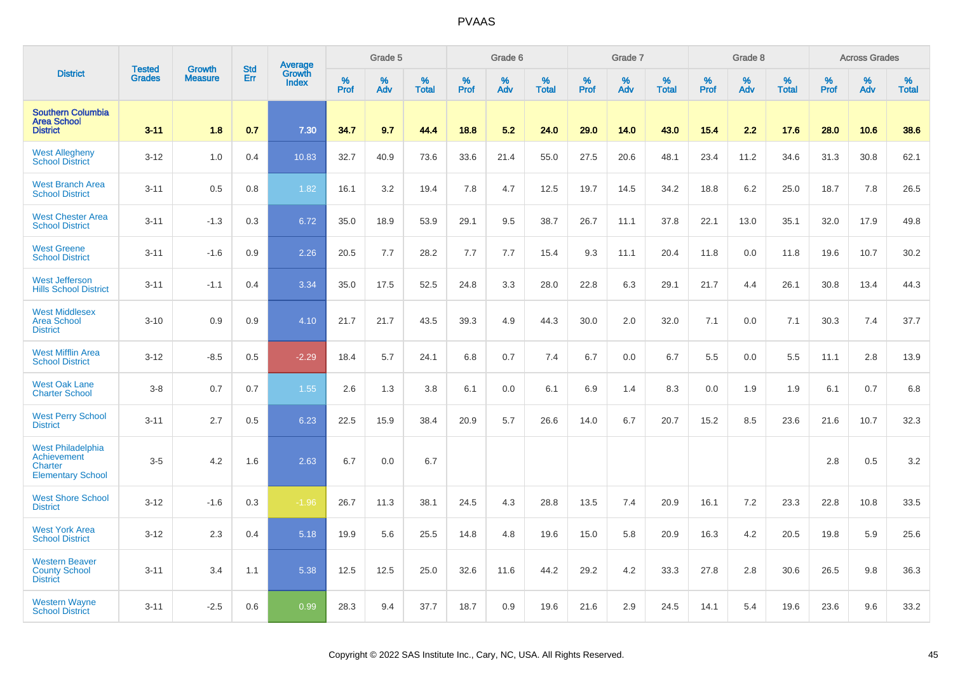|                                                                                       | <b>Tested</b> | <b>Growth</b>  | <b>Std</b> | Average<br>Growth |                     | Grade 5  |                   |           | Grade 6  |                   |           | Grade 7  |                   |           | Grade 8  |                   |              | <b>Across Grades</b> |                   |
|---------------------------------------------------------------------------------------|---------------|----------------|------------|-------------------|---------------------|----------|-------------------|-----------|----------|-------------------|-----------|----------|-------------------|-----------|----------|-------------------|--------------|----------------------|-------------------|
| <b>District</b>                                                                       | <b>Grades</b> | <b>Measure</b> | Err        | <b>Index</b>      | $\%$<br><b>Prof</b> | %<br>Adv | %<br><b>Total</b> | %<br>Prof | %<br>Adv | %<br><b>Total</b> | %<br>Prof | %<br>Adv | %<br><b>Total</b> | %<br>Prof | %<br>Adv | %<br><b>Total</b> | $\%$<br>Prof | %<br>Adv             | %<br><b>Total</b> |
| <b>Southern Columbia</b><br><b>Area School</b><br><b>District</b>                     | $3 - 11$      | 1.8            | 0.7        | 7.30              | 34.7                | 9.7      | 44.4              | 18.8      | 5.2      | 24.0              | 29.0      | 14.0     | 43.0              | 15.4      | 2.2      | 17.6              | 28.0         | 10.6                 | 38.6              |
| <b>West Allegheny</b><br><b>School District</b>                                       | $3 - 12$      | 1.0            | 0.4        | 10.83             | 32.7                | 40.9     | 73.6              | 33.6      | 21.4     | 55.0              | 27.5      | 20.6     | 48.1              | 23.4      | 11.2     | 34.6              | 31.3         | 30.8                 | 62.1              |
| <b>West Branch Area</b><br><b>School District</b>                                     | $3 - 11$      | 0.5            | 0.8        | 1.82              | 16.1                | 3.2      | 19.4              | 7.8       | 4.7      | 12.5              | 19.7      | 14.5     | 34.2              | 18.8      | 6.2      | 25.0              | 18.7         | 7.8                  | 26.5              |
| <b>West Chester Area</b><br><b>School District</b>                                    | $3 - 11$      | $-1.3$         | 0.3        | 6.72              | 35.0                | 18.9     | 53.9              | 29.1      | 9.5      | 38.7              | 26.7      | 11.1     | 37.8              | 22.1      | 13.0     | 35.1              | 32.0         | 17.9                 | 49.8              |
| <b>West Greene</b><br><b>School District</b>                                          | $3 - 11$      | $-1.6$         | 0.9        | 2.26              | 20.5                | 7.7      | 28.2              | 7.7       | 7.7      | 15.4              | 9.3       | 11.1     | 20.4              | 11.8      | 0.0      | 11.8              | 19.6         | 10.7                 | 30.2              |
| <b>West Jefferson</b><br><b>Hills School District</b>                                 | $3 - 11$      | $-1.1$         | 0.4        | 3.34              | 35.0                | 17.5     | 52.5              | 24.8      | 3.3      | 28.0              | 22.8      | 6.3      | 29.1              | 21.7      | 4.4      | 26.1              | 30.8         | 13.4                 | 44.3              |
| <b>West Middlesex</b><br><b>Area School</b><br><b>District</b>                        | $3 - 10$      | 0.9            | 0.9        | 4.10              | 21.7                | 21.7     | 43.5              | 39.3      | 4.9      | 44.3              | 30.0      | 2.0      | 32.0              | 7.1       | 0.0      | 7.1               | 30.3         | 7.4                  | 37.7              |
| <b>West Mifflin Area</b><br><b>School District</b>                                    | $3 - 12$      | $-8.5$         | 0.5        | $-2.29$           | 18.4                | 5.7      | 24.1              | 6.8       | 0.7      | 7.4               | 6.7       | 0.0      | 6.7               | 5.5       | 0.0      | 5.5               | 11.1         | 2.8                  | 13.9              |
| <b>West Oak Lane</b><br><b>Charter School</b>                                         | $3-8$         | 0.7            | 0.7        | 1.55              | 2.6                 | 1.3      | 3.8               | 6.1       | 0.0      | 6.1               | 6.9       | 1.4      | 8.3               | 0.0       | 1.9      | 1.9               | 6.1          | 0.7                  | 6.8               |
| <b>West Perry School</b><br><b>District</b>                                           | $3 - 11$      | 2.7            | 0.5        | 6.23              | 22.5                | 15.9     | 38.4              | 20.9      | 5.7      | 26.6              | 14.0      | 6.7      | 20.7              | 15.2      | 8.5      | 23.6              | 21.6         | 10.7                 | 32.3              |
| <b>West Philadelphia</b><br>Achievement<br><b>Charter</b><br><b>Elementary School</b> | $3-5$         | 4.2            | 1.6        | 2.63              | 6.7                 | 0.0      | 6.7               |           |          |                   |           |          |                   |           |          |                   | 2.8          | 0.5                  | $3.2\,$           |
| <b>West Shore School</b><br><b>District</b>                                           | $3 - 12$      | $-1.6$         | 0.3        | $-1.96$           | 26.7                | 11.3     | 38.1              | 24.5      | 4.3      | 28.8              | 13.5      | 7.4      | 20.9              | 16.1      | 7.2      | 23.3              | 22.8         | 10.8                 | 33.5              |
| <b>West York Area</b><br><b>School District</b>                                       | $3 - 12$      | 2.3            | 0.4        | 5.18              | 19.9                | 5.6      | 25.5              | 14.8      | 4.8      | 19.6              | 15.0      | 5.8      | 20.9              | 16.3      | 4.2      | 20.5              | 19.8         | 5.9                  | 25.6              |
| <b>Western Beaver</b><br><b>County School</b><br><b>District</b>                      | $3 - 11$      | 3.4            | 1.1        | 5.38              | 12.5                | 12.5     | 25.0              | 32.6      | 11.6     | 44.2              | 29.2      | 4.2      | 33.3              | 27.8      | 2.8      | 30.6              | 26.5         | 9.8                  | 36.3              |
| <b>Western Wayne</b><br><b>School District</b>                                        | $3 - 11$      | $-2.5$         | 0.6        | 0.99              | 28.3                | 9.4      | 37.7              | 18.7      | 0.9      | 19.6              | 21.6      | 2.9      | 24.5              | 14.1      | 5.4      | 19.6              | 23.6         | 9.6                  | 33.2              |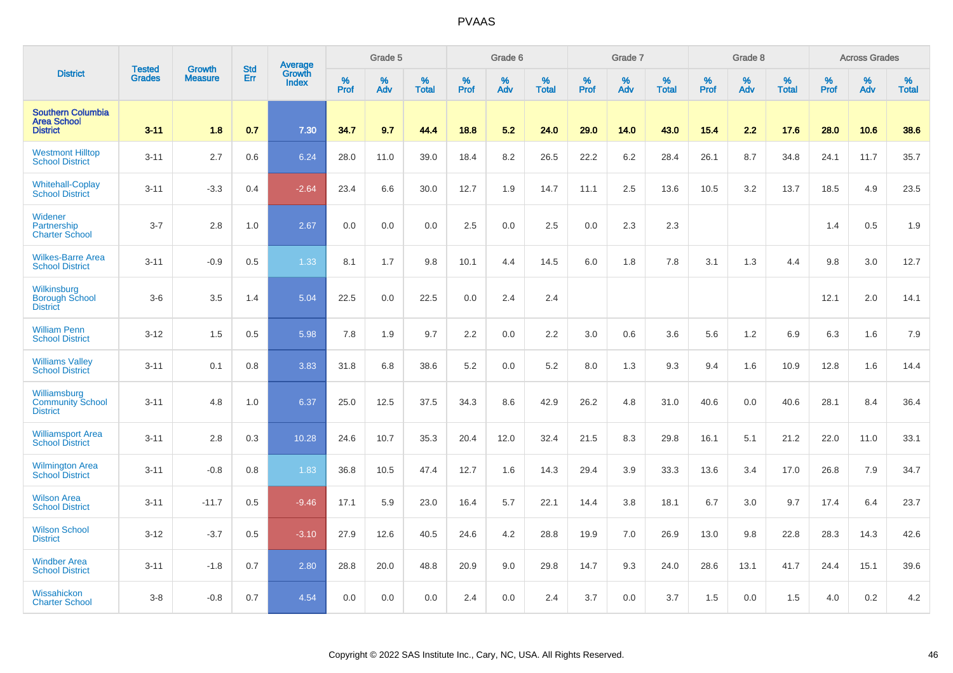|                                                                   |                                | <b>Growth</b>  | <b>Std</b> | Average                |              | Grade 5  |                   |           | Grade 6  |                   |           | Grade 7  |                   |           | Grade 8  |                   |           | <b>Across Grades</b> |                   |
|-------------------------------------------------------------------|--------------------------------|----------------|------------|------------------------|--------------|----------|-------------------|-----------|----------|-------------------|-----------|----------|-------------------|-----------|----------|-------------------|-----------|----------------------|-------------------|
| <b>District</b>                                                   | <b>Tested</b><br><b>Grades</b> | <b>Measure</b> | Err        | Growth<br><b>Index</b> | $\%$<br>Prof | %<br>Adv | %<br><b>Total</b> | %<br>Prof | %<br>Adv | %<br><b>Total</b> | %<br>Prof | %<br>Adv | %<br><b>Total</b> | %<br>Prof | %<br>Adv | %<br><b>Total</b> | %<br>Prof | %<br>Adv             | %<br><b>Total</b> |
| <b>Southern Columbia</b><br><b>Area School</b><br><b>District</b> | $3 - 11$                       | 1.8            | 0.7        | 7.30                   | 34.7         | 9.7      | 44.4              | 18.8      | 5.2      | 24.0              | 29.0      | 14.0     | 43.0              | 15.4      | 2.2      | 17.6              | 28.0      | 10.6                 | 38.6              |
| <b>Westmont Hilltop</b><br><b>School District</b>                 | $3 - 11$                       | 2.7            | 0.6        | 6.24                   | 28.0         | 11.0     | 39.0              | 18.4      | 8.2      | 26.5              | 22.2      | 6.2      | 28.4              | 26.1      | 8.7      | 34.8              | 24.1      | 11.7                 | 35.7              |
| <b>Whitehall-Coplay</b><br><b>School District</b>                 | $3 - 11$                       | $-3.3$         | 0.4        | $-2.64$                | 23.4         | 6.6      | 30.0              | 12.7      | 1.9      | 14.7              | 11.1      | 2.5      | 13.6              | 10.5      | 3.2      | 13.7              | 18.5      | 4.9                  | 23.5              |
| Widener<br>Partnership<br><b>Charter School</b>                   | $3 - 7$                        | 2.8            | 1.0        | 2.67                   | 0.0          | 0.0      | 0.0               | 2.5       | 0.0      | 2.5               | 0.0       | 2.3      | 2.3               |           |          |                   | 1.4       | 0.5                  | 1.9               |
| <b>Wilkes-Barre Area</b><br><b>School District</b>                | $3 - 11$                       | $-0.9$         | 0.5        | 1.33                   | 8.1          | 1.7      | 9.8               | 10.1      | 4.4      | 14.5              | 6.0       | 1.8      | 7.8               | 3.1       | 1.3      | 4.4               | 9.8       | 3.0                  | 12.7              |
| Wilkinsburg<br><b>Borough School</b><br><b>District</b>           | $3-6$                          | 3.5            | 1.4        | 5.04                   | 22.5         | 0.0      | 22.5              | 0.0       | 2.4      | 2.4               |           |          |                   |           |          |                   | 12.1      | 2.0                  | 14.1              |
| <b>William Penn</b><br><b>School District</b>                     | $3 - 12$                       | 1.5            | 0.5        | 5.98                   | 7.8          | 1.9      | 9.7               | 2.2       | 0.0      | 2.2               | 3.0       | 0.6      | 3.6               | 5.6       | 1.2      | 6.9               | 6.3       | 1.6                  | 7.9               |
| <b>Williams Valley</b><br><b>School District</b>                  | $3 - 11$                       | 0.1            | 0.8        | 3.83                   | 31.8         | 6.8      | 38.6              | 5.2       | 0.0      | 5.2               | 8.0       | 1.3      | 9.3               | 9.4       | 1.6      | 10.9              | 12.8      | 1.6                  | 14.4              |
| Williamsburg<br><b>Community School</b><br><b>District</b>        | $3 - 11$                       | 4.8            | 1.0        | 6.37                   | 25.0         | 12.5     | 37.5              | 34.3      | 8.6      | 42.9              | 26.2      | 4.8      | 31.0              | 40.6      | 0.0      | 40.6              | 28.1      | 8.4                  | 36.4              |
| <b>Williamsport Area</b><br><b>School District</b>                | $3 - 11$                       | 2.8            | 0.3        | 10.28                  | 24.6         | 10.7     | 35.3              | 20.4      | 12.0     | 32.4              | 21.5      | 8.3      | 29.8              | 16.1      | 5.1      | 21.2              | 22.0      | 11.0                 | 33.1              |
| <b>Wilmington Area</b><br><b>School District</b>                  | $3 - 11$                       | $-0.8$         | 0.8        | 1.83                   | 36.8         | 10.5     | 47.4              | 12.7      | 1.6      | 14.3              | 29.4      | 3.9      | 33.3              | 13.6      | 3.4      | 17.0              | 26.8      | 7.9                  | 34.7              |
| <b>Wilson Area</b><br><b>School District</b>                      | $3 - 11$                       | $-11.7$        | 0.5        | $-9.46$                | 17.1         | 5.9      | 23.0              | 16.4      | 5.7      | 22.1              | 14.4      | 3.8      | 18.1              | 6.7       | 3.0      | 9.7               | 17.4      | 6.4                  | 23.7              |
| <b>Wilson School</b><br><b>District</b>                           | $3 - 12$                       | $-3.7$         | 0.5        | $-3.10$                | 27.9         | 12.6     | 40.5              | 24.6      | 4.2      | 28.8              | 19.9      | 7.0      | 26.9              | 13.0      | 9.8      | 22.8              | 28.3      | 14.3                 | 42.6              |
| <b>Windber Area</b><br><b>School District</b>                     | $3 - 11$                       | $-1.8$         | 0.7        | 2.80                   | 28.8         | 20.0     | 48.8              | 20.9      | 9.0      | 29.8              | 14.7      | 9.3      | 24.0              | 28.6      | 13.1     | 41.7              | 24.4      | 15.1                 | 39.6              |
| Wissahickon<br><b>Charter School</b>                              | $3 - 8$                        | $-0.8$         | 0.7        | 4.54                   | 0.0          | 0.0      | 0.0               | 2.4       | 0.0      | 2.4               | 3.7       | 0.0      | 3.7               | 1.5       | 0.0      | 1.5               | 4.0       | 0.2                  | 4.2               |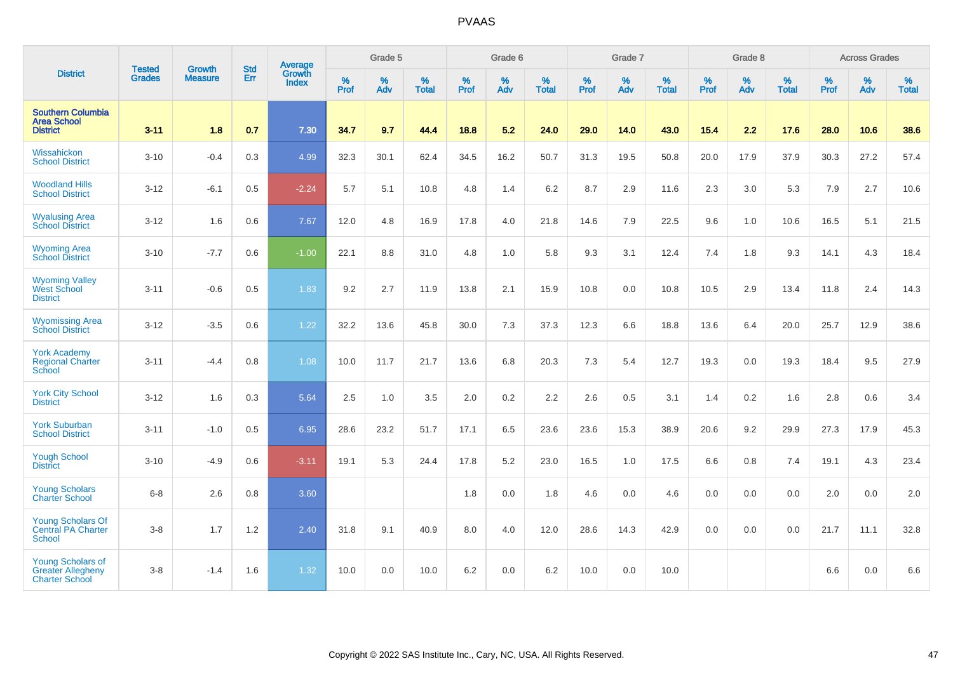|                                                                               |                                | <b>Growth</b>  | <b>Std</b> | Average                |                     | Grade 5  |                   | Grade 6<br>%<br>%   |      |              |                     | Grade 7  |                   |                     | Grade 8     |                   |                     | <b>Across Grades</b> |                   |
|-------------------------------------------------------------------------------|--------------------------------|----------------|------------|------------------------|---------------------|----------|-------------------|---------------------|------|--------------|---------------------|----------|-------------------|---------------------|-------------|-------------------|---------------------|----------------------|-------------------|
| <b>District</b>                                                               | <b>Tested</b><br><b>Grades</b> | <b>Measure</b> | Err        | Growth<br><b>Index</b> | $\%$<br><b>Prof</b> | %<br>Adv | %<br><b>Total</b> | $\%$<br><b>Prof</b> | Adv  | <b>Total</b> | $\%$<br><b>Prof</b> | %<br>Adv | %<br><b>Total</b> | $\%$<br><b>Prof</b> | $\%$<br>Adv | %<br><b>Total</b> | $\%$<br><b>Prof</b> | %<br>Adv             | %<br><b>Total</b> |
| <b>Southern Columbia</b><br><b>Area School</b><br><b>District</b>             | $3 - 11$                       | 1.8            | 0.7        | 7.30                   | 34.7                | 9.7      | 44.4              | 18.8                | 5.2  | 24.0         | 29.0                | 14.0     | 43.0              | 15.4                | 2.2         | 17.6              | 28.0                | 10.6                 | 38.6              |
| Wissahickon<br><b>School District</b>                                         | $3 - 10$                       | $-0.4$         | 0.3        | 4.99                   | 32.3                | 30.1     | 62.4              | 34.5                | 16.2 | 50.7         | 31.3                | 19.5     | 50.8              | 20.0                | 17.9        | 37.9              | 30.3                | 27.2                 | 57.4              |
| <b>Woodland Hills</b><br><b>School District</b>                               | $3 - 12$                       | $-6.1$         | 0.5        | $-2.24$                | 5.7                 | 5.1      | 10.8              | 4.8                 | 1.4  | 6.2          | 8.7                 | 2.9      | 11.6              | 2.3                 | 3.0         | 5.3               | 7.9                 | 2.7                  | 10.6              |
| <b>Wyalusing Area</b><br><b>School District</b>                               | $3 - 12$                       | 1.6            | 0.6        | 7.67                   | 12.0                | 4.8      | 16.9              | 17.8                | 4.0  | 21.8         | 14.6                | 7.9      | 22.5              | 9.6                 | 1.0         | 10.6              | 16.5                | 5.1                  | 21.5              |
| <b>Wyoming Area</b><br><b>School District</b>                                 | $3 - 10$                       | $-7.7$         | 0.6        | $-1.00$                | 22.1                | 8.8      | 31.0              | 4.8                 | 1.0  | 5.8          | 9.3                 | 3.1      | 12.4              | 7.4                 | 1.8         | 9.3               | 14.1                | 4.3                  | 18.4              |
| <b>Wyoming Valley</b><br>West School<br><b>District</b>                       | $3 - 11$                       | $-0.6$         | 0.5        | 1.83                   | 9.2                 | 2.7      | 11.9              | 13.8                | 2.1  | 15.9         | 10.8                | 0.0      | 10.8              | 10.5                | 2.9         | 13.4              | 11.8                | 2.4                  | 14.3              |
| <b>Wyomissing Area</b><br><b>School District</b>                              | $3 - 12$                       | $-3.5$         | 0.6        | 1.22                   | 32.2                | 13.6     | 45.8              | 30.0                | 7.3  | 37.3         | 12.3                | 6.6      | 18.8              | 13.6                | 6.4         | 20.0              | 25.7                | 12.9                 | 38.6              |
| <b>York Academy</b><br><b>Regional Charter</b><br><b>School</b>               | $3 - 11$                       | $-4.4$         | 0.8        | 1.08                   | 10.0                | 11.7     | 21.7              | 13.6                | 6.8  | 20.3         | 7.3                 | 5.4      | 12.7              | 19.3                | 0.0         | 19.3              | 18.4                | 9.5                  | 27.9              |
| <b>York City School</b><br><b>District</b>                                    | $3 - 12$                       | 1.6            | 0.3        | 5.64                   | 2.5                 | 1.0      | 3.5               | 2.0                 | 0.2  | 2.2          | 2.6                 | 0.5      | 3.1               | 1.4                 | 0.2         | 1.6               | 2.8                 | 0.6                  | 3.4               |
| <b>York Suburban</b><br><b>School District</b>                                | $3 - 11$                       | $-1.0$         | 0.5        | 6.95                   | 28.6                | 23.2     | 51.7              | 17.1                | 6.5  | 23.6         | 23.6                | 15.3     | 38.9              | 20.6                | 9.2         | 29.9              | 27.3                | 17.9                 | 45.3              |
| <b>Yough School</b><br><b>District</b>                                        | $3 - 10$                       | $-4.9$         | 0.6        | $-3.11$                | 19.1                | 5.3      | 24.4              | 17.8                | 5.2  | 23.0         | 16.5                | 1.0      | 17.5              | 6.6                 | 0.8         | 7.4               | 19.1                | 4.3                  | 23.4              |
| <b>Young Scholars</b><br><b>Charter School</b>                                | $6-8$                          | 2.6            | 0.8        | 3.60                   |                     |          |                   | 1.8                 | 0.0  | 1.8          | 4.6                 | 0.0      | 4.6               | 0.0                 | 0.0         | 0.0               | 2.0                 | 0.0                  | 2.0               |
| <b>Young Scholars Of</b><br><b>Central PA Charter</b><br><b>School</b>        | $3-8$                          | 1.7            | 1.2        | 2.40                   | 31.8                | 9.1      | 40.9              | 8.0                 | 4.0  | 12.0         | 28.6                | 14.3     | 42.9              | 0.0                 | 0.0         | 0.0               | 21.7                | 11.1                 | 32.8              |
| <b>Young Scholars of</b><br><b>Greater Allegheny</b><br><b>Charter School</b> | $3 - 8$                        | $-1.4$         | 1.6        | 1.32                   | 10.0                | 0.0      | 10.0              | 6.2                 | 0.0  | 6.2          | 10.0                | 0.0      | 10.0              |                     |             |                   | 6.6                 | 0.0                  | 6.6               |